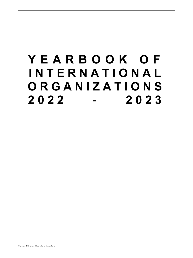# **YEARBOOK OF INTERNATIONAL ORGANIZATIONS 2 0 2 2** - **2 0 2 3**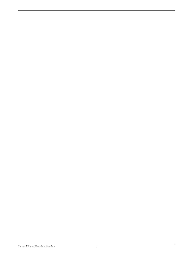### Copyright 2022 Union of International Associations

 $\ddot{\rm H}$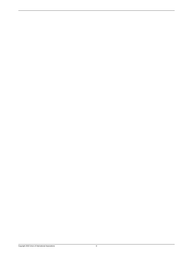### Copyright 2022 Union of International Associations

 $\overline{\text{iii}}$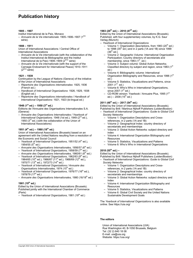# **Publication history**

### **1905 – 1907**

Institut International de la Paix, Monaco

– *Annuaire de la Vie internationale*: 1905–1906–1907 (1ère série).

### **1908 – 1911**

Union of International Associations / Central Office of International Associations

- *Annuaire de la Vie internationale* (with the collaboration of the Institut International de Bibliographie and the Institut International de la Paix) 1908–1909 (2ème série)
- *Annuaire de la Vie internationale* (with the support of the Carnegie Endowment for International Peace) 1910–1911 (2ème série)

### **1921 – 1939**

Continuation by the League of Nations (Geneva) of the initiative of the Union of International Associations

- *Répertoire des Organisations internationales*: 1925, 1936 (French ed.)
- *Handbook of International Organizations*: 1926, 1929, 1938 (English ed.)
- *Répertoire des Organisations internationales / Handbook of International Organizations*: 1921, 1923 (bi-lingual ed.)

### **1948 (1st ed.) – 1950 (3rd ed.)**

Editions de l'Annuaire des Organisations Internationales S.A. (Geneva)

– *Annuaire des Organisations Internationales / Yearbook of International Organizations.* 1948 (1st ed.), 1949 (2<sup>nd</sup> ed.), 1950 ( $3<sup>rd</sup>$  ed.) (with the collaboration of the Union of International Associations)

### **1951 (4th ed.) – 1980 (18th ed.)**

Union of International Associations (Brussels) based on an agreement with the United Nations resulting from a resolution of the Economic and Social Council

- *Yearbook of International Organizations*, 1951/52 (4<sup>th</sup> ed.), 1954/55  $(5^{th}$  ed.)
- *Annuaire des Organisations Internationales*, 1956/57 (6th ed.)
- Yearbook of International Organizations, 1958/59 (7<sup>th</sup> ed.)
- Annuaire des Organisations Internationales, 1960/61 (8<sup>th ed.)</sup> – *Yearbook of International Organizations*, 1962/63 (9th ed.),
- 1964/65 (10<sup>th</sup> ed.), 1966/67 (11<sup>th</sup> ed.), 1968/69 (12<sup>th</sup> ed.), 1970/71 (13<sup>th</sup> ed.), 1972/73 (14<sup>th</sup> ed.)
- *Yearbook of International Organizations / Annuaire des Organisations Internationales*, 1974 (15th ed.)
- Yearbook of International Organizations, 1976/77 (16<sup>th</sup> ed.), 1978/79 (17<sup>th</sup> ed.)
- Annuaire des Organisations Internationales, 1980 (16/18<sup>th</sup> ed.)

### **1981 (19th ed.)**

Edited by the Union of International Associations (Brussels). Published jointly with the International Chamber of Commerce (Paris)

– *Yearbook of International Organizations*, 1981 (19th ed.)

### **1983 (20th ed.) – 2010 (47th ed.)**

Edited by the Union of International Associations (Brussels). Published, with four supplementary volumes, by K.G. Saur Verlag (Munich)

– *Yearbook of International Organizations*

- Volume 1: Organization descriptions, from 1983 (20<sup>th</sup> ed.) to 1998  $(35<sup>th</sup>$  ed.) and in 2 parts (1A and 1B) since 1999  $(36<sup>th</sup>$  ed.)
- Volume 2: Geographic Volume: International Organization Participation; Country directory of secretariats and membership, since 1983 (1<sup>st</sup> ed.)
- Volume 3: Subject volume: Global Action Networks; Classified directory by subject and region, since 1983  $(1<sup>st</sup>$ ed.)
- Volume 4: Bibliographic volume: International Organization Bibliography and Resources, since 1996 (1<sup>st</sup>) ed.)
- Volume 5: Statistics, Visualizations and Patterns, since  $2001 (1<sup>st</sup> ed.)$
- Volume 6: Who's Who in International Organizations, since  $2007(1<sup>st</sup>$  ed.)
- CD-ROM version: Yearbook / Annuaire Plus, 1995 (1st ed.) – 2008 (15<sup>th</sup> ed.)

### **2011 (48th ed.) – 2017 (54th ed.)**

Edited by the Union of International Associations (Brussels).

Published by Brill / Martinus Nijhoff Publishers (Leiden/Boston) – *Yearbook of International Organizations: Guide to Global Civil*

- *Society Networks* – Volume 1: Organization Descriptions and Cross-
- references, in 2 parts (1A and 1B) – Volume 2: Geographical Index: country directory of secretariats and memberships
- Volume 3: Global Action Networks: subject directory and index
- Volume 4: International Organization Bibliography and Resources
- Volume 5: Statistics, Visualizations and Patterns
- Volume 6: Who's Who in International Organizations

### **2018 (55th ed.) –**

Edited by the Union of International Associations (Brussels). Published by Brill / Martinus Nijhoff Publishers (Leiden/Boston)

- *Yearbook of International Organizations: Guide to Global Civil Society Networks*
	- Volume 1: Organization Descriptions and Crossreferences, in 2 parts (1A and 1B)
	- Volume 2: Geographical Index: country directory of secretariats and memberships
	- Volume 3: Global Action Networks: subject directory and index
	- Volume 4: International Organization Bibliography and **Resources**
	- Volume 5: Statistics, Visualizations and Patterns
	- Volume 6: Global Civil Society and the United Nations Sustainable Development Goals

The *Yearbook of International Organizations* is also available online. See https://uia.org/

### **The editors**

Union of International Associations (UIA) Rue Washington 40, B-1050 Brussels, Belgium Tel: (32 2) 640 18 08 E-mail: uia@uia.org Website: https://uia.org/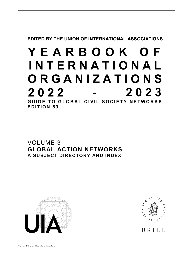**EDITED BY THE UNION OF INTERNATIONAL ASSOCIATIONS**

# **YEARBOOK OF INTERNATIONAL ORGANIZATIONS 2 0 2 2** - **2 0 2 3**

**GUIDE TO GLOBAL CIVIL SOCIETY NETWORKS EDITION 59** 

VOLUME 3 **GLOBAL ACTION NETWORKS A SUBJECT DIRECTORY AND INDEX**





BRILL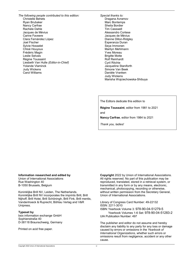*The following people contributed to this edition:* Christelle Behets Ryan Brubaker Nancy Carfrae Rachele Dahle Jacques de Mévius Carine Faveere Clara Fernández López Joel Fischer Sylvie Hosselet Chloé Houyoux Frédéric Magin Leslie Selvais Régine Toussaint Liesbeth Van Hulle *(Editor-in-Chief)* Yolande Vlaminck Judy Wickens Carol Williams

*Special thanks to:* Dragana Avramov Marc Bontemps Sheila Bordier Tim Casswell Alessandro Cortese Jacques de Mévius Dianne Dillon-Ridgley Esperanza Duran Seya Immonen Marilyn Mehlmann Yves Moreau **Brigitte Motte** Rolf Reinhardt Cyril Ritchie Jacqueline Staniforth Simone Van Beek Danièle Vranken Judy Wickens Marisha Wojciechowska-Shibuya

The Editors dedicate this edition to

**Régine Toussaint**, editor from 1981 to 2021 and

**Nancy Carfrae**, editor from 1984 to 2021

*Thank you, ladies!*

# **Information researched and edited by**

Union of International Associations Rue Washington 40 B-1050 Brussels, Belgium

Koninklijke Brill NV, Leiden, The Netherlands. Koninklijke Brill NV incorporates the imprints Brill, Brill Nijhoff, Brill Hotei, Brill Schöningh, Brill Fink, Brill mentis, Vandenhoeck & Ruprecht, Böhlau Verlag and V&R Unipress.

### **Typeset by**

bsix information exchange GmbH Sophienstraße 40 D-38118 Braunschweig, Germany

Printed on acid free paper.

**Copyright** 2022 by Union of International Associations. All rights reserved. No part of this publication may be reproduced, translated, stored in a retrieval system, or transmitted in any form or by any means, electronic, mechanical, photocopying, recording or otherwise, without written permission from the Secretary General, Union of International Associations.

Library of Congress Card Number: 49-22132 ISSN: 2211-3010 ISBN: Yearbook Volume 3: 978-90-04-51279-5 Yearbook Volumes 1-6 Set: 978-90-04-51283-2 UIA Publication Number: 497

The publisher and editor do not assume and hereby disclaim any liability to any party for any loss or damage caused by errors or omissions in the *Yearbook of International Organizations*, whether such errors or omissions result from negligence, accident or any other cause.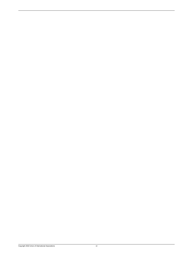### Copyright 2022 Union of International Associations

vii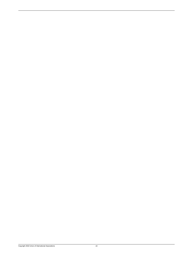### Copyright 2022 Union of International Associations

### $V$ iii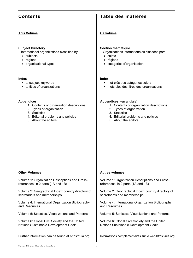# **Contents**

# **This Volume**

# **Subject Directory**

International organizations classified by:

- subjects
- regions
- organizational types

# **Index**

- to subject keywords
- to titles of organizations

# **Appendices**

- 1. Contents of organization descriptions
- 2. Types of organization
- 3. Statistics
- 4. Editorial problems and policies
- 5. About the editors

# **Other Volumes**

Volume 1: Organization Descriptions and Crossreferences, in 2 parts (1A and 1B)

Volume 2: Geographical Index: country directory of secretariats and memberships

Volume 4: International Organization Bibliography and Resources

Volume 5: Statistics, Visualizations and Patterns

Volume 6: Global Civil Society and the United Nations Sustainable Development Goals

Further information can be found at https://uia.org

# **Table des matières**

# **Ce volume**

# **Section thématique**

Organisations internationales classées par:

- sujets
- régions
- catégories d'organisation

# **Index**

- mot-clés des catégories sujets
- mots-clés des titres des organisations

# **Appendices** (en anglais)

- 1. Contents of organization descriptions
- 2. Types of organization
- 3. Statistics
- 4. Editorial problems and policies
- 5. About the editors

# **Autres volumes**

Volume 1: Organization Descriptions and Crossreferences, in 2 parts (1A and 1B)

Volume 2: Geographical Index: country directory of secretariats and memberships

Volume 4: International Organization Bibliography and Resources

Volume 5: Statistics, Visualizations and Patterns

Volume 6: Global Civil Society and the United Nations Sustainable Development Goals

Informations complémentaires sur le web https://uia.org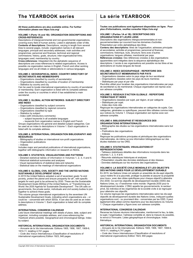# **The YEARBOOK series**

#### **All these publications are also available online. For further information please see https://uia.org/**

#### **VOLUME 1 (Parts 1A and 1B): ORGANIZATION DESCRIPTIONS AND CROSS-REFERENCES**

Descriptions of intergovernmental and non-governmental organizations, covering every field of human activity. Listed in alphabetic order of title. **Contents of descriptions:** Descriptions, varying in length from several lines to several pages, include: organization names in all relevant languages; principal and secondary addresses; main activities and programmes; personnel and finances; technical and regional commissions; history, goals, structure; inter-organizational links; languages used; membership by country.

**Cross-references:** Integrated into the alphabetic sequence of descriptions are cross-references to related organizations. Access is possible via organization names in English, French and other working languages and via all initials or abbreviations in various languages.

#### **VOLUME 2: GEOGRAPHICAL INDEX: COUNTRY DIRECTORY OF SECRETARIATS AND MEMBERSHIPS**

- Organizations classified by country of secretariat(s)
- Organizations classified by countries of location of membership
- Statistics by country and city

Can be used to locate international organizations by country of secretariat or membership. Each organization is listed with its complete address under the country or countries in which it has established a main secretariat.

### **VOLUME 3: GLOBAL ACTION NETWORKS: SUBJECT DIRECTORY AND INDEX**

- Organizations classified by subject concerns
- Organizations classified by regional concerns

– Organizations classified by type

- Statistics by subject
- Index (with introductory comments):
	- subject keywords in all available languages

– keywords from organization names in English and French Groups organizations into general and detailed subject categories. Can be used as an index to descriptions in Volume 1. Each organization is listed with its complete address.

#### **VOLUME 4: INTERNATIONAL ORGANIZATION BIBLIOGRAPHY AND RESOURCES**

- Bibliography of studies on international non-profit organizations
- Organization publications

– Indexes

Includes major and periodical publications of international organizations, together with bibliographic information on research on NGOs.

### **VOLUME 5: STATISTICS, VISUALIZATIONS AND PATTERNS**

- Detailed statistical tables of information in Volumes 1, 2, 3, 4 and 6.
- Historical statistical summaries and analyses
- Visual representations of statistical data and networks

- Statistical data on the meetings of international organizations

#### **VOLUME 6: GLOBAL CIVIL SOCIETY AND THE UNITED NATIONS SUSTAINABLE DEVELOPMENT GOALS**

In 2015 the United Nations adopted a set of seventeen goals "to end poverty, protect the planet and ensure prosperity for all", with specific targets for each goal to be achieved by 2030. These are the Sustainable Development Goals [SDGs] of the United Nations, or "Transforming our World: the 2030 Agenda for Sustainable Development". The UN calls on governments, the private sector, individuals and civil society bodies to join together to achieve these goals.

This volume groups international organizations by the seventeen UN Sustainable Development Goals, indicating which organizations are – or could be – concerned with which SDGs. It can also be used as an index to descriptions in Volume 1. Each organization is listed with its complete address.

### **INTERNATIONAL CONGRESS CALENDAR**

Lists future international meetings with details of place, date, subject and organizer, including complete address, and cross-referencing the Yearbook where possible. Geographical and chronological listings. Index by subject.

### **HISTORICAL INTERNATIONAL ORGANIZATION DOCUMENTS**

– *Annuaire de la Vie Internationale*. Editions 1905, 1906, 1907, 1908-9, 1910-11, totalling 4,741 pages

– *Code des Voeux Internationaux* (Classification of resolutions of international organizations) Edition 1923, 940 pages

# **La série YEARBOOK**

**Toutes ces publications sont également disponibles en ligne. Pour plus d'informations, veuillez consulter https://uia.org/**

#### **VOLUME 1 (Parties 1A et 1B): DESCRIPTIONS DES ORGANISATIONS ET LEURS LIENS**

Descriptions des organisations intergouvernementales et nongouvernementales qui couvrent tous les domaines d'activités. Présentation par ordre alphabétique des titres. **Contenu des descriptions:** titres de l'organisation; adresses principale et secondaires; activités et programmes; personnel et finances; commissions; historique, buts, structure; liens avec d'autres organisations; langues utilisées; membrariat par pays. **Références croisées:** Des références croisées à des organisations apparentées sont intégrées dans la séquence alphabétique des

descriptions. L'accès à ces organisations est possible via les titres et les abréviations en toutes langues de travail.

### **VOLUME 2: INDEX GEOGRAPHIQUE : REPERTOIRE DES SECRETARIATS ET MEMBRARIATS PAR PAYS**

- Organisations classées selon le pays siège de leur secrétariat – Organisations classées selon les pays de leurs membres
- Statistiques par pays et par ville

Peut-être utilisé pour localiser des organisations internationales par pays de secrétariat ou de membrariat. Chaque organisation est reprise avec son adresse complète.

#### **VOLUME 3: RESEAUX D'ACTION GLOBALE : REPERTOIRE THEMATIQUE ET INDEX**

- Organisations classées par sujet, par région, et par catégorie
- Statistiques par sujet.
- Index des mots clés

Regroupe les organisations internationales en catégories de sujets. Ces catégories, générales ou spécifiques, peuvent être utilisées comme index aux notices du Volume 1. Chaque organisation est reprise avec son adresse complète.

#### **VOLUME 4: BIBLIOGRAPHIE ET RESSOURCES DES ORGANISATIONS INTERNATIONALES**

– Bibliographie des études sur les organisations internationales sans but lucratif

- Publications des organisations
- Indexes

Regroupe les publications principales et périodiques des organisations internationales, de même qu'une information bibliographique sur des études réalisées sur les ONG.

#### **VOLUME 5: STATISTIQUES, VISUALIZATIONS ET REPRESENTATIONS**

- Tableaux statistiques détaillés des informations incorporés dans les volumes 1, 2, 3, 4 et 6.
- Résumés statistiques historiques et analyses
- Présentation visuelle des données statistiques et des réseaux.
- Données statistiques sur les réunions des organisations.

#### **VOLUME 6: LA SOCIÉTÉ CIVILE MONDIALE ET LES OBJECTIFS DES NATIONS UNIES POUR LE DÉVELOPPEMENT DURABLE**

En 2015, les Nations Unies ont adopté un ensemble de dix-sept objectifs «pour mettre fin à la pauvreté, protéger la planète et assurer la prospérité pour tous», avec des cibles spécifiques pour chaque objectif à atteindre d'ici 2030. Ce sont les objectifs de développement durable (ODD) des Nations Unies, ou «Transformer notre monde: l'Agenda 2030 pour le développement durable. L'ONU appelle les gouvernements, le secteur privé, les individus et les organismes de la société civile à se regrouper pour atteindre ces objectifs.

Ce volume regroupe les organisations internationales selon les dix-sept objectifs de développement durable des Nations Unies, indiquant quelles organisations sont - ou pourraient être - concernées par les ODD. Il peut également être utilisé comme répertoire pour les descriptions du Volume 1. Chaque organisation y figure avec son adresse complète.

### **INTERNATIONAL CONGRESS CALENDAR**

Recense les futures réunions internationales, mentionnant le lieu, la date, le sujet, l'organisateur, l'adresse complète et, dans la mesure du possible, le renvoi à l'Annuaire. Listes géographique et chronologique. Index thématique.

#### **HISTORICAL INTERNATIONAL ORGANIZATION DOCUMENTS** – *Annuaire de la Vie Internationale*. Editions 1905, 1906, 1907, 1908-9, 1910-11, totalling 4,741 pages

– *Code des Voeux Internationaux* (Classification of resolutions of international organizations) Edition 1923, 940 pages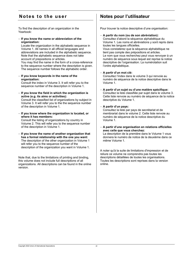# **Notes to the user**

To find the description of an organization in the Yearbook:

− **If you know the name or abbreviation of the organization:**

Locate the organization in the alphabetic sequence in Volume 1. All names in all official languages and abbreviations are included in the alphabetic sequence. Note that the alphabetic sequence does not take account of prepositions or articles.

You may find the name in the form of a cross-reference to the sequence number where the description is given. The sequence number follows the alphabetic order.

− **If you know keywords in the name of the organization:**

Consult the index in Volume 3. It will refer you to the sequence number of the description in Volume 1.

− **If you know the field in which the organization is active (e.g. its aims or activities):**

Consult the classified list of organizations by subject in Volume 3. It will refer you to the the sequence number of the description in Volume 1.

− **If you know where the organization is located, or where it has members:**

Consult the listing of organizations by country in Volume 2. This will refer you to the sequence number of the description in Volume 1.

− **If you know the name of another organization that has a formal relationship with the one you want:** The description of the other organization in Volume 1 will refer you to the sequence number of the description of the organization you want in Volume 1.

Note that, due to the limitations of printing and binding, this volume does not include full descriptions of all organizations. All descriptions can be found in the online version.

# **Notes pour l'utilisateur**

Pour trouver la notice descriptive d'une organisation:

### − **A partir du nom (ou de son abréviation):**

Consultez d'abord la séquence alphabétique du Volume 1. Les noms et abréviations y sont repris dans toutes les langues officielles.

Vous constaterez que la séquence alphabétique ne tient pas compte des prépositions et articles. Le nom que vous recherchez peut vous renvoyer à un numéro de séquence sous lequel est reprise la notice descriptive de l'organisation. La numérotation suit l'ordre alphabétique.

### − **A partir d'un mot clé:**

Consultez l'index dans le volume 3 qui renvoie au numéro de séquence de la notice descriptive dans le Volume 1.

− **A partir d'un sujet ou d'une matière spécifique:** Consultez la liste classifiée par sujet dans le volume 3.

Cette liste renvoie au numéro de séquence de la notice descriptive du Volume 1.

### − **A partir d'un pays:**

Consultez la liste par pays de secrétariat et de membrariat dans le volume 2. Cette liste renvoie au numéro de séquence de la notice descriptive du Volume 1.

### − **A partir d'une organisation en relations officielles avec celle que vous cherchez:**

La description de la première dans le Volume 1 vous donnera le numéro de notice de la deuxième dans ce même Volume 1.

A noter qu'à la suite de limitations d'impression et de reliure ce volume ne comprendra pas toutes les descriptions détaillées de toutes les organisations. Toutes les descriptions sont reprises dans la version online.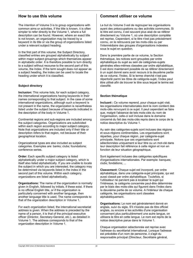# **How to use this volume**

The intention of Volume 3 is to group organizations with common aims or activities. If the title is known, it is often simpler to refer directly to the Volume 1, where a full description can be found. However, where an exact title is not known, an organization may be traced by a keyword in its title or via the group of organizations listed under a relevant subject heading.

In the first part of this volume, the Subject Directory, classified entries are grouped alphabetically by subject within major subject groupings which themselves appear in alphabetic order. It is therefore possible to turn directly to a subject without recourse to the second part of this volume, the Index. If the term sought does not appear as a subject heading, the index can be used to locate the heading under which it is classified.

# **Subject directory**

**Inclusion:** This volume lists, for each subject category, the international organizations having keywords in their names corresponding to that subject. In the case of some international organizations, although such a keyword is not present in the name, the organization is nevertheless listed under the subject because of keywords indicated in the description of the body in Volume 1.

Continental regions and sub-regions are included among the subject categories. Organizations are subdivided within each region according to major subject category. Note that organizations are included only if their title or description refers to that region, not because of their geographical location.

Organizational types are also included as subject categories. Examples are: banks; clubs; foundations; conference series.

**Order:** Each specific subject category is listed alphabetically under a major subject category, which is itself also listed alphabetically. If you are unable to locate the subject in which you are interested, the category may be determined via keywords listed in the index in the second part of this volume. Within each category, organizations are listed alphabetically.

**Organizations:** The name of the organization is normally given in English, followed by initials, if these exist. If there is no official English title, or if the organization is particularly concerned with another language, then another language title is used. The name corresponds to that of the organization description in Volume 1.

For each organization listed, the international secretariat address is given. When the address is preceded by the name of a person, it is that of the principal executive officer (Director, Secretary-General, etc.), as detailed in Volume 1. The address corresponds to that of the organization description in Volume 1.

# **Comment utiliser ce volume**

Le but du Volume 3 est de regrouper les organisations ayant des préoccupations ou des activités communes. Si le titre est connu, il est souvent plus aisé de se référer directement au Volume 1, où une description complète est reprise. Cependant, si le titre n'est pas précisément connu, on le retrouvera par les mots-clés ou par l'intermédiaire des groupes d'organisations indexées sous le sujet en question.

Dans la première partie de ce volume, la Section thématique, les notices sont groupées par ordre alphabétique du sujet au sein de catégories-sujets générales elles-mêmes classées par ordre alphabétique. Il est donc maintenant possible de se référer directement à un sujet donné sans avoir recours à la deuxième partie de ce volume, l'Index. Si le terme cherché n'est pas répertorié parmi les titres de catégorie-sujet, l'index peut être utilisé afin de trouver le titre sous lequel le terme est classifié.

### **Section thématique**

**Incluant :** Ce volume reprend, pour chaque sujet visé, les organisations internationales dont le nom contient des mots-clés renvoyant à ce sujet. Il peut cependant se faire que, malgré l'absence de tels mots-clés du nom de l'organisation, celle-ci soit incluse dans le domaine concerné du fait des mots-clés repris dans le corps de la notice descriptive du Volume 1.

Au sein des catégories-sujets sont incluses des régions et sous-régions continentales. Les organisations sont réparties, pour chaque région, par catégorie-sujet principale. Notons que ces organisations sont sélectionnées uniquement si leur titre ou un mot-clé dans leur description fait référence à cette région et non en fonction de leur situation géographique.

Sont également incluses des catégories spécifiques d'organisations internationales. Par exemple: banques; clubs; fondations; ...

**Classement:** Chaque sujet est incorporé, par ordre alphabétique, dans une catégorie-sujet principale, qui est aussi classé par ordre alphabétique. Toutefois, si l'utilisateur ne parvient pas à localiser le sujet qui l'intéresse, la catégorie concernée peut-être déterminée par le biais des mots-clés qui figurent dans l'index dans la deuxième partie de ce volume. A l'intérieur de chaque catégorie, les organisations sont classées alphabétiquement.

**Organisations:** Le nom est généralement donné en anglais, suivi du sigle. S'il n'existe pas de titre officiel anglais, ou encore si les activités d'une organisation concernent plus particulièrement une autre langue, on utilisera le titre en cette langue. Le nom est repris de la notice descriptive parue dans le Volume 1.

Chaque organisation sélectionnée est reprise avec l'adresse du secrétariat international. Lorsque l'adresse est précédée d'un nom de personne, il s'agit du responsable principal (Directeur, Secrétaire général,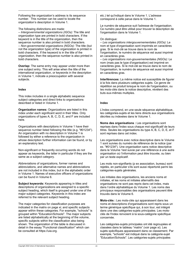Following the organization's address is its sequence number. This number can be used to locate the organization's description in Volume 1.

The following distinctions are made:

*– Intergovernmental organizations (IGOs):* The title and organization type are printed in bold characters. If the keyword is in the title of the organization, then the sequence number is also printed in bold characters. *– Non-governmental organizations (NGOs):* The title (but not the organization type) of the organization is printed in bold characters. If the keyword is in the title of the organization, then the sequence number is also printed in bold characters.

**Overlap:** The same entry may appear under more than one subject entry. This will arise when the title of the international organization, or keywords in the description in Volume 1, indicate a preoccupation with several subjects.

# **Index**

This index includes in a single alphabetic sequence subject categories and direct links to organizations described or listed in Volume 1.

**Organization names:** Organizations are listed in this index under each significant word in their titles. Only organizations of types A, B, C, D, E, and F are included here.

Organizations with descriptions in Volume 1 have their sequence number listed following the title (e.g. "#01234"). An organization with no description in Volume 1 is followed by either a reference to the organization in whose description further information can be found, or by an explanatory text.

Non-significant or frequently occurring words do not appear as keywords, the latter in particular if they are the same as a subject category.

Abbreviations of organizations, former names and abbreviations, and alternative names and abbreviations are not included in this index, but in the alphabetic order in Volume 1. Names of executive officers of organizations can be found in Volume 6.

**Subject keywords:** Keywords appearing in titles and descriptions of organizations are assigned to a specific subject heading, which itself is grouped under one of the major subject categories. Keywords in this index are referred to the relevant subject heading.

The major categories for classification purposes are indicated in the matrix on page xi; and specific subjects appear within these categories. For example, "schools" is grouped within "Education/Schools". The major subjects are listed alphabetically at the beginning of the volume, specific subjects within the classification also being shown. The organization of the table is discussed in detail in the essay "Functional classification" which can be consulted at https://uia.org.

etc.) tel qu'indiqué dans le Volume 1. L'adresse correspond à celle parue dans le Volume 1.

Le numéro de séquence suit l'adresse de l'organisation. Ce numéro peut être utilisé pour trouver la description de l'organisation dans le Volume 1.

### On distingue:

*– Les organisations intergouvernementales (IGOs):* Le nom et type d'organisation sont imprimés en caractères gras. Si le mot-clé se trouve dans le nom de l'organisation, le numéro de séquence est aussi imprimé en caractères gras.

*– Les organisations non-gouvernementales (NGOs):* Le nom (mais pas le type d'organisation) est imprimé en caractères gras. Si le mot-clé se trouve dans le nom de l'organisation, le numéro de séquence est aussi imprimé en caractères gras.

**Interférences:** La même notice est susceptible de figurer à la fois dans plusieurs catégories sujets. Ce genre de répétition se produit lorsque le nom de l'organisation, ou les mots-clés dans la notice descriptive, révèlent des buts eux-mêmes multiples.

### **Index**

L'index comprend, en une seule séquence alphabétique, les catégories-sujets et les liens directs aux organisations décrites ou indexées dans le Volume 1.

**Noms des organisations :** Les organisations sont reprises dans l'index sous chaque mot significatif de leurs titres. Seules les organisations du type A, B, C, D, E, et F sont reprises dans cet index.

Les organisations avec notice descriptive dans le Volume 1 sont suivies du numéro de référence de la notice (par ex. "#01234"). Une organisation sans notice descriptive dans le Volume 1est suivie par une référence à une autre organisation où l'information peut être trouvée, ou bien par un texte explicatif.

Les mots non-signifiants (p ex association, bureau) sont rejetés, en particulier s'ils sont aussi répertorié parmi les catégories-sujets générales.

Les initiales des organisations, les anciens noms et initiales, et les noms et initiales alternatifs des organisations ne sont pas repris dans cet index, mais dans l'ordre alphabétique du Volume 1. Les noms des principaux responsables des organisations peuvent être trouvés dans le Volume 6.

**Mots-clés :** Les mots-clés qui apparaissent dans les noms et descriptions d'organisations sont repris sous un terme générique spécifique qui, à son tour, est intégré dans une des catégories-sujets principales. Les motsclés de l'index renvoient à la sous-catégorie spécifique concernée.

Les catégories-sujets principales ont été regroupées et classées dans le tableau "matrix" (voir page xi). Les sujets spécifiques apparaissent dans ce classement. Par exemple, "schools" est indiqué dans la catégorie-sujet "Education/Schools". Les catégories-sujets principales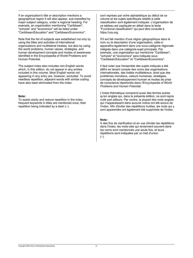If an organization's title or description mentions a geographical region it will also appear, sub-classified by major subject category, under a regional heading. For example, an organization mentioning "Caribbean", "schools" and "economics" will be listed under "Caribbean/Education" and "Caribbean/Economics".

Note that the list of subjects was established not only by using the titles and activities of international organizations and multilateral treaties, but also by using the world problems, human values, strategies, and human development concepts and modes of awareness identified in the Encyclopedia of World Problems and Human Potential.

The subject index also includes non-English words which, in this edition, do not appear in any entries included in this volume. Most English words not appearing in any entry are, however, excluded. To avoid needless repetition, adjacent words with similar coding have also been eliminated from the index.

### **Note:**

To assist clarity and reduce repetition in the index, frequent keywords in titles are mentioned once, their repetition being indicated by a dash (–).

sont reprises par ordre alphabétique au début de ce volume et les sujets spécifiques relatifs à cette classification sont également indiqués. L'organisation de ce tableau est expliquée en détail dans le texte "Functional classification" qui peut être consulté à https://uia.org.

S'il est fait mention d'une région géographique dans le nom ou la description d'une organisation, celle-ci apparaîtra également dans une sous-catégorie régionale intégrée dans une catégorie-sujet principale. Par exemple, une organisation qui mentionne "Caribbean", "schools" et "economics" sera indiquée sous "Caribbean/Education" et "Caribbean/Economics".

Il faut noter que l'ensemble des sujets indiqués a été défini en tenant compte des noms des organisations internationales, des traités multilatéraux, ainsi que des problèmes mondiaux, valeurs humaines, stratégies, concepts de développement humain et modes de prise de conscience répertoriés dans *l'Encyclopedia of World Problems and Human Potential*.

L'index thématique comprend aussi des termes autres qu'en anglais qui, dans la présente édition, ne sont repris nulle part ailleurs. Par contre, la plupart des mots anglais qui n'apparaissent dans aucune notice ont été exclus de l'index. Afin d'éviter des répétitions inutiles, les mots qui y sont apparentés ont également été supprimés de l'index.

### **Note:**

A des fins de clarification et en vue d'éviter les répétitions dans l'index, les mots-clés qui reviennent souvent dans les noms sont mentionnés une seule fois, et leurs répétitions sont indiquées par un trait d'union  $(-).$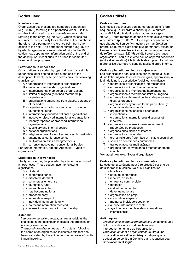# **Codes used**

# **Number codes**

Organization descriptions are numbered sequentially (e.g. •00023) following the alphabetical order. It is this number that is used in any cross-reference or index referring to the entry (e.g. •00023). Organizations are renumbered sequentially for each edition. The number is therefore not a permanent reference point from one edition to the next. The permanent number (e.g. B2345) by which organizations were ordered prior to the 29th edition now appears (for information only) at the end of the description. It continues to be used for computerbased editorial purposes.

# **Letter codes in upper case**

Organizations are coded by type, indicated by a single upper case letter printed in bold at the end of the description. In brief, these type codes have the following significance:

- A = federations of international organizations
- B = universal membership organizations
- C = intercontinental membership organizations
- D = limited or regionally defined membership organizations
- E = organizations emanating from places, persons or other bodies
- $F =$  organizations having a special form, including foundations, funds
- G = internationally-oriented national organizations
- H = inactive or dissolved international organizations J = recently reported or proposed international
- organizations  $K =$  subsidiary and internal bodies
- N = national organizations
- $R$  = religious orders, fraternities and secular institutes
- S = autonomous conference series
- T = multilateral treaties and agreements
- U = currently inactive non-conventional bodies For further information, see the Appendix: "Types of organization".

# **Letter codes in lower case**

The type code may be preceded by a letter code printed in lower case. These codes have the following significance:

- b = bilateral
- c = conference series
- d = dissolved, dormant
- e = commercial enterprise
- $f =$  foundation, fund
- j = research institute
- n = has become national
- p = proposed body
- s = information suspect
- v = individual membership only
- x = no recent information received
- y = international organization membership

# **Asterisks**

- *– Intergovernmental organizations:* An asterisk as the final code in the description indicates the organization is intergovernmental.
- *Translated organization names:* An asterisk following the name of an organization indicates a title that has been translated by the editors for the purposes of multilingual indexing.

# **Codes utilisés**

### **Codes numériques**

Les notices descriptives sont numérotées dans l'ordre séquentiel qui suit l'ordre alphabétique. Le numéro apparaît à la droite du titre de chaque notice (p.ex. •00023). Toute référence donnée renvoie exclusivement à ce numéro (p.ex. •00023). Cela a pour conséquence que chaque édition de l'Annuaire a sa numérotation propre. Le numéro n'est donc plus permanent, faisant un lien entre les différentes éditions. Le numéro permanent de référence (p.ex. B2345) qui était propre à chaque organisation jusqu'à la 29ème édition apparaît désormais (à titre d'information) à la fin de la description. Il continue à être utilisé pour des raisons de facilité d'ordre interne.

# **Codes alphabétiques: lettres majuscules**

Les organisations sont codifiées par catégorie à l'aide d'une lettre majuscule en caractère gras, apparaissant à la fin de la notice descriptive. Voici leur signification:

- $A = f$ édérations d'organisations internationales
- $B =$  organisations à membrariat universel
- C = organisations à membrariat intercontinental
- D = organisations à membrariat limité ou régional
- $E =$  organisations émanant de lieus, de personnes ou d'autres organes
- $F =$  organisations ayant une forme particulière, y compris fondations, fonds
- G = organisations nationales à orientation internationale
- H = organisations internationales dissoutes et inactives
- J = organisations internationales récemment rapportées ou proposées
- $K =$  organes subsidiaires et internes
- $N =$  organisations nationales
- R = ordres religieux, fraternités et instituts séculaires
- $S =$  séries de conférences autonomes<br> $T =$  traités et accords multilatéraux
- = traités et accords multilatéraux
- U = organes non-conventionnels momentanément inactifs

Voir aussi l'Annexe: "Types d'organisation".

# **Codes alphabétiques: lettres minuscules**

Le code de la catégorie peut être précédé par une ou deux lettres minuscules. Voici leur signification:

- b = bilatérale
- c = série de conférences
- d = inactive, dissoute
- e = entreprise commerciale
- $f =$  fondation
- $j =$  institut de recherche
- n = devenue nationale
- p = organisation en projet
- s = information suspecte
- $v =$  membres individuels seulement
- x = aucune information récente
- y = ayant comme membres des organisations internationales

# **Astérisques**

- *Organisations intergouvernementales:* Un astérisque à la fin de la description indique la nature intergouvernementale de l'organisation.
- *Traduction du nom d'organisation:* Le titre d'une organisation suivi d'un astérisque indique que la traduction de ce titre a été faite par la rédaction pour l'indexation multilingue.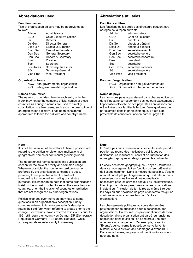# **Abbreviations used**

### **Function names**

Title of organization officers may be abbreviated as follows:

| Administrator                  |
|--------------------------------|
| <b>Chief Executive Officer</b> |
| Director                       |
| Director General               |
| <b>Executive Director</b>      |
| <b>Executive Secretary</b>     |
| <b>General Secretary</b>       |
| <b>Honorary Secretary</b>      |
| President                      |
| Secretary                      |
| Secretary-Treasurer            |
| Secretary-General              |
| Vice-President                 |
|                                |

### **Organization forms**

NGO non-governmental organization

IGO intergovernmental organization

# **Names of countries**

The names of countries given in each entry or in the index may not be the complete official names of those countries as abridged names are used to simplify consultation. In a few cases, such as in the description of an organization's history, it has been considered appropriate to leave the old form of a country's name.

# **Abréviations utilisées**

### **Fonctions et titres**

Les fonctions ou les titres des directeurs peuvent être abrégés de la façon suivante:

| Admin<br>CFO<br>Dir<br>Dir Gen<br>Exec Dir<br>Exec Sec<br>Gen Sec<br>Hon Sec<br>Pres<br>Sec<br>Sec Treas<br>SG | administrateur<br>Chef de l'exécutif<br>directeur<br>directeur général<br>directeur exécutif<br>secrétaire exécutif<br>secrétaire général<br>secrétaire honoraire<br>président<br>secrétaire<br>secrétaire-trésorier<br>secrétaire général |
|----------------------------------------------------------------------------------------------------------------|--------------------------------------------------------------------------------------------------------------------------------------------------------------------------------------------------------------------------------------------|
| Vice-Pres                                                                                                      |                                                                                                                                                                                                                                            |
|                                                                                                                | vice-président                                                                                                                                                                                                                             |

### **Formes d'organisation**

NGO Organisation non-gouvernementale IGO Organisation intergouvernementale

### **Noms de pays**

Les noms des pays apparaissant dans chaque notice ou dans l'index ne correspondent pas toujours exactement à l'appellation officielle de ces pays. Des abréviations ont été utilisées pour faciliter la lecture. Dans quelques cas, par exemple dans la partie historique, il a été jugé préférable de conserver l'ancien nom du pays cité.

# **Note**

It is not the intention of the editors to take a position with regard to the political or diplomatic implications of geographical names or continental groupings used.

The geographical names used in this publication are chosen for the sake of brevity and common usage. Wherever possible, the country (or territory) name preferred by the organization concerned is used, providing this is possible within the limits of standardization required for mailing or statistical purposes. It is important to note that some organizations insist on the inclusion of territories on the same basis as countries, or on the inclusion of countries or territories that are not recognized by other organizations.

Political changes over the years may lead to some questions in an organization's description. Briefly: countries referred to in an organization's description retain their old form when referring to a date prior to the change. For example, towns referred to in events prior to 1991 still retain their country as German DR (Democratic Republic) or Germany FR (Federal Republic), while subsequent dates refer simply to Germany.

# **Note**

Il n'entre pas dans les intentions des éditeurs de prendre position au regard des implications politiques ou diplomatiques résultant du choix et de l'utilisation des noms géographiques ou de groupements continentaux.

Le choix des noms géographiques – pays ou territoires – dans cet ouvrage est fait en fonction de leur brièveté et de l'usage commun. Dans la mesure du possible, c'est le nom tel qu'adopté par l'organisation qui est retenu, mais seulement dans les limites d'une normalisation nécessaire pour les services postaux ou les statistiques. Il est important de rappeler que certaines organisations insistent sur l'inclusion de territoires au même titre que les pays ou sur l'inclusion de pays et de territoires qui ne sont pas reconnus comme tels par d'autres organisations.

Les changements politiques au cours des années peuvent poser de questions pour la description des organisations. En résumé: les pays mentionnés dans la description d'une organisation ont gardé leur ancienne appellation dans le cas où l'on se réfère à une date antérieure au changement. Par exemple, la section "Events", qui concerne le passé, conserve la vérité historique de la division de l'Allemagne d'avant 1991. Dans les adresses, les pays sont mentionnés sous leur nouveau nom.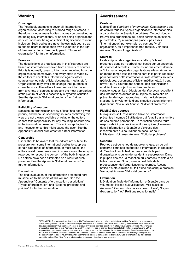# **Warning**

### **Coverage**

The Yearbook attempts to cover all "international organizations", according to a broad range of criteria. It therefore includes many bodies that may be perceived as not being fully international, or as not being organizations as such, or as not being of sufficient significance to merit inclusion. Such bodies are nevertheless included, so as to enable users to make their own evaluation in the light of their own criteria. See the Appendix "Types of organization" for further information.

### **Sources**

The descriptions of organizations in this Yearbook are based on information received from a variety of sources. Priority is normally given to information received from the organizations themselves, and every effort is made by the editors to check this information against other sources (periodicals, official documents, media, etc.). Organizations may over time change their purpose or characteristics. The editors therefore use information from a variety of sources to present the most appropriate static picture of what is essentially a dynamic situation. See the Appendix "Editorial problems" for further information.

### **Reliability of sources**

Because an organization's view of itself has been given priority, and because secondary sources confirming this view are not always available or reliable, the editors cannot take responsibility for any resulting inaccuracies in the information presented. The editors apologize for any inconvenience this might cause the user. See the Appendix "Editorial problems" for further information.

# **Censorship**

Users should be aware that the editors are subject to pressure from some international bodies to suppress certain categories of information. In most cases, the editors resist these pressures; in some cases, the entry is reworded to respect the concern of the body in question. No entries have been eliminated as a result of such pressure. See the Appendix "Editorial problems" for further information.

### **Evaluation**

The final evaluation of the information presented here must be left to the users of this volume. See the Appendices "Contents of organization descriptions", "Types of organization" and "Editorial problems and policies" for further information.

# **Avertissement**

### **Contenu**

L'objectif du *Yearbook of International Organizations* est de couvrir tous les types d'organisations internationales, à partir d'un large éventail de critères. On peut donc y trouver des organismes qui, selon certaines définitions plus étroites, n'y auraient pas place – pas assez "internationaux" par exemple, ou pas une "vrai" organisation, ou d'importance trop réduite. Voir aussi Annexe: "Types of organization".

### **Sources**

La description des organisations telle qu'elle est présentée dans ce Yearbook est basée sur un ensemble de sources différentes. Priorité est normalement donnée à l'information reçue des organisations elles-mêmes, et en même temps tous les efforts sont faits par la rédaction pour contrôler cette information à l'aide d'autres sources (périodiques, documents officiels, médias, etc.). Il peut arriver, qu'au courant des années, des organisations modifient leurs objectifs ou changent leurs caractéristiques. Les rédacteurs du *Yearbook* recueillent des informations auprès de multiples sources afin de présenter de façon appropriée, mais inévitablement statique, la physionomie d'une situation essentiellement dynamique. Voir aussi Annexe: "Editorial problems".

### **Fiabilité des sources**

Quoiqu'il en soit, l'évaluation finale de l'information présentée incombe à l'utilisateur qui l'établira à la lumière de ses critères personnels. La rédaction décline toute responsabilité pour les inexactitudes qui se glisseraient dans l'information présentée et s'excuse des inconvénients qui pourraient en découler pour l'utilisateur. Voir aussi Annexe: "Editorial problems".

### **Censure**

Peut-être est-ce le lieu de rappeler ici que, en ce qui concerne certaines catégories d'information, la rédaction du Yearbook est l'objet de pressions de la part d'organisations qui en demandent la suppression. Dans la plupart des cas, la rédaction du Yearbook résiste à de telles pressions. Sinon, mention est faite de la préoccupation de l'organisation concernée. Aucune notice n'a été éliminée du fait d'une quelconque pression. Voir aussi Annexe: "Editorial problems".

### **Evaluation**

L'évaluation finale de l'information présentée dans ce volume est laissée aux utilisateurs. Voir aussi les Annexes " Contenu des notices descriptives", "Types d'organisation" et " Politique rédactionnelle".

DISCLAIMER. The organizations described in this Yearbook are invited annually to update their profiles. By updating or approving a profile, the organization gives its fully informed permission to the Union of International Associations (UIA) to collect, save and use the data the organization thus submits, in order to execute UIA's core activities as set out in https://uia.org/core-activities. At any time an<br>organization described in this Yearbook may ask UIA to remove, free of charge, it responsible for processing the data it receives in accordance with the *General Data Protection Regulation* of the European Union. UIA will take all reasonable measures to ensure the protection of the data it holds. Those who submit data acknowledge and agree that the transmission of data is never without risk and therefore potential damage due to the unlawful use of information by third parties cannot be claimed from UIA. For more information, please see https://uia.org/privacypolicy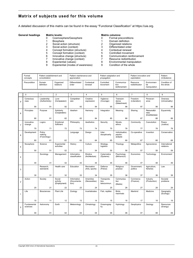# **Matrix of subjects used for this volume**

A detailed discussion of this matrix can be found in the essay "Functional Classification" at https://uia.org.

# **General headings Matrix levels: Matrix columns:** 0 Cosmosphere/Geosphere **Matrix columns:** 0 Formal preconditions

- 0 Cosmosphere/Geosphere<br>1 Biosphere
- 
- 1 Biosphere 1 Biosphere 1 Domain definition<br>
2 Social action (structure) 1 2 Organized relations<br>
1 Domain definition<br>
1 Domain definition<br>
1 Domain definition<br>
1 Domain definition
- 3 Social action (context) 3 Differentiated order<br>4 Concept formation (structure) 4 Contextual renewal
- 4 Concept formation (structure) 4 Contextual renewal
- 5 Concept formation (context) 5 Controlled movement
- 6 Innovative change (structure) 6 Communication reinforcement
- 
- 
- 
- 
- 
- Social action (structure) 2 Drganized relations<br>
Social action (context) 3 Differentiated order
	-
	-
	-
	-
- 7 Innovative change (context) 7 Resource redistribution
- 8 Experiential (values) 8 Environmental manipulation
- 9 Experiential (modes of awareness) 9 Condition of the whole

| Formal<br>concepts | Pattern establishment and<br>consolidation |                        | Pattern maintenance and<br>appreciation |                       | Pattern adaptation and<br>propagation |                                     | Pattern innovation and<br>exploitation |                                    | Pattern<br>(im)balance    |
|--------------------|--------------------------------------------|------------------------|-----------------------------------------|-----------------------|---------------------------------------|-------------------------------------|----------------------------------------|------------------------------------|---------------------------|
| Precondition       | Domain<br>definition                       | Organized<br>relations | Differentiated<br>order                 | Contextual<br>renewal | Controlled<br>movement                | Communica-<br>tion<br>reinforcement | Resource<br>redistribution             | Environmen-<br>tal<br>manipulation | Condition of<br>the whole |

|                | $\Omega$                | $\mathbf{1}$                     | $\overline{2}$                     | 3                                   | $\overline{4}$                    | 5                                   | 6                                     | $\overline{7}$          | 8                                       | 9                          |
|----------------|-------------------------|----------------------------------|------------------------------------|-------------------------------------|-----------------------------------|-------------------------------------|---------------------------------------|-------------------------|-----------------------------------------|----------------------------|
| 9              | Conscious-<br>ness      | Leadership<br>(Authenticity)     | Love<br>(Compassion)               | Comprehen-<br>sion                  | Creative<br>expression            | Vigilance<br>(Courage)              | Transcen-<br>dence<br>(Detachment)    | Freedom<br>(Liberation) | Persever-<br>ance                       | Oneness<br>(Universality)  |
|                | 90                      | 91                               | 92                                 | 93                                  | 97<br>94<br>95<br>96              |                                     | 98                                    | 99                      |                                         |                            |
| 8              | Principles              | Purpose                          | Solidarity<br>(Cooperation)        | Idealism                            | Harmony                           | Integration                         | Meaning                               | Sharing                 | Resourceful-<br>ness<br>(Inventiveness) | Equanimity                 |
|                | 80                      | 81                               | 82                                 | 83                                  | 84                                | 85                                  | 86                                    | 87                      | 88                                      | 89                         |
| $\overline{7}$ | Innovative<br>change    | Logics                           | Emotional<br>fulfilment            | Philosophy                          | Aesthetics                        | Security                            | Morals,<br>ethics                     | Community               | Coevolution                             | Peace<br>(Justice)         |
|                | 70                      | 71                               | 72                                 | 73                                  | 74                                | 75                                  | 76                                    | 77                      | 78                                      | 79                         |
| 6              | Development             | Policy<br>making<br>(Futurology) |                                    | Language                            | Design                            | Inter-<br>disciplinarity            | Individuation,<br>psycho-<br>analysis | Co-operative            | Invention                               | Conservation               |
|                | 60                      | 61                               | 62                                 | 63                                  | 64                                | 65                                  | 66                                    | 67                      | 68                                      | 69                         |
| 5              | Noosphere               | Science                          | Experiential<br>activities         | History                             | Culture                           | Strategy,<br>logistics              | Theology                              | Metapolitics            | Agroscience                             | International<br>relations |
|                | 50                      | 51                               | 52                                 | 53                                  | 54                                | 55                                  | 56                                    | 57                      | 58                                      | 59                         |
| 4              |                         | Sociology                        | Management                         | Informatics,<br>classification      | <b>Ekistics</b><br>(Architecture) | Cybernetics<br>(Systems)            | Psychology<br>(Behaviour)             | Economics               | Technology                              | Environment                |
|                | 40                      | 41                               | 42                                 | 43                                  | 44                                | 45                                  | 46                                    | 47                      | 48                                      | 49                         |
| 3              |                         | Research.<br>standards           | Health care                        | Education                           | Recreation<br>(Arts, sports)      | Defence<br>(Police)                 | Religious<br>practice                 | Government.<br>politics | Agriculture,<br>fisheries               | Law                        |
|                | 30                      | 31                               | 32                                 | 33                                  | 34                                | 35                                  | 36                                    | 37                      | 38                                      | 39                         |
| $\overline{2}$ | Action                  | Society                          | Social<br>activity<br>(Employment) | Information<br>(Documenta-<br>tion) | Amenities<br>(Necessities)        | Transporta-<br>tion.<br>telecommun. | Communica-<br>tion<br>(Media)         | Commerce<br>(Finance)   | Industry<br>(Production)                | Societal<br>problems       |
|                | 20                      | 21                               | 22                                 | 23                                  | 24                                | 25                                  | 26                                    | 27                      | 28                                      | 29                         |
| $\mathbf{1}$   | Life                    | <b>Biosciences</b>               | Plant Life                         | Zoology                             | Invertebrates                     | Fish, reptiles                      | Birds.<br>mammals                     | Mankind                 | Medicine                                | Geography<br>(Ecology)     |
|                | 10                      | 11                               | 12                                 | 13                                  | 14                                | 15                                  | 16                                    | 17                      | 18                                      | 19                         |
| $\mathbf 0$    | Fundamental<br>sciences | Astronomy                        | Earth                              | Meteorology                         | Climatology                       | Oceanograp<br>hy                    | Hydrology                             | Geophysics              | Geology                                 | Resources<br>(Energy)      |
|                | 00                      | 01                               | 02                                 | 03                                  | 04                                | 05                                  | 06                                    | 07                      | 08                                      | 09                         |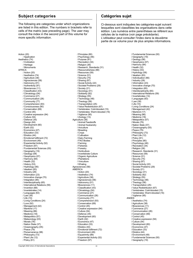# **Subject categories**

Action (20)

The following are categories under which organizations are listed in this edition. The numbers in brackets refer to cells of the matrix (see preceding page). The user may consult the index in the second part of this volume for more specific information.

/ Application Aesthetics (74) / Civilization / Heritage / Monuments AFRICA / Action (20) / Aesthetics (74) / Agriculture (38) / Agrosciences (58) / Astronomy (01) / Authenticity (91) / Biosciences (11) / Classification (43) / Climatology (04) / Commerce (27) / Communication (26) / Community (77) / Comprehension (93) / Consciousness (90) / Conservation (69) / Control (45) / Creative expression (94) / Culture (54) / Defence (35) / Design (64) / Development (60) / Earth (02) / Economics (47) / Education (33) / Ekistics (44) / Emotional fulfilment (72) / Environment (49) / Experiential Activity (52) / Freedom (97) / Fundamental Sciences (00) / Geography (19) / Geology (08) / Geophysics (07) / Harmony (84)  $/$  Health  $(32)$ / History (53) / Hydrology (06) / Idealism (83) / Industry (28) / Information (23) / Innovative change (70) / Integration (85) / Interdisciplinarity (65) / International Relations (59) / Invention (68) / Invertebrates (14) / Languages (63) / Law (39) / Life (10) / Living Conditions (24) / Love (92) / Management (42) / Mankind (17) / Meaning (86) / Medicine (18) / Metapolitics (57) / Meteorology (03) / Morals (76) / Nation State (37) / Oceanography (05) / Peace (79) / Perserverance (98) / Philosophy (73) / Plant Life (12) / Policy (61)

/ Principles (80) / Psychology (46) / Purpose (81) / Recreation (34) / Religion (36) / Research, Standards (31) / Resourcefulness (88) / Resources (09) / Science (51) / Security (75) / Sharing (87) / Social Activity (22) / Societal Problems (29) / Society (21) / Sociology (41) / Solidarity (82) / Strategy (55) / Technology (48) / Theology (56) / Transportation (25) / Value Redistribution (67) / Vertebrates: Cold-blooded (15) / Vertebrates: Warm-blooded (16) / Vigilance (95)  $/$  Zoology  $(13)$ Agriculture (38) / Animal Feedstuffs / Animal Husbandry / Aviculture / Breeding / Crops / Cultivation / Dairy Farming / FAO Bodies / Farming / Fisheries / Forestry / Horticulture / Invertebrate Culture / Organic Agriculture / Plantations / Viniculture / Whaling Agrosciences (58) AMERICA / Action (20) / Aesthetics (74) / Agriculture (38) / Agrosciences (58) / Astronomy (01) / Biosciences (11) / Classification (43) / Climatology (04) / Commerce (27) / Communication (26) / Community (77) / Comprehension (93) / Conservation (69) / Control (45) / Creative expression (94) / Culture (54) / Defence (35) / Development (60) / Earth (02) / Economics (47) / Education (33) / Ekistics (44) / Emotional fulfilment (72) / Environment (49) / Equanimity (89) / Experiential Activity (52) / Freedom (97)

**Catégories sujet**

Ci-dessous sont indiquées les catégories-sujet suivant lesquelles sont classifiées les organisations dans cette édition. Les numéros entre parenthèses se réfèrent aux

cellules de la matrice (voir page précédante). L'utilisateur peut consulter l'index dans la deuxième partie de ce volume pour de plus amples informations.

#### / Fundamental Sciences (00) / Geography (19) / Geology (08) / Geophysics (07) / Harmony (84) / Health (32) / History (53) / Hydrology (06) / Idealism (83) / Individuation (66) / Industry (28) / Information (23) / Innovative change (70) / Integration (85) / Interdisciplinarity (65) / International Relations (59) / Invertebrates (14) / Languages (63) / Law (39) / Life (10) / Living Conditions (24) / Management (42) / Mankind (17) / Meaning (86) / Medicine (18) / Metapolitics (57) / Morals (76) / Nation State (37) / Oceanography (05) / Peace (79) / Philosophy (73) / Plant Life (12) / Policy (61) / Principles (80) / Psychology (46) / Recreation (34) / Religion (36) / Research, Standards (31) / Resources (09) / Science (51) / Security (75) / Sharing (87) / Social Activity (22) / Societal Problems (29) / Society (21) / Sociology (41) / Solidarity (82) / Strategy (55) / Technology (48) / Theology (56) / Transportation (25) / Value Redistribution (67) / Vertebrates: Cold-blooded (15) / Vertebrates: Warm-blooded (16) / Vigilance (95) ANDES / Aesthetics (74) / Agriculture (38) / Biosciences (11) / Commerce (27) / Communication (26) / Conservation (69) / Control (45) / Creative expression (94) / Culture (54) / Development (60) / Economics (47) / Education (33) / Ekistics (44) / Environment (49) / Fundamental Sciences (00) / Geography (19)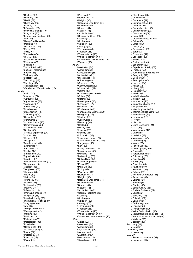/ Geology (08) / Harmony (84) / Health (32) / Hydrology (06) / Industry (28) / Information (23) / Innovative change (70) / Integration (85) / International Relations (59) / Law (39) / Living Conditions (24) / Medicine (18) / Nation State (37) / Peace (79) / Policy (61) / Recreation (34) / Religion (36) / Research, Standards (31) / Resources (09) / Science (51) / Social Activity (22) / Societal Problems (29) / Society (21) / Solidarity (82) / Strategy (55) / Technology (48) / Theology (56) / Transportation (25) / Vertebrates: Warm -blooded (16) ARAB / Action (20) / Aesthetics (74) / Agriculture (38) / Agrosciences (58) / Astronomy (01) / Authenticity (91) / Biosciences (11) / Classification (43) / Climatology (04) / Co -evolution (78) / Commerce (27) / Communication (26) / Comprehension (93) / Conservation (69) / Control (45) / Creative expression (94) / Culture (54) / Defence (35) / Design (64) / Development (60) / Economics (47) / Education (33) / Ekistics (44) / Environment (49) / Equanimity (89) / Freedom (97) / Fundamental Sciences (00) / Geography (19) / Geology (08) / Geophysics (07) / Harmony (84)  $/$  Health  $(32)$ / History (53) / Hydrology (06) / Idealism (83) / Individuation (66) / Industry (28) / Information (23) / Innovative change (70) / Integration (85) / Interdisciplinarity (65) / International Relations (59) / Languages (63) / Law (39) / Living Conditions (24) / Management (42) / Mankind (17) / Medicine (18) / Metapolitics (57) / Meteorology (03) / Morals (76) / Nation State (37) / Oceanography (05) / Peace (79) / Philosophy (73) / Plant Life (12) / Policy (61)

/ Purpose (81) / Recreation (34) / Religion (36) / Research, Standards (31) / Resources (09) / Science (51) / Security (75) / Social Activity (22) / Societal Problems (29) / Society (21) / Sociology (41) / Solidarity (82) / Strategy (55) / Technology (48) / Theology (56) / Transportation (25) / Value Redistribution (67) / Vertebrates: Cold -blooded (15) / Vigilance (95) **ASEAN** / Aesthetics (74) / Agriculture (38) / Agrosciences (58) / Authenticity (91) / Biosciences (11) / Climatology (04) / Commerce (27) / Communication (26) / Conservation (69) / Control (45) / Creative expression (94) / Culture (54) / Defence (35) / Development (60) / Economics (47)  $/$  Education  $(33)$ / Environment (49) / Fundamental Sciences (00) / Geography (19) / Geology (08) / Geophysics (07) / Harmony (84) / Health (32) / History (53) / Idealism (83) / Industry (28) / Information (23) / Innovative change (70) / International Relations (59) / Languages (63) / Law (39) / Living Conditions (24) / Management (42) / Medicine (18) / Meteorology (03) / Nation State (37) / Oceanography (05) / Peace (79) / Plant Life (12) / Policy (61) / Psychology (46) / Recreation (34) / Religion (36) / Research, Standards (31) / Resources (09) / Science (51) / Security (75) / Social Activity (22) / Societal Problems (29) / Society (21) / Sociology (41) / Solidarity (82) / Strategy (55) / Technology (48) / Theology (56) / Transportation (25) / Value Redistribution (67) / Vertebrates: Warm -blooded (16) ASIA / Action (20) / Aesthetics (74) / Agriculture (38) / Agrosciences (58) / Astronomy (01) / Authenticity (91) / Biosciences (11) / Classification (43)

/ Climatology (04) / Co -evolution (78) / Commerce (27) / Communication (26) / Community (77) / Comprehension (93) / Consciousness (90) / Conservation (69) / Control (45) / Creative expression (94) / Culture (54) / Defence (35) / Design (64) / Development (60) / Earth (02) / Economics (47) / Education (33) / Ekistics (44) / Environment (49) / Equanimity (89) / Experiential Activity (52) / Freedom (97) / Fundamental Sciences (00) / Geography (19) / Geology (08) / Geophysics (07) / Harmony (84)  $/$  Health  $(32)$ / History (53) / Hydrology (06) / Idealism (83) / Individuation (66) / Industry (28) / Information (23) / Innovative change (70) / Integration (85) / Interdisciplinarity (65) / International Relations (59) / Invertebrates (14) / Languages (63) / Law (39) / Life (10) / Living Conditions (24) / Love (92) / Management (42) / Mankind (17) / Medicine (18) / Metapolitics (57) / Meteorology (03) / Morals (76) / Nation State (37) / Oceanography (05) / Peace (79) / Perserverance (98) / Philosophy (73) / Plant Life (12) / Policy (61) / Principles (80) / Psychology (46) / Recreation (34) / Religion (36) / Research, Standards (31) / Resources (09) / Science (51) / Security (75) / Sharing (87) / Social Activity (22) / Societal Problems (29) / Society (21) / Sociology (41) / Solidarity (82) / Strategy (55) / Technology (48) / Theology (56) / Transportation (25) / Value Redistribution (67) / Vertebrates: Cold -blooded (15) / Vertebrates: Warm -blooded (16) / Vigilance (95) / Zoology (13) Astronomy (01) / Geodesy Authenticity (91) / Leadership BALKAN / Research, Standards (31) / Resources (09)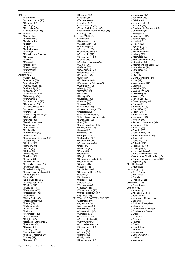/ Commerce (27) / Communication (26) / Defence (35) / Health (32) / Recreation (34) / Transportation (25) Biosciences (11) / Bacteriology / Biochemicals / Biochemistry / Biology / Biophysics / Biotechnology / Cytology / Evolution and Species / Genetics / Growth / Microbiology / Morphology / Paleontology / Parasitology / Proteins CARIBBEAN / Action (20) / Aesthetics (74) / Agriculture (38) / Agrosciences (58) / Authenticity (91) / Biosciences (11) / Classification (43) / Climatology (04) / Commerce (27) / Communication (26) / Community (77) / Consciousness (90) / Conservation (69) / Control (45) / Creative expression (94) / Culture (54) / Defence (35) / Development (60) / Economics (47)  $/$  Education (33) / Ekistics (44) / Environment (49) / Freedom (97) / Fundamental Sciences (00) / Geography (19) / Geology (08) / Harmony (84) / Health (32) / History (53) / Hydrology (06) / Idealism (83) / Industry (28) / Information (23) / Innovative change (70) / Integration (85) / Interdisciplinarity (65) / International Relations (59) / Languages (63) / Law (39) / Living Conditions (24) / Management (42) / Mankind (17) / Medicine (18) / Metapolitics (57) / Meteorology (03) / Morals (76) / Nation State (37) / Oceanography (05) / Peace (79) / Philosophy (73) / Plant Life (12) / Policy (61) / Psychology (46) / Recreation (34) / Religion (36) / Research, Standards (31) / Resources (09) / Science (51) / Security (75) / Social Activity (22) / Societal Problems (29) / Society (21) / Sociology (41)

/ Solidarity (82) / Strategy (55) / Technology (48) / Theology (56) / Transportation (25) / Value Redistribution (67) / Vertebrates: Warm -blooded (16) / Zoology (13) CENTRAL AMERICA / Agriculture (38) / Biosciences (11) / Classification (43) / Climatology (04) / Commerce (27) / Communication (26) / Community (77) / Conservation (69) / Control (45) / Creative expression (94) / Culture (54) / Defence (35 ) / Development (60) / Economics (47) / Education (33) / Ekistics (44) / Environment (49) / Fundamental Sciences (00) / Geography (19) / Geology (08) / Harmony (84) / Health (32) / History (53) / Hydrology (06) / Idealism (83) / Industry (28) / Information (23) / Innovative change (70) / Integration (85) / Interdisciplinarity (65) / International Relations (59) / Languages (63) / Law (39) / Living Conditions (24) / Management (42) / Mankind (17) / Medicine (18) / Metapolitics (57) / Meteorology (03) / Nation State (37) / Oceanography (05) / Peace (79) / Plant Life (12) / Policy (61) / Recreation (34) / Religion (36) / Research, Standards (31) / Resources (09) / Science (51) / Security (75) / Social Activity (22) / Societal Problems (29) / Society (21) / Sociology (41) / Solidarity (82) / Strategy (55) / Technology (48) / Theology (56) / Transportation (25) / Value Redistribution (67) / Vigilance (95) CENTRAL AND EASTERN EUROPE / Aesthetics (74) / Agriculture (38) / Agrosciences (58) / Biosciences (11) / Classification (43) / Climatology (04) / Commerce (27) / Communication (26) / Community (77) / Comprehension (93) / Conservation (69) / Control (45) / Culture (54) / Defence (35) / Design (64) / Development (60)

/ Economics (47)  $/$  Education  $(33)$ / Ekistics (44) / Environment (49) / Freedom (97) / Fundamental Sciences (00) / Geography (19) / Geology (08) / Geophysics (07) / Harmony (84)  $/$  Health  $(32)$ / History (53) / Hydrology (06) / Idealism (83) / Individuation (66) / Industry (28)  $/$  Information (23) / Innovative change (70) / Integration (85) / International Relations (59) / Invertebrates (14) / Languages (63) / Law (39) / Life (10) / Living Conditions (24) / Love (92) / Management (42) / Mankind (17) / Medicine (18) / Metapolitics (57) / Meteorology (03) / Morals (76) / Nation State (37) / Oceanography (05) / Peace (79) / Philosophy (73) / Plant Life (12) / Policy (61) / Principles (80) / Recreation (34) / Religion (36) / Research, Standards (31) / Resources (09) / Science (51) / Security (75) / Social Activity (22) / Societal Problems (29) / Society (21) / Sociology (41) / Solidarity (82) / Technology (48) / Theology (56) / Transportation (25) / Value Redistribution (67) / Vertebrates: Cold -blooded (15) / Vertebrates: Warm -blooded (16) / Vigilance (95) Classification (43) / Informatics Climatology (04) / Arctic Zones / Arid Zones / Climate / Tropical Zones Co -evolution (78) / Coexistence Commerce (27) / Accounting / Agencies, Dealers / Assessment / Assurance, Reinsurance / Banking / Business Enterprises / Chambers / Commercial Exchange / Conditions of Trade / Credit / Currency / Customs / Finance / Funds / Import, Export / Insurance / Investment / Land Ownership / Market / Merchandise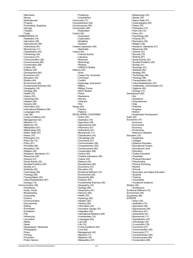/ Merchants / Money / Multinationals / Property / Purchasing, Supplying / Savings / Taxation / Trade COMMONWEALTH / Aesthetics (74) / Agriculture (38) / Agrosciences (58) / Authenticity (91) / Biosciences (11) / Classification (43) / Climatology (04) / Commerce (27) / Communication (26) / Consciousness (90) / Conservation (69) / Culture (54) / Defence (35) / Development (60) / Economics (47) / Education (33) / Ekistics (44) / Environment (49) / Fundamental Sciences (00) / Geography (19) / Geology (08) / Health (32) / History (53) / Hydrology (06) / Idealism (83) / Industry (28) / Information (23) / International Relations (59) / Languages (63) / Law (39) / Living Conditions (24) / Management (42) / Mankind (17) / Medicine (18) / Metapolitics (57) / Meteorology (03) / Nation State (37) / Peace (79) / Philosophy (73) / Plant Life (12) / Policy (61) / Principles (80) / Recreation (34) / Religion (36) / Research, Standards (31) / Resources (09) / Science (51) / Social Activity (22) / Societal Problems (29) / Society (21) / Solidarity (82) / Technology (48) / Theology (56) / Transportation (25) / Value Redistribution (67) / Zoology (13) Communication (26) / Advertising / Audio, Visual / Broadcasting / Censorship / Cinema / Communicators / Documentary / Editing / Exchanges / Exhibitions / Film / Influencing / Journalism / Media / News / Newspapers, Newsreels / Photography / Press / Printing / Promotion / Public Opinion

/ Publishing / Unpublished Community (77) Comprehension (93) Consciousness (90) Conservation (69) / Restoration Control (45) / Automation / Cybernetics / Modelling / Systems Creative expression (94) / Spirituality Culture (54) / Cultural Activity / Literature / Museums / Musicology / Rhetoric / UNESCO Bodies Defence (35) / Arms / Cease -Fire, Surrender / Command / Conflict / Espionage, Subversion / Military / Military Forces / NATO Bodies / Police / Resistance / Secrecy / Veterans / War Design (64) / Fashion / Patterns DEVELOPING COUNTRIES / Action (20) / Aesthetics (74) / Agriculture (38) / Agrosciences (58) / Astronomy (01) / Authenticity (91) / Biosciences (11) / Classification (43) / Climatology (04) / Commerce (27) / Communication (26) / Comprehension (93) / Consciousness (90) / Conservation (69) / Control (45) / Creative expression (94) / Culture (54) / Defence (35) / Development (60) / Economics (47)  $/$  Education  $(33)$ / Emotional fulfilment (72) / Environment (49) / Equanimity (89) / Freedom (97) / Fundamental Sciences (00) / Geography (19)  $/$  Geology  $(08)$ / Geophysics (07) / Harmony (84) / Health (32 ) / Hydrology (06) / Idealism (83) / Industry (28) / Information (23) / Innovative change (70) / Integration (85) / International Relations (59) / Invertebrates (14) / Languages (63) / Law (39) / Life (10) / Living Conditions (24) / Love (92) / Management (42) / Mankind (17) / Medicine (18) / Metapolitics (57)

/ Meteorology (03) / Morals (76) / Nation State (37) / Oceanography (05) / Peace (79) / Philosophy (73) / Plant Life (12) / Policy (61) / Psychology (46) / Purpose (81) / Recreation (34) / Religion (36) / Research, Standards (31) / Resources (09) / Science (51) / Security (75) / Sharing (87) / Social Activity (22) / Societal Problems (29) / Society (21) / Sociology (41) / Solidarity (82) / Strategy (55) / Technology (48) / Theology (56) / Transportation (25) / Value Redistribution (67) / Vertebrates: Cold -blooded (15) / Vigilance (95) / Zoology (13) Development (60) / Aid / Assistance / Empowerment / Help / Potential / Progress / Reform / Sustainable Development Earth (02) Economics (47) / Economic / Economists / Economy / Productivity / Resource Utilization Education (33) / Academies / Colleges / Distance Education / Educational Content / Educational Level / Educators / Further Education / Graduates / Physical Education / Preschooling / Primary Schooling / Rectors / Schools / Secondary and Higher Education / Students / Training / Universities / Vocational Guidance Ekistics (44) / Architecture Emotional fulfilment (72) Environment (49) Equanimity (89) **EUROPE** / Action (20) / Aesthetics (74) / Agriculture (38) / Agrosciences (58) / Astronomy (01) / Authenticity (91) / Biosciences (11) / Classification (43) / Climatology (04) / Co -evolution (78) / Commerce (27) / Communication (26) / Community (77) / Comprehension (93) / Consciousness (90) / Conservation (69)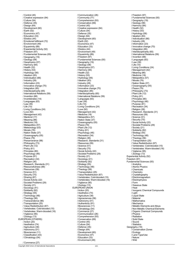Copyright (45)<br>
Copyright 2022 Union of International Associations (42)<br>
Copyright 2022 Union of International Associations (42)<br>
Copyright 2022 Union of International Associations (42)<br>
Copyright 2022 Union of Internatio / Creative expression (94) / Culture (54) / Defence (35) / Design (64) / Development (60) / Earth (02) / Economics (47)  $/$  Education  $(33)$ / Ekistics (44) / Emotional fulfilment (72) / Environment (49) / Equanimity (89) / Experiential Activity (52) / Freedom (97) / Fundamental Sciences (00) / Geography (19) / Geology (08) / Geophysics (07) / Harmony (84) / Health (32) / History (53) / Hydrology (06) / Idealism (83) / Individuation (66) / Industry (28) / Information (23) / Innovative change (70) / Integration (85) / Interdisciplinarity (65) / International Relations (59) / Invention (68) / Invertebrates (14) / Languages (63) / Law (39) / Life (10) / Living Conditions (24) / Love (92) / Management (42) / Mankind (17) / Meaning (86) / Medicine (18) / Metapolitics (57) / Meteorology (03) / Morals (76) / Nation State (37) / Oceanography (05) / Peace (79) / Perserverance (98) / Philosophy (73) / Plant Life (12) / Policy (61) / Principles (80) / Psychology (46) / Purpose (81) / Recreation (34) / Religion (36) / Research, Standards (31) / Resourcefulness (88) / Resources (09) / Science (51) / Security (75) / Sharing (87) / Social Activity (22) / Societal Problems (29) / Society (21) / Sociology (41) / Solidarity (82) / Strategy (55) / Technology (48) / Theology (56) / Transcendence (96) / Transportation (25) / Value Redistribution (67) / Vertebrates: Cold -blooded (15) / Vertebrates: Warm -blooded (16) / Vigilance (95) / Zoology (13) EUROPEAN (OTHERS) / Action (20) / Aesthetics (74) / Agriculture (38) / Astronomy (01) / Biosciences (11) / Classification (43) / Climatology (04)

/ Communication (26) / Community (77) / Comprehension (93) / Conservation (69) / Control (45) / Creative expression (94) / Culture (54) / Defence (35) / Design (64) / Development (60) / Earth (02) / Economics (47)  $/$  Education  $(33)$  $/$  Ekistics  $(44)$ / Environment (49) / Equanimity (89) / Freedom (97) / Fundamental Sciences (00) / Geography (19) / Geology (08) / Geophysics (07) / Harmony (84) / Health (32) / History (53) / Hydrology (06) / Idealism (83) / Industry (28) / Information (23) / Innovative change (70) / Integration (85) / Interdisciplinarity (65) / International Relations (59) / Languages (63) / Law (39) / Life (10) / Living Conditions (24) / Love (92) / Management (42) / Medicine (18) / Metapolitics (57) / Nation State (37) / Oceanography (05) / Peace (79) / Plant Life (12) / Policy (61) / Psychology (46) / Recreation (34) / Religion (36) / Research, Standards (31) / Resources (09) / Science (51) / Security (75) / Social Activity (22) / Societal Problems (29) / Society (21) / Sociology (41) / Solidarity (82) / Strategy (55) / Technology (48) / Theology (56) / Transportation (25) / Value Redistribution (67) / Vertebrates: Cold -blooded (15) / Vertebrates: Warm -blooded (16) / Vigilance (95) / Zoology (13) EUROPEAN UNION  $/$  Action  $(20)$ / Aesthetics (74) / Agriculture (38) / Agrosciences (58) / Astronomy (01) / Authenticity (91) / Biosciences (11) / Climatology (04) / Commerce (27) / Communication (26) / Comprehension (93) / Conservation (69) / Control (45) / Culture (54) / Defence (35) / Design (64) / Development (60) / Economics (47)  $/$  Education  $(33)$ / Environment (49)

/ Freedom (97) / Fundamental Sciences (00) / Geography (19) / Geology (08) / Harmony (84)  $/$  Health  $(32)$ / History (53) / Hydrology (06) / Idealism (83) / Individuation (66) / Industry (28) / Information (23) / Innovative change (70) / Integration (85) / Interdisciplinarity (65) / International Relations (59) / Invention (68) / Languages (63) / Law (39) / Life (10) / Living Conditions (24) / Management (42) / Meaning (86) / Medicine (18) / Metapolitics (57) / Morals (76) / Nation State (37) / Oceanography (05) / Peace (79) / Philosophy (73) / Plant Life (12) / Policy (61) / Principles (80) / Psychology (46) / Purpose (81) / Recreation (34) / Religion (36) / Research, Standards (31) / Resources (09) / Science (51) / Security (75) / Social Activity (22) / Societal Problems (29) / Society (21) / Solidarity (82) / Strategy (55) / Technology (48) / Theology (56) / Transportation (25) / Value Redistribution (67) / Vertebrates: Cold -blooded (15) / Vertebrates: Warm -blooded (16) / Vigilance (95)  $/$  Zoology  $(13)$ Experiential Activity (52) Freedom (97) Fundamental Sciences (00) / Analytics / Atomic Physics / Chemicals / Chemistry / Crystallography / Electromagnetism / Electrophysics / Form / Gaseous State / Heat / Inorganic Chemical Compounds / Light / Liquid State / Material / Mathematics / Mechanics / Metallic Elements and Alloys / Non -Metallic Chemical Elements / Organic Chemical Compounds / Physics / Radiation / Solid State / Sound / Statistics Geography (19) / Conservation Zones / Ecology / Land Type/Use / Nature / Wild

/ Commerce (27)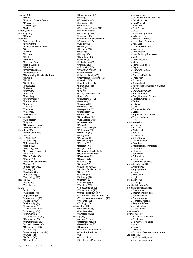Geology (08) / Islands / Land and Coastal Forms / Mountains / Seismology / Soil Geophysics (07) Harmony (84) / Diversity Health (32) / Anaesthesiology / Birth Control / Blind, Visually Impaired / Care / Clinical / Concern / Deaf / Disabled / Exercise, Rest / Health Workers / Hospitals / Medical Supplies / Mental Health / Naturopathy, Holistic Medicine / Nursing / Nutrition / Obstetrics / Paediatrics / Patients / Pharmacy / Physicians / Psychiatry / Psychotherapy / Rehabilitation / Surgery / Therapy / Treatment / Veterinary / WHO Bodies History (53) / Archaeology / Epigraphy / Genealogy, Heraldry / Historical Periods Hydrology (06) / Rivers and Lakes / Water IBERO -AMERICA / Culture (54) / Education (33) / Health (32) / Hydrology (06) / Innovative change (70) / Law (39) / Nation State (37) / Peace (79) / Research, Standards (31) / Science (51) / Social Activity (22) / Society (21) / Solidarity (82) / Strategy (55) / Technology (48) Idealism (83) / Ideologies / Secularism IGOS / Action (20) / Aesthetics (74) / Agriculture (38) / Agrosciences (58) / Astronomy (01) / Authenticity (91) / Biosciences (11) / Classification (43) / Climatology (04) / Commerce (27) / Communication (26) / Community (77) / Comprehension (93) / Consciousness (90) / Conservation (69) / Control (45) / Creative expression (94) / Culture (54) / Defence (35) / Design (64)

/ Development (60)  $/$  Earth  $(02)$ / Economics (47) / Education (33) / Ekistics (44) / Emotional fulfilment (72) / Environment (49) / Equanimity (89) / Freedom (97) / Fundamental Sciences (00) / Geography (19) / Geology (08) / Geophysics (07) / Harmony (84)  $/$  Health  $(32)$ / History (53) / Hydrology (06) / Idealism (83) / Individuation (66) / Industry (28)  $/$  Information (23) / Innovative change (70) / Integration (85) / Interdisciplinarity (65) / International Relations (59) / Invention (68) / Invertebrates (14) / Languages (63) / Law (39) / Life (10) / Living Conditions (24) / Love (92) / Management (42) / Mankind (17) / Meaning (86) / Medicine (18) / Metapolitics (57) / Meteorology (03) / Morals (76) / Nation State (37) / Oceanography (05) / Oneness (99) / Peace (79) / Perserverance (98) / Philosophy (73) / Plant Life (12) / Policy (61) / Principles (80) / Psychology (46) / Purpose (81) / Recreation (34) / Religion (36) / Research, Standards (31) / Resourcefulness (88) / Resources (09) / Science (51) / Security (75) / Sharing (87) / Social Activity (22) / Societal Problems (29) / Society (21) / Sociology (41) / Solidarity (82) / Strategy (55) / Technology (48) / Theology (56) / Transcendence (96) / Transportation (25) / Value Redistribution (67) / Vertebrates: Cold -blooded (15) / Vertebrates: Warm -blooded (16) / Vigilance (95) / Zoology (13) Individuation (66) / Parapsychology / Psychoanalysis / Symbols, Myths Industry (28) / Animal Products / Bacterial Products / Baked Foodstuffs / Beverages / Ceramics, Earthenware / Chemical Products / Coke / Commodities / Condiments, Preserves

/ Construction / Cosmetics, Soaps, Additives / Dairy Products / Fish Products / Foodstuffs / Fruit Products / Glass / Human Body Products / Industrial Plant / Industrial Premises / Invertebrate Products / Iron, Steel / Leather, Hides, Fur / Machinery / Manufacture / Manufacturing Processes / Meat / Metal Products / Mining / Paints, Varnishes / Paper / Pipework, Cables / Plastics / Precision Products / Production / Products / Reconstruction / Refrigeration, Heating, Ventilation / Rubber / Seaweed Products / Service Sector / Slaughterhouse Products / Textiles, Cordage / Timber / Tobacco / Toys / Trades and Crafts / Utilities / Vegetable/Cereal Products / Wood Products / Wool Information (23) / Advisory / Archives / Bibliography / Books / Collections / Data, Codes / Documentation / Expertise / Interpretation, Translation / Librarians / Libraries / Periodicals / Publications / Reference / Secretariat Services Innovative change (70) / Alternatives / Appropriateness / Change / Innovation / Logic Integration (85) / Courage Interdisciplinarity (65) International Relations (59) / Disarmament / International Studies / Peace Studies / Peacekeeping / Planetary Initiatives / Regional Affairs / United Nations / World Order Invention (68) Invertebrates (14) / Arachnida, Myriapoda / Crustacea / Helminthes, Annelida / Insects / Locusts / Molluscs / Protozoa, Parazoa, Coelenterata Languages (63) / Artificial Intelligence / Classical Languages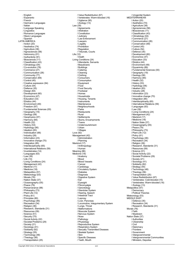/ English / Esperanto / French / Germanic Languages / Italian / Language Speaking / Linguistics / Romance Languages / Slavic Languages / Spanish LATIN AMERICA / Action (20) / Aesthetics (74) / Agriculture (38) / Agrosciences (58) / Astronomy (01) / Authenticity (91) / Biosciences (11) / Classification (43) / Climatology (04) / Co -evolution (78) / Commerce (27) / Communication (26) / Community (77) / Conservation (69) / Control (45) / Creative expression (94) / Culture (54) / Defence (35) / Design (64) / Development (60) / Economics (47)  $/$  Education  $(33)$ / Ekistics (44) / Environment (49) / Freedom (97) / Fundamental Sciences (00) / Geography (19) / Geology (08) / Geophysics (07) / Harmony (84) / Health (32) / History (53) / Hydrology (06) / Idealism (83) / Individuation (66) / Industry (28) / Information (23) / Innovative change (70) / Integration (85) / Interdisciplinarity (65) / International Relations (59) / Invertebrates (14) / Languages (63) / Law (39) / Life (10) / Living Conditions (24) / Management (42) / Mankind (17) / Medicine (18) / Metapolitics (57) / Meteorology (03) / Morals (76) / Nation State (37) / Oceanography (05) / Peace (79) / Perserverance (98) / Philosophy (73) / Plant Life (12) / Policy (61) / Principles (80) / Psychology (46) / Recreation (34) / Religion (36) / Research, Standards (31) / Resources (09) / Science (51) / Security (75) / Social Activity (22) / Societal Problems (29) / Society (21) / Sociology (41) / Solidarity (82) / Strategy (55) / Technology (48) / Theology (56) / Transportation (25)

/ Value Redistribution (67) / Vertebrates: Warm -blooded (16) / Vigilance (95) / Zoology (13) Law (39) / Agreements / Arbitration / Constitution / Judiciary / Law Enforcement / Lawyers / Legality / Prohibition / Regulation / Tribunals, Courts Life (10) / Death Living Conditions (24) / Attendants, Servants / Beauticians / Buildings / Catering / Cleaning / Clothing / Consumers / Consumption / Equipment / Food / Food Security / Footwear / Homes / Households / Housing, Tenants / Instruments / Maintenance / Neighbourhoods / Parks / Restaurants / Rural / Settlements / Slums, Encampments / Towns / Undernourishment / Urban / Villages Love (92) Management (42) / Administration / Planning Mankind (17) / Anthropology / Human Meaning (86) Medicine (18) / Anatomy / Blood / Blood Vessels / Cancer / Cardiology / Circulatory System / Diabetes / Diagnosis / Digestive System / Ear / Eyesight / Fibromyalgia / Gerontology / Glandular System / Hearing, Speech / Intestinal Tract / Leprosy / Liver, Pancreas / Locomotive, Integumentary System / Lungs, Throat / Malformations / Muscular System / Nervous System / Nose / Pathology / Physiology / Reproductive System / Respiratory System / Sexually Transmitted Diseases / Skeletal System / Skin / Specific Diseases / Teeth, Mouth

/ Urogenital System MEDITERRANEAN / Action (20) / Aesthetics (74) / Agriculture (38) / Agrosciences (58) / Biosciences (11) / Classification (43) / Climatology (04) / Commerce (27) / Communication (26) / Conservation (69) / Control (45) / Culture (54) / Defence (35) / Development (60) / Economics (47) / Education (33) / Ekistics (44) / Environment (49) / Equanimity (89) / Fundamental Sciences (00) / Geography (19) / Geology (08) / Harmony (84)  $/$  Health  $(32)$ / History (53) / Hydrology (06) / Idealism (83) / Industry (28) / Information (23) / Innovative change (70) / Integration (85) / Interdisciplinarity (65) / International Relations (59) / Languages (63) / Law (39) / Living Conditions (24) / Management (42) / Mankind (17) / Medicine (18) / Nation State (37) / Oceanography (05) / Peace (79) / Philosophy (73) / Plant Life (12) / Policy (61) / Psychology (46) / Recreation (34) / Religion (36) / Research, Standards (31) / Resources (09) / Science (51) / Social Activity (22) / Societal Problems (29) / Society (21) / Sociology (41) / Solidarity (82) / Strategy (55) / Technology (48) / Theology (56) / Transportation (25) / Value Redistribution (67) / Vertebrates: Cold -blooded (15) / Vertebrates: Warm -blooded (16) / Zoology (13) Metapolitics (57) / Democracy / Political Theories Meteorology (03) MIDDLE EAST / Defence (35) / Recreation (34) / Research, Standards (31) Morals (76) / Faith / Mysticism Nation State (37) / Authorities / Citizenship / Civil / Diplomacy / Frontiers / Government / Intergovernmental / Intergovernmental Communities / Ministers, Deputies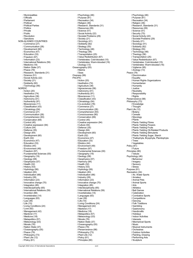Copyright 2022 Union of Copyright 2022<br>
Copyright 2022 Union of The Copyright 2022 Union of Copyright 2022<br>
Copyright 2022 Union of Copyright 2022<br>
Copyright 2022 Union of Copyright 2022<br>
Copyright 2022 Union of Copyright / Officials / Parliament / Political / Political Parties / Politics / Private / Public / Revolution / Sanctions NON -ALIGNED COUNTRIES / Commerce (27) / Communication (26) / Development (60) / Economics (47)  $/$  Education  $(33)$ / Freedom (97) / Information (23) / International Relations (59) / Medicine (18) / Nation State (37) / Peace (79) / Research, Standards (31) / Science (51) / Social Activity (22) / Society (21) / Solidarity (82) / Technology (48) NORDIC / Action (20) / Aesthetics (74) / Agriculture (38) / Astronomy (01) / Authenticity (91) / Biosciences (11) / Classification (43) / Climatology (04) / Commerce (27) / Communication (26) / Comprehension (93) / Conservation (69) / Control (45) / Creative expression (94) / Culture (54) / Defence (35) / Design (64) / Development (60) / Earth (02) / Economics (47) / Education (33) / Ekistics (44) / Environment (49) / Freedom (97) / Fundamental Sciences (00) / Geography (19) / Geology (08) / Geophysics (07) / Health (32) / History (53) / Hydrology (06) / Idealism (83) / Individuation (66) / Industry (28) / Information (23) / Innovative change (70) / Integration (85) / Interdisciplinarity (65) / International Relations (59) / Invention (68) / Invertebrates (14) / Languages (63) / Law (39)  $/$  Life  $(10)$ / Living Conditions (24) / Love (92) / Management (42) / Mankind (17) / Medicine (18) / Metapolitics (57) / Meteorology (03) / Morals (76) / Nation State (37) / Oceanography (05) / Peace (79) / Philosophy (73) / Plant Life (12) / Policy (61)

/ Psychology (46) / Purpose (81) / Recreation (34) / Religion (36) / Research, Standards (31) / Resources (09) / Science (51) / Social Activity (22) / Societal Problems (29) / Society (21) / Sociology (41) / Solidarity (82) / Strategy (55) / Technology (48) / Theology (56) / Transportation (25) / Value Redistribution (67) / Vertebrates: Cold -blooded (15) / Vertebrates: Warm -blooded (16) / Zoology (13) Oceanography (05) / Marine / Seas Oneness (99) **PACIFIC** / Action (20) / Aesthetics (74) / Agriculture (38) / Agrosciences (58) / Astronomy (01) / Authenticity (91) / Biosciences (11) / Classification (43)  $/$  Climatology  $(04)$ / Co -evolution (78) / Commerce (27) / Communication (26) / Comprehension (93) / Consciousness (90) / Conservation (69) / Control (45) / Creative expression (94) / Culture (54) / Defence (35) / Design (64) / Development (60) / Earth (02) / Economics (47) / Education (33) / Ekistics (44) / Environment (49) / Freedom (97) / Fundamental Sciences (00) / Geography (19) / Geology (08) / Geophysics (07) / Harmony (84)  $/$  Health  $(32)$ / History (53) / Hydrology (06) / Idealism (83) / Individuation (66) / Industry (28) / Information (23) / Innovative change (70) / Integration (85) / Interdisciplinarity (65) / International Relations (59) / Invertebrates (14) / Languages (63) / Law (39) / Life (10) / Living Conditions (24) / Management (42) / Mankind (17) / Medicine (18) / Metapolitics (57) / Meteorology (03) / Morals (76) / Nation State (37) / Oceanography (05) / Peace (79) / Perserverance (98) / Philosophy (73) / Plant Life (12) / Policy (61) / Principles (80)

/ Psychology (46) / Purpose (81) / Recreation (34) / Religion (36) / Research, Standards (31) / Resources (09) / Science (51) / Security (75) / Social Activity (22) / Societal Problems (29) / Society (21) / Sociology (41) / Solidarity (82) / Strategy (55) / Technology (48) / Theology (56) / Transportation (25) / Value Redistribution (67) / Vertebrates: Cold -blooded (15) / Vertebrates: Warm -blooded (16) / Vigilance (95) / Zoology (13) Peace (79) / Discrimination / Equality / Human Rights Organizations / Humanitarian / Humanity / Justice / Neutrality / Responsibility / Rights Perserverance (98) Philosophy (73) / Knowledge / Thought Plant Life (12) / Botany / Cereals / Mycology / Plants / Plants Yielding Fibres / Plants Yielding Flowers / Plants Yielding Fruits / Plants Yielding Oil -Related Products / Plants Yielding Stimulants / Plants Yielding Sugar, Starch / Thallophyta, Bryophyta, Pteridophyta / Trees / Vegetables Policy (61) / Future Principles (80) / Values Psychology (46) / Behaviour / Imagery / Sensory / Stress Purpose (81) Recreation (34) / Air, Water Sports / Amateur / Animal Pets / Animal Sports / Arts / Athletics / Ball Games / Celebration / Combative Sports / Competitions / Dancing / Folk Traditions / Gambling / Gastronomy / Handicrafts / Holidays / Indoor Activities / Interests / Mechanical Sports / Music / Musical Instruments / Orchestras / Outdoor Activities / Painting, Drawing / Performing Arts / Sculpture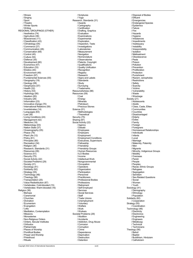/ Shows / Singing / Sport / Theatre / Winter Sports / Writing REGIONAL GROUPINGS (OTHER) / Aesthetics (74) / Agriculture (38) / Biosciences (11) / Classification (43) / Climatology (04) / Commerce (27) / Communication (26) / Conservation (69) / Control (45) / Culture (54) / Defence (35) / Development (60) / Economics (47) / Education (33)  $/$  Ekistics  $(44)$ / Environment (49) / Freedom (97) / Fundamental Sciences (00) / Geography (19) / Geology (08) / Geophysics (07) / Health (32) / History (53) / Hydrology (06) / Idealism (83) / Industry (28) / Information (23) / Innovative change (70) / International Relations (59) / Invertebrates (14) / Languages (63) / Law (39) / Living Conditions (24) / Management (42) / Medicine (18) / Meteorology (03) / Nation State (37) / Oceanography (05) / Peace (79) / Plant Life (12) / Policy (61) / Principles (80) / Recreation (34) / Religion (36) / Research, Standards (31) / Resources (09) / Science (51) / Security (75) / Social Activity (22) / Societal Problems (29) / Society (21) / Sociology (41) / Solidarity (82) / Strategy (55) / Technology (48) / Theology (56) / Transportation (25) / Value Redistribution (67) / Vertebrates: Cold -blooded (15) / Vertebrates: Warm -blooded (16) Religion (36) / Bishops / Ceremonial / Churches / Divination / Ecumenism / Evangelism / Laity / Meditation, Contemplation / Missions / Monasteries / Non -Religious Orders / Orders, Secular Institutes / Orthodox / Patriarchate / Places of Worship / Pontifical Bodies / Prayer and Worship / Priesthood / Rituals

/ Scriptures / Yoga Research, Standards (31) / Awards / Cartography / Certification / Drafting, Graphics / Evaluation / Examinations / Experimental / Exploration / Inspection, Tests / Investigations / Laboratories / Measurement / Navigation / Nomenclature / Observatories / Patents, Copyright / Qualifications / Quality Unification / Recognition / Registry / Research / Signs and Labels / Standards / Study / Surveying / Trademarks Resourcefulness (88) Resources (09) / Coal / Energy / Minerals / Petroleum / Precious Stones Science (51) / Methodologies / Theoretical Security (75) Sharing (87) Social Activity (22) / Agency / Debate / Employees / Employers / Employment / Employment Conditions / Executives, Supervisors / Fellowship / Friendship / Friendship Groups / Human Resources / ILO Bodies / Income / Intellectual Work / Nongovernmental / Occupation / Operators / Organization / Participation / Personnel / Practitioners / Professional Bodies / Professions / Retirement / Self Employed / Services / Social Services / Staff / Trade Unions / Unemployment / Voluntary / Welfare / Work / Workers Societal Problems (29) / Abolition / Accidents / Addiction, Drug Abuse / Corrosion / Corruption / Crime / Dependence / Deprivation / Destruction / Detention

/ Disposal of Bodies / Effluent / Emergencies / Endangered Species / Epidemics / Failure / Fire / Hazards / Hygiene / Imbalances / Impediments / Inadequacy / Instability / Irresponsibility / Isolation / Maltreatment / Obsolescence / Pests / Poison / Pollution / Prevention / Proliferation / Protection / Punishment / Racism, xenophobia / Restrictions / Safety / Scarcity / Victims / Vulnerability / Waste / Wreckage Society (21) / Adolescents / Adults / Class, Caste, Elites / Communities / Countries / Disadvantaged / Elderly / Exiles / Family / Foreign / Foreigners / Homosexual Relationships / Individuals / Infants / Local / Marriage / Maternity, Paternity / Men / Migrants / Minority, Indigenous Groups / Mobility / Overseas / Parish / People / Peoples / Racial, Ethnic Groups / Refugees / Segregation / Semitism / Sex -Related Questions / Social / Women / Youth Sociology (41) / Demography / Ethnology / Population Solidarity (82) / Cooperation Strategy (55) / Coordination Technology (48) / Electricity / Electronics / Engineering / Engineers / Metallurgy / Technical / Technicians Theology (56) / Baha'i / Baptist / Buddhism, Hinduism / Catholicism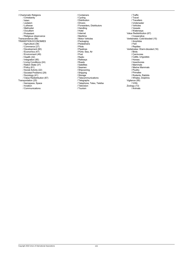/ Charismatic Religions / Christianity / Islam / Judaism / Lutheran / Methodist / Occultism / Protestant / Religious observance Transcendence (96) TRANSITION ECONOMIES / Agriculture (38) / Commerce (27) / Development (60) / Economics (47) / Environment (49) / Health (32) / Integration (85) / Living Conditions (24) / Nation State (37) / Policy (61) / Social Activity (22) / Societal Problems (29) / Sociology (41) / Value Redistribution (67) Transportation (25) / Aerospace, Space / Aviation / Communications

/ Containers / Cycling / Distribution / Drivers / Forwarders, Distributors / Handling / Hotel / Internet / Maritime / Motor Vehicles / Packaging / Pedestrians / Pilots / Pipelines / Ports: Sea, Air / Post / Radio / Railways / Roads / Satellites / Seamen / Shipowning / Shipping / Storage / Telecommunications / Telegraphs / Telephone, Telex, Telefax / Television / Tourism

/ Traffic / Travel / Travellers / Underwater / Vehicles / Vessels / Waterways Value Redistribution (67) / Cooperative Vertebrates: Cold-blooded (15) / Amphibia / Fish / Reptiles Vertebrates: Warm-blooded (16) / Birds / Carnivores / Cattle, Ungulates / Horses / Insectivores / Mammals / Marine Mammals / Poultry / Primates / Rodents, Rabbits / Whales, Dolphins Vigilance (95) / Unity Zoology (13) / Animals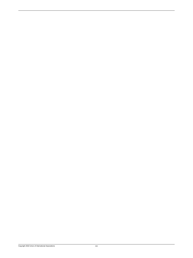### Copyright 2022 Union of International Associations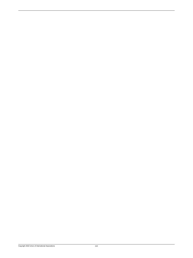### Copyright 2022 Union of International Associations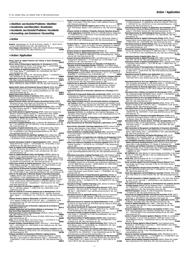⬧**Abolition:** *see Societal Problems / Abolition*

- ⬧**Academies:** *see Education / Academies*
- ⬧**Accidents:** *see Societal Problems / Accidents*
- ⬧**Accounting:** *see Commerce / Accounting*

#### ⬧**Action**

A**ction10**, Fagerviksvägen 35, SE-168 39 Bromma, Sweden. T. +46707148150.<br>|E-mail: action10@action10.org. URL: http://action10.org/. [G]<br>**Crime Stoppers International** (CSI), Postbus 988, 3800 AZ Amersfoort, Netherlands. E-mail: action10@action10.org. Unt.: http://action10.org. UPJ<br>**Crime Stoppers International** (CSI), Postbus 988, 3800 AZ Amersfoort, Netherlands.<br>E-mail: csi@csiworld.org. URL: https://csiworld.org/. [F] #**04896** 

### ⬧**Action / Application**

African Centre for Applied Research and Training in Social Development<br>
African Centre of Meteorological Applications for Development (ACMAD),<br>
Arenue des Ministères 65, PO Box 13194, Niamey, Niger. T. +22720734992. Fax<br>
+

**Applied Health, Equity and Development Research Network** (AHEAD Network), Aix-Marseille School of Economics, 5-9 boulevard Bourdet, CS 50498, 13205

Marsellie CEDEX 1, France. E-mail: contactus.ahead@gmail.com. URL: http://<br> **Monometric diversion Network (AIN).** Fr]<br> **Applied Merovission Network (AIN).** Fr]<br> **Applied Neuroscience Society of Australasia (ANSA)**, address

**Association of Applied Biologists** (AAB), c/o Warwick HRI, Wellesbourne, CV35 9EF, UK. T. +441789470020. Fax +441789470234. E-mail: bernadette@aab.org.uk. URL: http://www.aab.org.uk/. [G]

Association of Applied Geochemists (AAG),  $c/a$  AEG Business Office, P0 Box<br>26099, 72 Robertson Rd, Nepean ON K2H 9R0, Canada. T. + 16138280199.<br>Fax +16138289288. E-mail: office@sappliedgeochemists.org. URL: http://<br>www.ap

**Canadian International Institute of Applied Negotiation** (CIIAN), 1 Nicholas St, Ottawa ON K1N 7B7, Canada. T. +16132379050. Fax +16132376952. E-mail:

ciian@ciian.org. URL: http://www.ciian.org/. [j/G] **Center for Applied Conflict Management** (CACM), Political Science Dept, PO Box 5190, 302 Bowman Hall, Kent State Univ, Kent Hall, 2020001, PORC, TO BOX 5190, 302 Bowman Hall, Kent State Univ, Kent OH 44242-0001, USA. T.<br>T. 413306723143. Fax +13306723362. E-mail: cacm@kent.edu. URL: http://

+13306723143. Fax +13306723362. E-mail: cacm@kent.edu. URL: http://<br>www.kent.edu/cacm/. [G]<br>center for Applied Nonviolent Action and Strategies (CANVAS), address not<br>center for Applied Nonviolent Action and Strate. [CANVA

(CAMBIA), GPO Box 3200, Canberra ACT 2601, Australia. T. +61262464500. Fax +61262464501. E-mail: cambia@cambia.org. URL: http://www.cambia.org/. [G]

**Centre international de mathématiques pures et appliquées** (CIMPA), 28 avenue<br>Valrose, Campus Valrose, Bâtiment Dieudonné II, 06108 Nice CEDEX 02, France.<br>E-mail: director@cimpa.info – cimpa@unice.fr – hela@cimpa.info. U

Www.climati-cipan.org/. [E]<br>Centre international de phonétique appliquée (CIPA), Univ de Mons, Place du<br>Parc 12, 7000 Mons, Belgium. T. +3265373136. Fax +3265373054. E-mail:<br>cipa@umons.ac.be. [G]<br>Centre de recherche en éco

**Chemical Research Applied to World Needs** (CHEMRAWN Committee), PO Box<br>13757, Research Triangle Park NC 27709-3757, USA. T. +19194858700. E-mail:<br>secretariat@iupac.org. URL: http://www.iupac.org/home/about/members-and-<br>co

**Comité Iberoamericano para el Desarrollo y Aplicación de los Plasticos en Agricultura** (CIDAPA). [D] **#04115**

Computer Applications and Quantitative Methods in Archaeology (CAA). [J]<br>Deep Ocean Water Applications Society (DOWAS). [J]<br>Deutschsprachige Ex-Libris-Anwendengruppe (DACHELA), address not obtained.

URL: http://www.dachela.org/. [D] **#04992 DYMAT Association**, CEA Centre de Gramat, BP 80200, 46500 Gramat, France. URL:

http://www.dymat.org/. [D] **#05085 Eurisy**, 52 rue Jacques Hillariet, 75012 Paris, France. T. +33147348175. E-mail: eurisy@eurisy.org. URL: http://www.eurisy.org/. [y/F]<br>**European Academy of Bozen/Bolzano** (EURAC), Viale Druso 1, 39100 Bolzano,<br>Italy. T. +39471055055. Fax +39471055059. E-mail: info@eurac.edu. URL: http://

www.eurac.edu/. [G]<br>European Agricultural and Applied Economics Publications Foundation (EAAEP<br>Foundation), Zuideinde 8b, PO Box 29703, 2761 DA Zevenhuizen, Netherlands. URL:<br>http://www.eaaep.org/. [I/F]<br>European Committee

(ECCOMAS), Int Ctr for Numerical Methods in Engineering, Edificio C-1, Campus<br>Norte UPC, c/ Gran Capitan s/n, 08034 Barcelona, Spain. T. +34934054697. Fax<br>+34932058347. E-mail: eccomas@cimne.upc.edu. URL: http://www.eccoma [y/E] **#06573** European Council of Applied Sciences, Technologies and Engineering (Euro-<br>CASE), 19 rue Leblanc, 75015 Paris, France. E-mail: mail@euro-case.org. URL:<br>http://www.euro-case.org/. [D]<br>European Council for Maritime Applied R

[D] **#06758 European Institute for Statistics, Probability, Stochastic Operations Research**

**and its Applications** (EURANDOM), PO Box 513, 5600 MB Eindhoven, Netherlands. T. +31402478100. Fax +31402478190. E-mail: koorn@eurandom.tue.nl. URL: http://www.eurandom.nl/. [j/G]<br>European Publishers Council (FPC). Av des Arts 43, 1040 Brussels, Belgium, T.

**European Publishers Council** (EPC), Av des Arts 43, 1040 Brussels, Belgium. T. +322311299. E-mail: info@epceurope.eu. URL: http://www.epceurope.eu/. [D] **#08227**

European Regions' Network for the Application of Communications Technology<br>(ERNACT), Unit 271 – CoLab, LYIT Campus, Port Road, Letterkenny, CO. DONEGAL,<br>Ireland. T. +353749168212. E-mail: info@emact.eu. URL: http://www.ema

**European Society for Applied Mathematics (**EUROSAM), [D]<br>European Society for Applied Superconductivity (ESAS), CERN, Esplanade des<br>Particules 1, 1211 Meyrin GE, Switzerland. E-mail: secretary@esas.org – office@<br>esas.org.

Europees Keramisch Werkcentrum (EKWC), Zuid-Willemsvaart 215, 5211 SG<br>Hertogenbosch, Netherlands. T. +31736124500. Fax +31736124568. E-mail:<br>info@ekwc.nl. URL: http://www.ekwc.nl/. [G]<br>Fédération Européenne de Recherche su

57000 Metz, France. T. +33620742521. Fax +33387561086. E-mail: haria@free.fr. URL: http://www.haria.fr/. [G]

**Fondation RAFAD – Recherches et applications de financements alternatifs au**

developpement (Fondation RAFAD), Rue de Varenhe 1, CP 117, 1211 Geneva. 20, Switzerland. T. +41227335073. Fax +41227347083. [f/F]<br> **Fundação Centro Internacional de Educação, Capacitação e Pesquisa Aplicada**<br> **em Aquas (Hi** 

www.fundaec.org/. [f/G] **Fundación Europea para la Innovación y Aplicación de la Tecnologia** (INTEC).

[f/J] **Gesellschaft für Angewandte Mathematik und Mechanik** (GAMM), Inst für Statik und Dynamik der Tragwerke, Fak Bauingenieurwesen, 01062 Dresden, Germany. T. +4935146333448. Fax +4935146337086. E-mail: gamm@mailbox.tu-dresden.de. URL: http://www.gamm-ev.de/. [G]<br>URL: http://www.gamm-ev.de/. [G]<br>Iohal Annlied Disability Research and Information Network on Employment

Global Applied Disability Research and Information Network on Employment<br>and Training (GLADNET), c/o Yang-Tan Inst on Employment and Disability, Cornell<br>Univ, ILR School, 201 Dolgen Hall, Ithaca NY 14853-3901, USA. T. +160

- +16072557727. Fax +16072552763. E-mail: gladnet-info@cornell.edu. URL:<br>https://gladne.org/. [yF]<br>Groupe Européen de Recherche sur les Prothèses Appliquées à la Chirurgie<br>Groupe Européen de Recherche sur les Prothèses App

Groupe Interafricain d'Études, de Recherches et d'Application sur la Fertilité<br>(GIERAF), address not obtained. T. +23733428144 – +23777708374. E-mail:<br>(GIERAF), address not obtained. T. +23733428144 – +23777708374. E-mail:

**Human Service Information Technology Applications** (HUSITA), School of Social<br>Sciences, Open Polytechnic of New Zealand, 3 Cleary St, Waterloo, Lower Hutt<br>5011, New Zealand. URL: http://www.husita.org/. [F]

**Institut de Médecine et d'Epidémiologie Appliquée** (IMEA), Dépt Santé Tropicale, 16 rue Henri Huchard, 75018 Paris, France. T. +33157277812. URL: http://

www.imas.ht/ [i/G]<br>Institut de recherches et d'applications des méthodes de développement (IRAM),<br>49 rue de la Glacière, 75013 Paris, France. T. +33143360362 - +33144086767.<br>Frax +331433163316631. E-mail: iranglienn-fr.org

I**nternational Association for Applied Econometrics** (IAAE), Univ of Cambridge, Fac<br>of Economics, Austin Robinson Bldg, Sidgwick Avenue, Cambridge, CB3 9DD, UK.<br>E-mail: enquiries@appliedeconometrics.org. URL: http://applie [C] **#11557 International Association of Applied Psychology** (IAAP), 8365 Keystone Crossing,

Suite 107, Indianapolis IN 46240, USA. T. +13172059480. Fax +13172059481. E-<br>mail: secretarygeneral@iaapsy.org. URL: http://www.iaapsy.org/. [WB]<br>International Association for Hydromagnetic Phenomena and Applications<br>(HYDR

www.iaoa.org/. [D] **#11907 International Association of Trusted Blockchain Applications** (INATBA). [J]

I**nternational Board on the Applications of the Mössbauer Effect** (IBAME), Inst of<br>Solid State Physics, Vienna Univ of Technology, Wiedner Hauptstrasse 8-10/138,<br>1040 Vienna, Austria. T. +4315880113772. Fax +43158801913772

www.itelme.org/. [vE]<br>International College of Applied Kinesiology (ICAK), address not obtained. E-mail:<br>Info@icak.co.uk. URL: http://www.icak.com/. [E]<br>International Consortium on Applied Bioeconomy Research (ICABR), Dept

I**nternational Council for Applied Mineralogy** (ICAM), Fed Inst of Geosciences<br>and Natural Resources (BGR), Stilleweg 2, 30655 Hannover, Germany. T.<br>+495116432565. Fax +495116433664. URL: http://www.bgr.de/icam/home.html.

[D]<br>
(Dietmational Council for Industrial and Applied Mathematics (ICIAM), c/o Math-<br>
& Comp-Sci Div, Argonne Nat'l Lab, 9700 South Cass Ave, Argonne IL 60439, USA.<br>
URL: http://www.iclan.org/. [ty/E]<br>
Limitational Gesell

**International Institute for Applied Systems Analysis** (IIASA), Schlossplatz 1, 2361 Laxenburg, Austria. T. +442236807402. Fax +442236807399. E-mail: info@iiasa.ac.at. URL: http://www.iiasa.ac.at/. [j/D] **#13712**

International Medical Society for Applied Kinesislovgy (IMAK), Postfach 38,<br>
9330 Althofen, Austria. T. +43426229098. Fax +43426229107. URL: http://<br>
www.funktionelle-myodiagnostik.com/. [0]<br>
International Network of Centr Jl Tentara Pelajar 1 no 5, Jakarta 12210, Indonesia. T. +62217196178. Fax +62217196178. URL: http://www.iiwas.org/. [D] **#14298**

–1–

International Service for the Acquisition of Agri-biotech Applications (ISAAA),<br>c/o Global Development, 417 Bradfield Hall, Cornell Univ, Ithaca NY 14853, USA.<br>T. +16072551724. Fax +16072551215. E-mail: americenter@isaaa.o

isaaa.org. URL: http://www.isaaa.org/. [F] **#14677 International Society for Analysis, its Applications and Computation** (ISAAC), Freie Uni Berlin, Fachbereich Mathematik/Informatik, Mathematisches Inst, Arn-<br>imallee 3, 14195 Berlin, Germany. URL: http://www.isaacmath.org. [C]<br>International Society for Applied Biological Sciences (ISABS), Hondlova 2/

www.isabs.hr/. [F]<br>**#14766**<br>**International Society for Applied Cardiovascular Biology (ISACB), Office of** 

International Society for Applied Cardiovascular Biology (ISACB), Office of<br>Research Admin, Summa Health System, 525 E Market St, Akron OH 44304, USA. T.<br>+13303757078. Fax +13303756648. URL: http://www.isacb.org/ (VD) = #1

#14768<br>International Society of Applied Optics, Riga. [J]<br>International Society for Applied Phycology (ISAP), SAMS, Scottish Marine Inst,<br>Toban, PA37 10A, UK. URL: http://www.appliedphycologysoc.org/. [C]<br>International Soc

Website/index.html. [E] **#14962 International Society for Medical Laser Applications** (ISLA), c/o Weber Medical, Lönsstr 10, 37697 Lauenförde, Germany. T. +495373367780. Fax +4953733677829. E-mail: info@isla-laser.org. URL: http://www.isla-laser.org/. [D]

**International Society for Oral Laser Applications** (SOLA International), c/o Univ<br>Clinic of Dentistry, Sensengasse 2a, 1090 Vienna, Austria. T. +431400705401. E-<br>mail: office@sola -laser.com. URL: http://www.sola-laser.co

**International Union of Medical and Applied Bio-Electrography** (IUMAB), Ligovski 56E, St Petersburg SANKT-PETERBURG, Russia, 191040. T. +79219368394. E-mail:

seminar@iumab.org. URL: http://www.iumab.org/. [D]<br>International Union for Pure and Applied Biophysics (IUPAB), Depto Bioquimica,<br>Molecular A, Fac Veterinaria, Univ de Murcia, Campus de Espinardo, 30100 Murcia, Spain. URL: http://www.iupab.org/. [y/C]<br>**Spain. URL: http://www.iupab.org/. [y/C]**<br>**nternational Union of Pure and Applied Chemistry** (IUPAC). PO Box 13757.

International Union of Pure and Applied Chemistry (UPAC), PO Box 13757,<br>Research Triangle Park NC 27709-3757, USA T. +19194858700. E-mail: secretar-<br>Rec®iupac.org. URL: http://www.lupac.org/. [y/B]<br>International Union of P

www.iupap.org/. [C] **#15638 International Union of Theoretical and Applied Mechanics** (IUTAM), Inst of Fundamental Technological Research, Polish Ac of Sciences, Pawinskiego 5B, 02-

106 Warsaw, Poland. URL: http://www.iutam.net/. [y/C]<br>International Union for Vacuum Science, Technische University Technische University Technische University Tech<br>Technische Uni Wien, Inst für Festkörperphysik – 138, Wie

www.iuvsta.org/. [C]<br>IUBS Commission on Management and Application of Geoscience Information<br>(CGI), Development Research Ctr, China Geological Survey, 45 Fuvai Street, Xicheng<br>District, 100037 Beijing, China. T. +861058584

Mikrobiologie, E-M-A Universität, Jahnstr 15, 17489 Greifswald, Germany. T.

+493384864230. Fax +493834864202. URL: http://www.tims.org/. [wK]<br>Joint ILO/UNESCO Committee of Experts on the Application of the Recommendations Concerning Teaching Personnel (CEART), Sectoral Policies Dept, Intl. Labour

www.netheritage.eu/. [**E\***] **#16791**

Nordic APIs, Sankt Gransgatan 66, SE-112 33 Stockholm, Sweden. T.<br>  $+46841073770$ . URL: https://nordicapis.com/. [c/F]<br>
Nordic and Baltic Applied Fuel Cell Technology Research Network (Nordic<br>
Fuel Cell Technology, P0 Box

F17786<br>
Pan-Pacific Association of Applied Linguistics (PAAL), 5-Ga, Anam-dong, Sunbuk-<br>
gu, Seoul 136-701; Korea Rep. T. +82232901984. E-mail: limiy@uos.ac.kr. URL:<br>
http://www.paal.kr/. [G]<br>
Pan-regional de recherche app

de Masuku, Franceville, Gabon. URL: http://www.rasma-net.org/. [D]<br>Society for Applied Philosophy (SAP), LLMVC - Taylor Bldg, Univ of Aber-<br>deen, Aberdeen, AB24 3UB, UK. E-mail: admin@appliedphil.org. URL: http://<br>www.appl

www.sarmac.org/. [C] **#19286 Society in Europe for Simulation Applied to Medicine** (SESAM), Fac de Médecine Paris Descartes, 15 rue de l'école de médecine, 75006 Paris, France. E-mail: president@sesam-web.org – contact@sesam-web.org. URL: http://www.sesam-

web.org/ [D])<br>Society for Geology Applied to Mineral Deposits, Czech Geological Survey,<br>Geologicka 6, 152 00 Prague 5, Czech Rep. T. +420251085506. E-mail: info@e-<br>sga.org. URL: http://e-sga.org/. [C]<br>Society for Gestalt T

Philadelphia PA 19104-2688, USA. T. +12153829800. Fax +12153867999. E-mail<br>service@siam.org. URL: http://www.siam.org/. [G]<br>**Southern African Applied Linguistics Association** (SAALA), Rhodes Univ, English<br>Dept, Grahamstown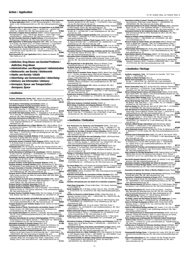**Space Generation Advisory Council in Support of the United Nations Programme on Space Applications** (SGAC), c/o ESPI, Schwarzenbergplatz 6, 1030 Vienna, Austria. E-mail: info@spacegeneration.org. URL: http://www.spacegeneration.org/.

E]<br>Synchrotron-light for Experimental Science and Applications in the Middle East<br>(SESAME), PO Box 7, Allan 19252, Jordan. T. +9625351134 - +96253511361<br>ext228. Fax +96253511423. URL: http://www.sesame.org.jo/. [E\*]<br>Univer Ravensteingalerij 27, bus 3, 1000 Brussels, Belgium. T. +3222111006. E-mail:<br>bruno@uasnet.eu – post@uasnet.eu. URL: http://www.uasnet.eu/. [F]<br>**Van Hall Larenstein University of Applied Sciences**, Droevendaalsesteeg 2, 670

WM0 Applications of Meteorology Programme (AMP), WM0, Case Postale 2300, Av de la Paix 7 bis, Bureau 703-A, 1211 Geneva, Switzerland. T. +41227308221.<br>Fax +41227308128. URL: http://www.wmo.ch/web/aom/aom.html. [K\*]<br>World A

www.wacra.org/. [C] **#20862 World Association for Laser Applications** (WALA), address not obtained. URL: https://waltza.co.za/. [D] **#20891**

### ⬧**Addiction, Drug Abuse:** *see Societal Problems / Addiction, Drug Abuse*

#### ⬧**Administration:** *see Management / Administration*

- ⬧**Adolescents:** *see Society / Adolescents*
- ⬧**Adults:** *see Society / Adults*
- ⬧**Advertising:** *see Communication / Advertising*
- ⬧**Advisory:** *see Information / Advisory*
- ⬧**Aerospace, Space:** *see Transportation /*
- *Aerospace, Space*

#### ⬧**Aesthetics**

**Aesthetic Multispecialty Society** (AMS), address not obtained. E-mail: secretar-iat@multispecialtysociety.com. URL: https://www.facebook.com/WOSIAM.ORG/. [C]

47ab Academy of Dermatology and Aesthetics (AADA). [J]<br>Asia Medical Aesthetic Exchange Association (AMACA), [J]<br>Asian Academy of Aesthetic Dentistry, 166-4 Joongkok Dong, Kwangin Gu,<br>Seoul 04906, Korea Rep. T. +82106260482

- 41515, Korea Rep. T. +820533825236. Fax +820533825298. E-mail: apantiaging@ gmail.com. URL: https://www.apantiaging.org/. [D] **#01808 Asociación Internacional de Mitocritica** (ASTERIA), Depto Estuiod Romanicos, Plaza Menéndez Pelayo s/n, Fac Filologia, Univ Complutense, 28040 Madrid, Spain.
- E-mail: anagonfer27@telefonica.net asteriamyth.sec@gmail.com. URL: https://
- asteriamyth.com/. [G]<br>Association internationale de la critique littéraire (AICL), Hôtel de Massa, 38 rue<br>du Faubourg-Saint-Jacques, 75014 Paris, France. E-mail: aicl@aicl-fr.com. URL:<br>http://aicl-fr.com/. [C]<br>Association
- Paris, France. T. +33147701742. E-mail: aica.office@gmail.com. URL: http:// www.aicainternational.news/. [B] **#02644 Australasian College of Aesthetic Medicine** (ACAM), Australia Square Level 33,

264 George St, Sydney NSW 2000, Australia. T. +61291679398. E-mail: secretary@ acam.org.au. URL: https://acam.org.au/. [G]

**Australasian Society of Aesthetic Plastic Surgeons** (ASAPS), Suite G01 Grnd Fl, 69 Christie Street, St Leonards, Sydney NSW 2065, Australia. URL: https://

aestheticplasticsurgeons.org.au/. [G]<br> **Christensen Fund** (TCF). 487 Brvant St. 2ns Floor. San Francisco CA 94107. USA. T.

**Christensen Fund (TCF), 487 Bryant St.** 2ns Floor, San Francisco CA 94107, USA T.<br>
+14156441600. E-mail: mayuml@christensenfund.org – info@christensenfund.org.<br>
URL: http://www.christensenfund.org/(Kg)<br> **Commite internat** 

European Academy of Anti-Aging and Aesthetic Medicine (E4AM). [J]<br>European Academy of Esthetic Dentistry (EAED), Bahnhofstrasse 35, 8001 Zurich<br>- ZH, Switzerland. E-mail: info@eaed.org. URL: http://www.eaed.org/. [v/E]

**European Association of Societies of Aesthetic Plastic Surgery** (EASAPS), 13 rue Le Corbusier, 92100 Boulogne, France. T. +33607037685. Fax +33141109860. Email: info@easaps.org. URL: http://www.easaps.org/. [D]<br>mail: info@easaps.org. URL: http://www.easaps.org/. [D]<br>**European Board of Plastic. Reconstructive and Aesthetic Surgery** (EBOPRAS).

European Boatic, Reconstructive and Aesthetic Surgery (EBDPRAS),<br>Plastic Surgery and Burns Unit, Mater Dei Hospital, Misida, MSD 2090, Malta. URL:<br>http://www.ebopras.org/. [E]<br>European Network for Avant-Garde and Modernism

**European Society of Aesthetic Plastic Surgery** (ESAPS). [J] **European Society for Aesthetics** (ESA), Dept of Philosophy – Univ of Fribourg,

Avenue de l'Europe 20, 1700 Fribourg, Switzerland. E-mail: secretary@eurosa.org.

URL: http://www.eurosa.org/. [D]<br>**European Society of Aesthetic Surgery** (ESAS), Pear Tree Cottage, 43 Cambridge<br>Road, Wimpole, SG8 5QD, UK. T. +441223208268. Fax +441223207131. [D]

European Society for Cosmetic and Aesthetic Dermatology (ESCAD), The office,<br>wia san Nicolo 14, 34121 Triester St, Italy, T. +3940368343. Fax +394036896. E-<br>mail: escadsecretariat@theoffice.it. URL: http://www.escad.org/.

national.org/. [y/C]<br> **#09145**<br> **#09145**<br> **#09145**<br> **#09145**<br> **#09145**<br> **#09145**<br> **#09145**<br> **#09145** 

Federation internationals de la presse cinematographique (FIPRESCI), Schleiss-<br>
Federation international Academy of Cosmette Superpreviewed international Academy of Cosmette Superpreviewed international Academy of Cosmett

International Association of Theatre Critics (ART), 987 route Marie-Victorin, Vertchies, Montréal QC J01 2R0, Canada. T. +15142785764. E-mail: contact@aictiat.org. URL: http://www.aict-iat.org/. (C)<br>International Federatio

www.ifed.org/. [y/D] **#13272 International Institute of Applied Aesthetics** (IIAA), Saimaankatu 14, FI-15140 Lahti, Finland. T. +358504421116. E-mail: iiaa-info@helsinki.fi. URL: http://

www.helishik.fi/ip/iplazi. [iv3]<br>International Society of Aesthetic Plastic Surgery (ISAPS), Suite 264, 10 Benning<br>St, Hanover NH 03784, USA. T. +16036432325. Fax +16036431444. E-mail:<br>Isaps@isaps.org. URL: http://www.isap

edical@wanadoo.fr. [F]<br>International Society of Phenomenology, Aesthetics and the Fine Arts (ISPAFA),<br>1 hy Pointe Way, Hanover NH 03755, USA. T. +18022953487. Fax +18022955963.<br>1 URL: http://www.phenomenology.org/. [E]<br>Int

Esthétique, 154 rue Armand Silvestre, 92400 Courbevoie, France. E-mail: info@ sfme.info. URL: http://www.sfme.info/union-internationale-de-medecine-esthetique/.

[D] **#15599 Most Beautiful Bays in the World Club**, address not obtained. E-mail:

contact@world-bays.com. URL: http://www.world-bays.com/. [E]<br>The Nordic Society for Aesthetics, Dept of Philosophy/History/Art, Univ of<br>Helsinki, PO Box 59, Fl-00014 Helsinki, Finland. T. +358503257281. URL: http://<br>www.ns

**Oriental Society of Aesthetic Plastic Surgery (IGAPS), Medical Plaza Ortigas, Unit<br>
1111 - 11th Floor, San Miguel Avenue, Pasig City RIZ, Philippines. T. +6327062481.<br>
URL: https://www.facebook.com/OSAPS-Oriental-Society-**

URL: http://www.reseo.org/. [F] **#18653 Scandinavian Academy of Esthetic Dentistry** (SAED), Foreningsgaten 1, 5015 Bergen, Norway. T. +4755320804. Fax +4755320416. URL: http://www.saed.nu/.

[G] **Sociedad latinoamericana de Economia Politica y Pensamiento Critico** (SEPLA).

[J] **South Asian Academy of Aesthetic Dentistry** (SAAAD). [J] **World College of Aesthetic and Antiageing Medicine** (WOCAAM), 4 rue de L'Arcade, 75008 Paris, France. T. +33142652747. Fax +33142669515. E-mail:

arcademedical@wanadoo.fr. [G]<br>**World Hairdressers' Organization**, 11 Cherry Valley Ave, Ste 323, Garden<br>City NY 11530, USA. T. +15162440331. Fax +15168736021. E-mail: omc@<br>omchairworld.com. URL: http://www.omchairworld.com

### ⬧**Aesthetics / Civilization**

Arab Renaissance for Democracy and Development (ARDD), Third Circle,<br>Jabal Amman – Zuhair Malhas St 8, Amman, Jordan. T. +96264617277. Fax<br>+96264617278. E-mail: consult@ardd-legalaid.org. URL: http://ardd-jo.org/. [6]<br>Asso 20th St, Los Angeles CA 90018, USA. T. +13237301155. Fax +13237300665. URL:<br>http://www.ascac.org/. [G]

http://www.asca.org/. [G]<br>Centre for Black and African Arts and Civilization (CBAAC), 36/38 Broad Street,<br>Lagos, Nigeria. URL: http://www.cbaac77.com/. [G]<br>Centre for European History and Civilization, lesi, Romanian Acade

Jean Monnet, 21 rue Denis Papin, 42023 Saint-Étienne CEDEX, France. T. +33477437970. Fax +33477437971. E-mail: cilec@univ-st-etienne.fr. URL: http://

cile.c.univ-st-etienne.fr/. [G]<br>Dialogue of Civilizations Research Institute (DOC Research Institute), Französis-<br>che Str 23, 10117 Berlin, Germany T. +4930209677900. E-mail: info@doc-<br>research.org URL: https://doc-researc

**ECO FORUM GIORAL (FFG)** A-520 Singshi and Technology Mansion 12 Xuevuan South

Eco Forum Global (EFG), A-520 Singshi and Technology Mansion, 12 Xueyuan South<br>
Road, Haidian District, Beijing, China. T. +8686080892. Fax +8668080862. E-mail:<br>
info@efglobal.org. URL: http://www.efglobal.org/. [G]<br>
EURO

[y/A] **#09509 Fondation internationale pour une histoire de la civilisation européenne**. [f/F] **#09722**<br>#09722<br>**Blobal Vision Corporation**. 29 Quai du Mont Blanc. 1201 Geneva. Switzerland. T.

**Global Vision Corporation**, 29 Quai du Mont Blanc, 1201 Geneva, Switzerland. T.<br>141227328655. [F]<br>**Honda Foundation** (HF), 6-20 Yaesu 2-chome, Chuo-ku, Tokyo, 104-0028 Japan.<br>17. +81332745125. Fax +81332745103. URL: https

[f/G] **Institute for Research on World Systems** (IROWS), College Bldg South, UC-

Riverside, Riverside CA 92521, USA. T. +19097872062. Fax +19097873330. URL:<br>http://www.irows.ucr.edu/. [j/G]

http://www.irows.ucr.edu/. [j/G]<br>**Institut Europeu de la Mediterrània** (IEMed), Girona 20, 08010 Barcelona, Spain.<br>T. +34932449850. Fax +34932470165. E-mail: info@iemed.org. URL: http://

www.iemed.org/. [j/G] **Institut Jacques Delors** (IJD), 18 rue de Londres, 75009 Paris, France. T. +33144589797. Fax +33144589799. E-mail: info@delorsinstitute.eu. URL: http://

delorsinstitute.eu/. [j/G]<br>Institut national des langues et civilisations orientales (INALCO), 2 rue de Lille,<br>T5343 Paris CEDEX 07, France. T. +33149264200. Fax +33149264229. E-mail:<br>Taxim martine.montoya@inalco.fr. URL:

**International Academy of Dialogue Among Cultures and Civilizations (ADAC), ul<br>
Zgierska 16a/3, 04-92 Warsaw, Poland. T. +48224991284 - +48228100781. Fax<br>
+48228100778. [G]<br>
<b>International Association of the History and C International Institute for Dialogue among Cultures and Civilizations** (IIDACC),

111 Shahid Ghandi St, North Sohrevardi St, Teheran, Iran Islamic Rep. T. +982188763352. Fax +982188755140. [j/G] –2–

International Institute of Islamic Thought and Civilization (ISTAC), 205A<br>Jalan Damansara, 50480 Kuala Lumpur, Malaysia. T. +60320940346. Fax<br>+60320948343. URL: http://www.iium.edu.my/istac. [j/G]<br>International Institute f

For the complete listing, see Yearbook Online at

www.iscsc.org/. [G] **Melody for Dialogue among Civilizations Association**, 27 avenue Foch, 75016 Paris, France. T. +33672432644. Fax +33145450301. URL: http://

www.melodydialogue.org/. [F] **#16524 Research Centre for Islamic History, Art and Culture** (IRCICA), Alemdar Cadd-

esi No 15, Bâbiâlî Girisi, Cagaloglu – Fatih, 34110 Istanbul/Istanbul, Turkey. T. +902124020000. Fax +902122584345. E-mail: ircica@ircica.org. URL: http:// www.ircica.org/. [**E\***]<br>United Families International (UFI). PO Box 2630. Gilbert AZ 85299-2630. USA. T.

United Families International (UFI), PO Box 2630, Gilbert AZ 85299-2630, USA. T.<br>+18774357834. Fax +14808924417. E-mail: ufi@unitedfamilies.org. URL: http://<br>www.unitedfamilies.org/. [F]<br>United Nations Alliance of Civiliza

+914132212338. URL: http://www.worldacademy.org/. [v/B] **#20804**

### ⬧**Aesthetics / Heritage**

**Académie européenne, Paris**, 128 boulevard de Courcelles, 75017 Paris, France. T. +33142129838. [G]

Academy of Cultural Heritages (ACU), [J]<br>Adriatic Ionian Euroregion (AIE), Via Genova 11, 86100 Campobasso<br>CB, Italy. T. +39874314342. Fax +39874437348. E-mail: secretariat@<br>adriaticionianeuroregion.eu. URL: http://www.adr

**African Conservation Trust (ACT), 46 Pope Ellis Dive, Ashburton, Pietermaritzburg, projections, URL: http://www.projectatinca.com – info@<br>
accordination CIN-Littp://www.projectatinca.com – info@<br>
African Heritage Researc** 

**Archivists without Borders International** (AwB International), address not obtained. T. +34933012034. E-mail: asf@arxivers.org. URL: http:// www.arxivers.org/en/asf\_internacional.php. [F] **#01080**<br>Arctic Athabaskan Council (AAC), 300 Range Rd, P0 Box 39, Whitehorse STN C S **Arctic Athabaskan Council** (AAC), 300 Range Rd, PO Box 39, Whitehorse STN C S C, Whitehorse YT Y1A 5X9, Canada. URL: http://www.arcticathabaskancouncil.com/. [**G\***] **Armenian General Benevolent Union** (AGBU), 55 E 59th St, New York NY 10022-

1112, USA T. +1212319383. Fax +12123196507. E-mail: agbuny@agbu.org. URL<br>http://www.agbu.org/. WFJ<br>**Art Nouveau European Route**, hast del Paisatge Urbà i la Qualitat de Vida,<br>Av Drassanes 6-8, 21st floor, 08001 Barcelona,

URL: http://www.ahpadaexpo.com/. [E] **#01183 Asian Academy for Heritage Management** (AAHM), Regional Advisor for Culture, UNESCO Office 5th Floor, 920 Sukhumvit Road, Bangkok, 10110, Thailand. T. +6623910577 ext 513. Fax +6623910866. URL: https://bangkok.unesco.org/. [y/E]

Asia Pacific Geoparks Network (APGN), address not obtained. E-mail: appn office@<br>gmail.com. URL: http://asiapacificgeoparks.org/. [F]<br>Association Caritative et Humanitaire des Ordress de Chevalerie (ACHOC). [J]<br>Association

**Association Européenne des Trésors et Musées d'Eglises** (Europae Thesauri). [D] **#02548 Association for Heritage Preservation of the Americas** (APOYOnline), PO Box Rockville MD 20852, USA. URL: http://apoyonline.org/. [v/G] **Association of Significant Cemeteries in Europe** (ASCE), Pogrebno podjetje Maribor dd, Cesta XIV divizije 39a, 2000 Maribor, Slovenia. T. +38624800900. Fax +38624800908. E-mail: president@significantcemeteries.org. URL: http:// www.significantcemeteries.org/. [D] **#02879 Balkan Museum Network** (BM Network), Radiceva 17/V, 71000 Sarajevo, Bosnia-Herzegovina. E-mail: info@bmuseums.net. URL: http://www.bmuseums.net/. [F] **#03046**

Blue Shield International (BSI), School of Arts and Cultures – Armstrong Blue Shield, the<br>wearste Liniv, Newcastle upon Tyne, NE1 7RU, UK. E-mail: bluesh-<br>ield.international@theblueshield.org. URL: https://theblueshield.o

**Centre for International Heritage Activities** (CIE), Postbus 11125, 2301 EC Leiden, Netherlands. T. +31715168890. E-mail: info@heritage-activities.nl. URL: http:// www.heritage-activities.org/. [G] **Centro Internacional para la Conservación del Patrimonio** (CICOP), Casa de los Capitanes, C/Obispo Rey Redondo 5, 38201 La Laguna, Santa Cruz de Tenerife,<br>Spain. E-mail: info@cicop.com. URL: http://www.cicop.com/. [G]<br>**Centro Regional para la Salvaguardia del Patrimonio Cultural Inmaterial de América Latina** (CRESPIAL), Av Brasil A-14, Urbanización Quispicanchi, 08001,<br>Cusco, Peru. T. +5184231191. E-mail: pramos@crespial.org – frubio@crespial.org #803776.http://www.crespial.org/. [E]<br>Coalition pour la Protection du Patrimoine Génétique Africain (COPAGEN), soleil<br>2 – Villa no 78, Angré-Dijbi-Cité Wedouwel, Cocody, Abidjan 06, Côte d'Ivoire. T.<br>22522504072. E-mail: c

**Commonwealth Heritage Forum**, 12 Devonshire Str, London, W1G 7AB, UK. E-mail: admin@commonwealthheritage.org. URL: http://www.commonwealthheritage.org/.

**Conservation International** (CI), 2011 Crystal Dr, Ste 500, Arlington VA 22202, USA. T. +17033412400. E-mail: community@conservation.org. URL: http://

[G]

www.conservation.org/. [G]

**#04014**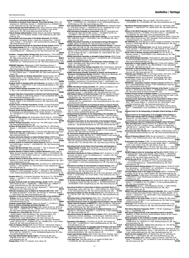Consortium for International Maritime Heritage (CIMH), [J]<br>Coordination of European Picture Agencies, Press Stock Heritage (CEPIC), Frits-<br>Chestrasse 22, 10585 Berlin, Germany. T. +493088910160. Fax +493088910161.<br>E-mail:

Univ, 221 Burwood Highway, Burwood VIC 3125, Australia. E-mail: chms@<br>deakin.edu.au. URL: http://www.deakin.edu.au/arts-ed/chap/. [6]<br>Cultural Heritage without Borders (CHwB), Kulturary utan Gränser, Sabbatsber-<br>gsvägen 6,

International, Inst Superior Technicon - Lisbon, Portugal. T. 4-3518419332. E-mail: docomomo@tecnico.uilsboa,tr URL:<br>
http://www.docomomo.com/. [F]<br>
http://www.docomomo.com/. [F]<br> **Exity and Superior Association for Agricu** 

**#05226 EuroNatur – European Nature Heritage Fund**, Westendstrasse 3, 78315 Radolfzell,

Germany. T. +4977329272222. 2-mail: info@euronatur.org.<br>URL: https://www.euronatur.org/. [f/F]<br>Europa Nostra, Lange Voorhout 35, 2514 EC The Hague, Netherlands. E-mail: sqm@<br>europanostra.org – info@europanostra.org. URL: h

EUROPARC Federation, Watfnergasse 6, 93047 Regensburg, Germany. T.<br>+4994159935980. Fax +4994159935989. E-mail: europarc@europarc.org. URL:<br>http://www.europarc.org/. [E]<br>European Association Architectural Heritage Restorati

aeerpa/. [D] **#05873 European Association for Heritage Interpretation** (Interpret Europe), Carl-von-Ossietzky-Strasse 3, 14471 Potsdam, Germany. T. +495542505873. E-mail:

mail@interpret-europe.net – office@interpret-europe.net. URL: http://interpret-europe.net/<br>europe.net/. [D]<br>European Centre for Heritage Crafts and Professions, Via Trieste 43, 36016 Thiene<br>WENTENZ, Italy. T.-39445372329.

**European Federation of Associations of Industrial and Technical Heritage** (EFAITH), Vredelaan 72, 8500 Kortrijk, Belgium. E-mail: secretariat@e-faith.org. URL:

http://www.industrialheritage.eu/. [t/D] **#06983 European Federation of Fortified Sites** (EFFORTS), Rue de Trèves 67, 1000 Brussels, Belgium. E-mail: info@efforts-europe.eu. URL: https://www.efforts-

europe.eu/. [D]<br>
European Forum of Heritage Associations (FORUM), c/o Gruppi Archeologici<br>
del Veneto, Via Francesco Guardi 24 bis, 35134 Padua PD, Italy. URL: http://<br>
www.heirtageforum.org/. [F]<br>
European Garden Heritage

eghn.org/. [F] **#07309 European Heritage Alliance 3.3**, Europa Nostra, Rue de Trèves 67, 1040 Brussels, Belgium. T. +3224007702. E-mail: bxl@europanostra.org. URL: http://europeanher-

itagealliance.eu/. (y/F]<br>European Heritage Association, Kreimirov trg 7, HR-10000 Zagreb, Croatia. URL:<br>http://www.thebestinheritage.com/. [G]<br>European Heritage Heads Forum (EHHF), Place Saint-Géry 23, 1000 Brussels,<br>Belgi

[F] **#07410 European Heritage Legal Forum** (EHLF), c/o Bavarian State Monument Conservation Office (BLfD), Hofgraben 4, 80539 Munich, Germany. T. +49892114214. URL: https://www.ehhf.eu/ehlf/. [F] **#07411**

**European Information Network on Cultural Heritage Policies** (HEREIN Project),

Council of Europe, Liaison Office to the EU, 85 avenue des Nerviens, 1040 Brussels,<br>Belgium. T. +3222865002. URL: http://www.coe.int/herein/. [F]<br>**European Institute for Comparative Cultural Research (ERICarts)**, Ulmenalle

Massa, 38 rue du Fbg Saint Jacques, 75014 Paris, France. T. +33153349700. Fax<br>+33153349709. E-mail: info@accr-europe.org – residences@accr-europe.org. URL:<br>http://www.accr-europe.org/. [G]<br>**European Network of Unesco Sites** 

Sallustio n 21, 00187 Rome RM, Italy. E-mail: info@mirabilianetwork.eu. URL: http://

www.mirabilianetwork.eu/. [G]<br>**European Route of Industrial Heritage** (ERIH), Am Striebruch 42, 40668 Meerbusch,<br>Germany. T. +492150756496. Fax +492150756497. E-mail: info@erih.net. URL:

**http://www.erih.net/. [F]**<br>European State Studs Associations (ESSA), c/o Haupt- und Landgestüt Marbach,<br>Gestütshof 2, 72532 Gomadingen, Germany. T. +4973965717. Fax +4973965738.<br>E-mail: info@europeanstatestuds.org. URL: h

**#08756 European Union** (EU), c/o European Commission, Rue de la Loi 170, 1049 Brussels, Belgium. T. +3222991111. Fax +3222950138 - +3222950140. URL: http://<br>europa.eu/. [F\*] #08887

european University Centre for Cultural Heritage, Ravello (CUEBC), Villa Rufoloo,<br>
20010 Ravello SA, Italy, T. +3989857669 - +39892148433; Fax +3989857711.<br>
E-mail: university Centre University Centre (UNIT), The Same Fig

Forum for African Archaeology and Cultural Heritage. [v/F]<br>Forum UNESCO - University and Heritage (FUUH), Camino de Vera s/n, 46022 Val-<br>encia, Spain. T. +34963877780. Fax +34963877789. E-mail: forum@fuuh.upv.es.<br>URL: http

**Al Furqan Islamic Heritage Foundation**, Eagle House, High Street, Wimbledon, London, SW19 5EF, UK. T. +442089441633. E-mail: info@al-<br>furgan.com. URL: http://www.al-furgan.com/. [f/G]<br>**furture for Religious Heritage** (FRH), Rue de Trèves 67, 1040 Brussels, Belgium. T.<br>+3224007703. E-mail: info@frh-

**Global Heritage Fund** (GHF), 220 Montgomery St, Ste 1029, San Francisco CA

94104, USA. Fax +16503257511. E-mail: info@globalheritagefund.org. URL: http://<br>www.globalheritagefund.org/. (f/G]<br>G**reat Apes World Heritage Species Project**, 2 Arrow St, Ste 400, Cam-<br>bridge MA 01238, USA. T. +1617301401

www.4greatapes.com/. [G] **Heritage Africa**, PO Box 173, Kaneshie, Accra, Ghana. [G]

Heritage Foundation, 214 Massachusetts Ave NE, Washington DC 20002-4999,<br>USA. T. +12025464400. Fax +12025466328. E-mail: membership@heritage.org –<br>info@heritage.org – URL: http://www.heritage.org/. (f/G]<br>bero-Amerikanische

**ICOMOS International Committee on 20th Century Heritage**, 11 rue du Cherche Midi, 75006 Paris, France. T. +33147635011. Fax +33147636306. URL: http://

Wow.icomos.org/ [w/f)<br>
ICOMOS International Committee on Archaeological Heritage Management<br>
(ICOMHM), address not obtained. URL: http://www.icomos.org/cashm/, [w/f)<br>
ICOMOS International Committee on Earthen Architectural 402, 80134 Naples NA, Italy. T. +39812538650. Fax +39812538649. URL: http://

Wow.icomo.sorg/ [M]<br>
COMOS International Committee on Intangible Cultural Heritage (CiCH), Private<br>
Bag X5004, Kimberley, 8300, South Africa. T. +27538074703. Fax +27538334353.<br>
E-mail: mct-oz@bigond.net.au. [W]<br>
COMOS Int

ICOMOS International Scientific Committee on Analysis and Restoration of<br>Structures of Architectural Heritage (ISCARSAH), 7 Moon Grove, Manchester, M14<br>5HE, UK. T. +441612254175. URL: http://iscarsah.org/. [v/K]

ICOMOS International Scientific Committee on Fortifications and Military<br>Heritage (IcoFort), National Centre for Historical Monuments Studies and Do-<br>cumentation, Szwolezerow 9, 00-464 Warsaw, Poland. T. +48226284841. Fax<br>

[VK]<br>COMOS International Training Committee (CIF), address not obtained. E-mail:<br>cif@icomos.org. URL: http://cif.icomos.org/index.html. [v/K]<br>ICOMOS Scientific Committee on Shared Built Heritage, Rebusgasse 3, 64291<br>Darmst

ICOM Regional Alliance for South East Europe (ICOM SEE), Museum of Peasant<br>Uprising, Samci 64, HR-49245 Gornja Stubica, Croatia. T. +38549587880. Fax<br>+38549587882. URL: http://www.icom-see.org/. [K]<br>INTERARTS Foundation, M

+34934877022. Fax +34934872644. E-mail: interarts@interarts.net. URL: http://

www.interars.net/. [f/G]<br>Intergovernmental Committee for Promoting the Return of Cultural Property<br>to its Countries of Origin or its Restitution in case of Illicit Appropriation, Dir<br>Culture/Emergencies – Sec 1970 Conv, CL https://en.unesco.org/fighttrafficking/icprcp. [**E\***] **#11329 Intergovernmental Committee for the Safeguarding of the Intangible Cul-**

**tural Heritage**, UNESCO, Living Heritage Entity (CLT/LHE), 7 place de Fontenoy, 75352 Paris 07, France. T. +33145684395. E-mail: ich@unesco.org. URL: http://

ich.unesco.org/. [E\*]<br>International Association for the Conservation of the Geological Heritage<br>(ProGEO), c/o Geo Survey, Box 670, SE-751 28 Uppsala, Sweden. E-mail: progeo@<br>progeo.ngo – ewa.glowniak.geo@gmail.com. URL: ht

#11662<br>Rue dees Brigades d'Irlande 1, 5100 Jambes, Belgium. E-mail: hereinaisbl@<br>Rue dees Brigades d'Irlande 1, 5100 Jambes, Belgium. E-mail: hereinaisbl@<br>gmail.com. URL: http://www.coe.int/herein/. [E]<br>The International B

Gloucester Place, London, NW1 6DX, UK. T. +442077239540. E-mail: secretary@<br>ibbsonline.org. URL: https://www.bbsonline.org. UCI<br>International Centre on Space Technologies for Natural and Cultural Heritage<br>(HIST), No 9 Deng

International Centre for the Study of the Preservation and Restoration of<br>Cultural Property (ICCROM), Via di San Michele 13, 00153 Rome RM, Italy. T.<br>+396585531. Fax +39658553349. E-mail: iccrom@iccrom.org. URL: http://<br>+w

www.icocregister.org/. [v/D] **#12561 International Committee for the Conservation of the Industrial Heritage** (TICCIH),

Historic Environment Scotland, Longmore House, Edinburgh, EH9 1SH, UK. T. +441316688611. E-mail: ticcih.president@gmail.com. URL: http://www.ticcih.org/.

[C] (1986)<br>International Committee for Documentation of Cultural Heritage (CIPA), Lab<br>of Photogrammetry, Natl Tech Univ Athens, 9 Iron Polytechniou, 157 80 Athens, Greece. T. +30210772675. Fax +302107722675. Fax +30210772

www.ica.org/. [y/B] **#12847 International Information and Networking Centre for Intangible Cultural Heritage** in the Asia-Pacific Region under the auspices of UNESCO (ICHCAP), 132 Munji-<br>ro, Yuseong-gu, Daejeon 305-380, Korea Rep. T. +824282035358203508. Fax<br>+82428203500. E-mail: ichcap@ichcap.org. URL: http://www.ichcap.org/. [E\* **#13698**

International Institute for Conservation of Historic and Artistic Works (IIC), 3<br>Birdcage Walk, London, SW1H 9JJ, UK. T. +442077595500. Fax +442077994961.<br>E-mail: lic@liconservation.org. URL: http://www.iiconservation.org/ 317, Utica NY 13501, USA. E-mail: info@iipt.org. URL: https://peacetourism.org/.

International Order of Saint Hubertus (IOSH), 2021 L Street NW, Suite 101-288, International Order of Saint Hubertus (0SH), 2021 L. Street MW, Suite 101-288,<br>
Washington DC 20036, USA. URL: https://www.icsh-usa.com/. [v/F]<br>
International Research Centre for Intangible Cultural Heritage in the Asia-Pa

national de la recherche scientifique, 1 rue Victor Cousin, 75005 Paris, France. E-mail: admin@isecs.org – president@isecs.org. URL: http://www.isecs.org/. [C]

**#14911 International Tibet Network**, 1310 Fillmore St, Ste 401, San Francisco CA

94115, USA. T. +919882255516. E-mail: mail@tibetnetwork.org. URL: http://<br>
www.tibetnetwork.org/. [F]<br>
International Training Center for Intangible Cultural Heritage in the Asia-Pacific<br>
Region under the auspices of UNESC

+97226247041. Fax +97226240162. E-mail: jewishl@zahav.net.il. URL: http:// www.mishpativri.org.il/. [G]

–3–

**J Paul Getty Trust**, 1200 Getty Center Dr, Los Angeles CA 90049, USA. T. +13104407300. URL: http://www.getty.edu/. [f/G]

**Kurdish Institute of Paris**, 106 rue La Fayette, 75010 Paris, France. T. +33148246464. Fax +33148246466. URL: http://www.institutkurde.org/. [jv/F] **#16035**

**Macedonian World Youth Congress** (MWYC), PO Box 93, 1000 Skopje, North Macedonia. T. +38923216201. Fax +38923216202. URL: http://www.smmk.org/.

**Aesthetics / Heritage**

[K] **Memory of the World Programme** (Memoria Mundi), Springer, UNESCO/CI/INF, Information Society Div, 1 rue Miollis, 75732 Paris, France. T. +33145684497. Fax

+33145685583. URL: http://www.unesco.org/webworld/mdm/. [**K\***] **Mundo Maya Organization** (OMM), c/o Instituto Hondureño de Turismo, Colonia San Carlos, Edificio Europa 4to piso, 3261 Tegucigalpa, Francisco Morazán, Honduras. T.

+5042222124ext318. Fax +5042222124. [G] **NET-HERITAGE** (NH), Italian Ministry for Cultural Heritage and Activities, V del Collegio Romano 27, 00186 Rome RM, Italy. E-mail: era-net@beniculturali.it. URL: http://

Www.metheringe.eu/. [F\*]<br>New Bach Society, International Union, Haus der Kirche, Burgstrasse 1-5, 04109<br>Leipzig, Germany. T. +493419601463. Fax +493412248182. E-mail: info@neue-<br>bachgesellschaft.de. URL: http://www.neue-ba

Östersund, Sweden. T. +46104768900. E-mail: info@nckultur.org. URL: http:// www.nckultur.org/. [D] **#17040 Nordic World Heritage Association**, Christiansfeld Ctr, sister house, Noerregade

14, 6070 Christiansfeld, Denmark. E-mail: nordicworldheritage@gmail.com.<br>https://www.nordicworldheritage.org/ [D]. https://www.nordicworldheritage.org/. [D] **#17276 Organization of Islamic Capitals and Cities** (OICC), PO Box 2919, Makkah 21955, Saudi Arabia. T. +966125505195. Fax +966125505095. E-mail: webmaster@

oic.org. URL: http://www.oicc.org/. [E]<br> **Organization of World Heritage Cities** (OWHC), Maison historique Chevalier, 5, rue<br>
Cul-de-Sac, Québec QC G1K 4H6, Canada. T. +14186920000. E-mail: secretariat@<br>
ovpm.org. URL: ht

www.propatrimonio.org/. [F] **#18054**<br>**PERSPECTIV - Association of Historic Theatres in Europe** (PERSPECTIV), Villbacher

PERSPECTIV - Association of Historic Theatres in Europe (PERSPECTIV), Villbachen<br>Str. 21, 63599 Biebergemünd, Germany. E-mail: info@perspectiv-online.org. UPI<br>http://www.perspectiv-online.org/. [D]<br>Pontifical Commission fo

Pontifical Oriental Institute of Religious Studies, St. Thomas Apostotic Seminary, Vadavathor, Kottayam, Kerala 686 010, Kottayam, KERALA 686 010, India. E-mail:<br>
Vadavathor, Kottayam, Kerala 686 010, Kottayam, KERALA 686

الأمريكيين المستحدة المعروفية المستحدة المعروفية المعروفية المعروفية التي يتعلق المعروفية المعروفية التي يتعلق<br>Regional Centre for the Safeguarding of Intangible Cultural Heritage in Africa<br>المستحدة التي يتعلق المعروفية ا

[J]<br>
Elional Centre for the Safeguarding of the Intangible Cultural Heritage in<br>
South-Eastern Europe under the auspices of UNESCO, 2 hk kicki 7, lachezar<br>
Stanchev Str, 1797 Sofia, Bulgaria. T. +35924442103. E-mail: offic

**Réseau Art Nouveau Network** (RANN), Rue de la Grande Ile 11, 1000 Brussels, Belgium. E-mail: info@artnouveau-net.eu. URL: http://www.artnouveau-net.eu/. [F]

**#18642 Restauradores Sin Fronteras** (A-RSF), Ctr Cultural Pablo Iglesias, Avda Baunata 18 n 28701 San Sebastian de los Reyes, Madrid, Spain. T. +34916588990<br>ext336. E-mail: info@a-rsf.org. URL: http://www.a-rsf.org/. [F]<br>School of African Heritage (EPA), 01 BP 2205, Porto-Novo, Benin. T. +229214838.<br>Fax +229212

[G]<br> **GEAMEO Regional Centre for Archaeology and Fine Arts** (SEAMEO SPAFA), 81/1<br>
Si Ayutthaya Road, Thewit, Dusit, Bangkok, 10300, Thailand. T. +6622804022<br>  $-$  +6622804023 - +6622804029. Fax +6622804030. E-mail: spafa@s

seeheritage.net. URL: http://www.seeheritage.net/ UF-<br>Sovereign Military Order of the Temple of Jerusalem (SMOTJ), 38 McKenzie Crs,<br>Lochgelly, KY5 9LT, UK. Fax +448701324932. URL: http://www.osmth.org/. [R]<br>Sozopol Foundat

foundation.com/. [f/G]<br>Sustainability Challenge Foundation (SCF), PO Box 90153, 5000 LE Tilburg, Neth-<br>erlands. T. +31134668710. Fax +31134668711. E-mail: secr@scfoundation.org.<br>URL: http://www.scfoundation.org/. [f/G]<br>TRA

Www.transmanica.com/. [E]<br>
WestCO Asia and Pacific Regional Bureau for Education, Mom Luarg Pin Malakul<br>
Centenary Building 920 Sukhumvit Road, Prakamong, Klongtoey, Bangkok, 10110,<br>
Thailand. T. +6623910577. Fax +66239108

West African Museums Programme (WAMP), 11 BP 861, Ouagadougou 11, B20kina<br>
Faso. T. +22650483966. [wF]<br>
West African Regional Branch of the International Council on Archives<br>
West African Regional Branch of the Internation

World Council of Arameans – Syriacs (WCA), Mozartlaan 161, 7557 DN Hengelo,<br>
Netherlands. URL: http://www.wca-ngo.org/. [E]<br>
World Ethnosport Confederation (WEC), Cengelköy Mahallesi, Fistikli Bayir Sk, No 9,<br>
Üsküdar, 346

94583, USA T. +19255189879. URL: http://www.worldfreepress.org/. [j/G]<br>World Heritage Centre (WHC), UNESCO, 7 place de Fontenoy, 75352 Paris 07SP,<br>France. T. +33145681571. Fax +33145685570. E-mail: wh-info@unesco.org/. URL

– aist.france@fondationtyr.org – fondation@fondationtyr.org. URL: http:// www.aistyr.com/. [G] **South East European Heritage Network** (SEE Heritage Network), PO Box 85, 85330 Kotor, Montenegro. T. +381641989577. Fax +38232302521. E-mail: secretary@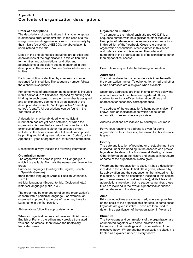### **Order of descriptions**

The descriptions of organizations in this volume appear in alphabetic order of the first title. In the case of a few intergovernmental organizations known more usually by their initials (eg WHO, UNESCO), the abbreviation is used instead of the title.

Listed in the one alphabetic sequence are all titles and abbreviations of the organizations in this edition, their former titles and abbreviations, and titles and abbreviations of subsidiary bodies mentioned in their descriptions. The index in Volume 3 also lists keywords in titles.

Each description is identified by a sequence number assigned for this edition. The sequence number follows the alphabetic sequence.

For some types of organization no description is included in this edition due to limitations imposed by printing and binding. In such cases, no sequence number is assigned and an explanatory comment is given instead of the description (for example: "no longer active"; "meeting series"; "treaty"). All descriptions can be found in the Yearbook Online.

A description may be abridged when sufficient information has not yet been obtained, or when the organization is classified as one of the types for which extensive information is either not collected or not included in the book version due to limitations imposed by printing and binding; see below under "Codes", or the Appendix "Types of organization" for further information.

Descriptions always include the following information.

### **Organization name**

The organization's name is given in all languages in which it is available. Normally the names are given in the order:

- European languages (starting with English, French, Spanish, German)
- transliterated languages (Arabic, Russian, Japanese, etc.)

artificial languages (Esperanto, Ido, Occidental, etc.) historical languages (Latin, etc.)

The order may be changed to reflect the organization's concern with a particular language. For example, an organization promoting the use of Latin may have its Latin name in the first position.

Abbreviations follow the appropriate name.

When an organization does not have an official name in English or French, the editors may provide translated versions. An asterisk then follows the unofficially translated name.

### **Organization number**

The number to the right of each title (eg •00123) is a sequence number with no significance other than as a fixed point of reference in the sequence of organizations in this edition of the Yearbook. Cross-references in organization descriptions, other volumes in this series and indexes refer to this number. The order and numbering of the organizations is of no significance other than alphabetical access.

Descriptions may include the following information.

### **Addresses**

The main address for correspondence is inset beneath the organization names. Telephone, fax, e-mail and other media addresses are also given when available.

Secondary addresses are inset in smaller type below the main address. Included here are registered offices, continental regional offices, information offices and addresses for secondary correspondence.

The address of the organization's home page is given, if known, with an indication as to which aspect of the organization it refers where appropriate.

Address locations are indexed by country in Volume 2.

For various reasons no address is given for some organizations. In such cases, the reason for this absence is given.

### **History**

The date and location of founding or of establishment are indicated under this heading. In the absence of a precise legal date, the date of the first General Meeting is given. Other information on the history and changes in structure or name of the organization is also given.

Where another organization is cited, if it has a description included in this edition, its first title is given, followed by its abbreviation and the sequence number allotted to it for this edition. If it has no description included in this edition (e.g. former names, subsidiary bodies), all its titles and abbreviations are given, but no sequence number; these titles are included in the overall alphabetical sequence with a reference to this description.

### **Aims**

Principal objectives are summarized, wherever possible on the basis of the organization's statutes. In some cases keywords are given in italics. These are then used to determine classification of the organization in Volume 3.

### **Structure**

The key organs and commissions of the organization are enumerated, together with some indication of the frequency of their meetings and of composition of the executive body. Where another organization is cited, it is treated as explained under "History" above.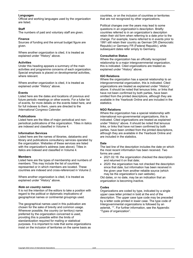### **Languages**

Official and working languages used by the organization are listed.

### **Staff**

The numbers of paid and voluntary staff are given.

### **Finance**

Sources of funding and the annual budget figure are given.

Where another organization is cited, it is treated as explained under "History" above.

### **Activities**

Under this heading appears a summary of the main activities and programme concerns of each organization. Special emphasis is placed on developmental activities, where relevant.

Where another organization is cited, it is treated as explained under "History" above.

### **Events**

Listed here are the dates and locations of previous and future periodic meetings or other events. For a fuller list of events, for more details on the events listed here, and for full indexes to them, users are directed to the *International Congress Calendar.*

### **Publications**

Listed here are the titles of major periodical and nonperiodical publications of the organization. Titles in italics are indexed and classified in Volume 4*.*

### **Information Services**

Listed here are the names of libraries, databanks and library and publications consultancy services operated by the organization. Websites of these services are listed with the organization's address (see above). Titles in italics are indexed and classified in Volume 4*.* 

### **Members**

Listed here are the types of membership and numbers of members. This may include the list of countries represented or in which members are located. These countries are indexed and cross-referenced in Volume 2.

Where another organization is cited, it is treated as explained under "History" above.

### *Note on country names*

It is not the intention of the editors to take a position with regard to the political or diplomatic implications of geographical names or continental groupings used.

The geographical names used in this publication are chosen for the sake of brevity and common usage. Wherever possible, the country (or territory) name preferred by the organization concerned is used, providing this is possible within the limits of standardization required for mailing or statistical purposes. It is important to note that some organizations insist on the inclusion of territories on the same basis as

countries, or on the inclusion of countries or territories that are not recognized by other organizations.

Political changes over the years may lead to some questions in an organization's description. Briefly: countries referred to in an organization's description retain their old form when referring to a date prior to the change. For example, towns referred to in events prior to 1991 still retain their country as German DR (Democratic Republic) or Germany FR (Federal Republic), while subsequent dates refer simply to Germany.

### **Consultative Status**

Where the organization has an officially recognized relationship to a major intergovernmental organization, this is indicated. Cited organizations are treated as explained under "History" above.

### **IGO Relations**

Where the organization has a special relationship to an intergovernmental organization, this is indicated. Cited organizations are treated as explained under "History" above. It should be noted that tenuous links, or links that have not been confirmed by both parties, have been omitted from the printed descriptions, although they are available in the Yearbook Online and are included in the statistics.

# **NGO Relations**

Where the organization has a special relationship with international non-governmental organizations, this is indicated. Cited organizations are treated as explained under "History" above. It should be noted that tenuous links, or links that have not been confirmed by both parties, have been omitted from the printed descriptions, although they are available in the Yearbook Online and are included in the statistics.

### **Date**

The last line of the description includes the date on which the most recent information has been received. Two forms are used:

- 2021.02.16: the organization checked the description and returned it on that date;
- 2020: the organization has not checked the description since that date, but information has been received in the given year from another reliable source (which may be the organization's own website).

Old dates, or no date, may be an indication that an organization is becoming inactive.

# **Codes**

Organizations are coded by type, indicated by a single upper case letter printed in bold at the end of the description. The upper case type code may be preceded by a letter code printed in lower case. The type code of Intergovernmental organizations is followed by an asterisk, '\*'. For further information, see the Appendix: "Types of organization".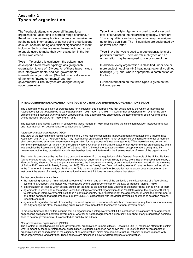The Yearbook attempts to cover all "international organizations", according to a broad range of criteria. It therefore includes many bodies that may be perceived as not being fully international, or as not being organizations as such, or as not being of sufficient significance to merit inclusion. Such bodies are nevertheless included, so as to enable users to make their own evaluation in the light of their own criteria.

**Type 1:** To assist this evaluation, the editors have developed a hierarchical typology, assigning each organization to one of 15 types. All of these types include both intergovernmental and non-governmental international organizations. (See below for a discussion of the terms "intergovernmental" and "nongovernmental".) The 15 types are designated by an upper case letter.

**Type 2:** A qualifying typology is used to add a second level of structure to the hierarchical typology. There are 13 such qualifiers and an organization may be assigned up to three qualifiers. The 13 qualifiers are designated by an lower case letter.

**Type 3:** A third type is used to group organizations of a particular structure. There are 26 such types and an organization may be assigned to one or more of them.

In addition, every organization is classified under one or more subject headings (848 headings), regionally-defined headings (22), and, where appropriate, a combination of the two.

Further information on the three types is given on the following pages.

### **INTERGOVERNMENTAL ORGANIZATIONS (IGOS) AND NON-GOVERNMENTAL ORGANIZATIONS (NGOS)**

The approach to the selection of organizations for inclusion in this Yearbook was first developed by the Union of International Associations for the *Annuaire de la Vie Internationale* (1908-1909, 1910-1911). It was further developed after 1945 for the early editions of the *Yearbook of International Organizations*. The approach was endorsed by the Economic and Social Council of the United Nations (ECOSOC) in 1950 and in 1953.

The Economic and Social Council, in considering these matters in 1950, itself clarified the distinction between intergovernmental and international non-governmental organizations as follows:

### *Intergovernmental organizations (IGOs)*

The view of the Economic and Social Council of the United Nations concerning intergovernmental organizations is implicit in its Resolution 288 (X) of 27 February 1950: "Any international organization which is not established by intergovernmental agreement shall be considered as a non-governmental organization for the purpose of these arrangements." The resolution was concerned with the implementation of Article 71 of the United Nations Charter on consultative status of non-governmental organizations, and it was amplified by Resolution 1296 (XLIV) of 25 June 1968: "...including organizations which accept members designated by government authorities, provided that such membership does not interfere with the free expression of views of the organizations."

The matter is complicated by the fact that, pursuant to Article 12 of the regulations of the General Assembly of the United Nations (giving effect to Article 102 of the Charter), the Secretariat publishes, in the UN Treaty Series, every instrument submitted to it by a Member State, when "so far as that party is concerned, the instrument is a treaty or an international agreement within the meaning of Article 102" (Note in UN Treaty Series, Vol. 748). The terms "treaty" and "international agreement" have not been defined either in the Charter or in the regulations. Furthermore: "It is the understanding of the Secretariat that its action does not confer on the instrument the status of a treaty or an international agreement if it does not already have that status ...

Further complications arise from:

- the increasing number of "international agreements" in which one or more of the parties is a constituent state of a federal state system (e.g. Quebec); this matter was not resolved by the Vienna Convention on the Law of Treaties (Vienna, 1969);
- bilateralization of treaties when several states act together to aid another state under a "multilateral" treaty signed by all of them; • agreements in which one of the parties is itself an intergovernmental organization (thus "multilateralizing" the agreement) acting to establish an intergovernmental institute in a particular country (thus "bilateralizing" the agreement), of which the government is one of the parties to that agreement (e.g. many UNESCO agreements with individual developing countries to establish regional research centres);
- agreements signed on behalf of national government agencies or departments which, in the case of purely technical matters, may not fully engage the state; the resulting organizations may then define themselves as "non-governmental".

In practice therefore, the editors assume that an organization is intergovernmental if it is established by signature of an agreement engendering obligations between governments, whether or not that agreement is eventually published. If any organization declares itself to be non-governmental, it is accepted as such by the editors.

### *Non-governmental organizations (NGOs)*

The problem of identifying eligible non-governmental organizations is more difficult. Resolution 288 (X) makes no attempt to explain what is meant by the term "international organization". Editorial experience has shown that it is useful to take seven aspects of organizational life as indicators of the eligibility of an organization: aims; membership; structure; officers; finance; relations with other organizations; and activities. These aspects are discussed below for different types of organization.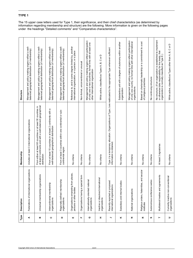# **TYPE 1**

The 15 upper case letters used for Type 1, their significance, and their chief characteristics (as determined by information regarding membership and structure) are the following. More information is given on the following pages under the headings "Detailed comments" and "Comparative characteristics".

| Type     | Description                                                     | Membership                                                                                                                                        | Structure                                                                                                                                                                     |
|----------|-----------------------------------------------------------------|---------------------------------------------------------------------------------------------------------------------------------------------------|-------------------------------------------------------------------------------------------------------------------------------------------------------------------------------|
| ⋖        | organizations<br>Federations of international                   | includes at least 3 international organizations                                                                                                   | Management and policy-making organs reflect a well-<br>balanced geographical distribution (cf membership)                                                                     |
| w        | nizations<br>Universal membership orga                          | From either at least 60 countries or at least 30 countries in<br>at least 2 continents and with a well-balanced geographical<br>distribution      | Management and policy-making organs reflect a well-<br>balanced geographical distribution (cf membership)                                                                     |
| ပ        | Intercontinental membership<br>organizations                    | From at least 10 countries in at least 2 continents with a<br>well-balanced geographical distribution                                             | Management and policy-making organs reflect a well-<br>balanced geographical distribution (cf membership)                                                                     |
| $\Omega$ | Regionally defined membership<br>organizations                  | From at least 3 countries within one continental or sub-<br>continental region                                                                    | Management and policy-making organs reflect a well-<br>balanced geographical distribution (cf membership)                                                                     |
| ш        | Organizations emanating from places,<br>persons or other bodies | No criteria                                                                                                                                       | Reference to, and to some degree limited by, another<br>international organization, or a person, or a place                                                                   |
| щ        | Organizations having a special form                             | No criteria                                                                                                                                       | Non-formal, unconventional or unusual                                                                                                                                         |
| ပ        | Internationally-oriented national<br>organizations              | No criteria                                                                                                                                       | Management and policy-making organs reflect participation<br>of only one or two countries; formal links with at least one<br>other international organization                 |
| I        | Inactive or dissolved international<br>organizations            | No criteria                                                                                                                                       | or D<br>$\circ$<br>மி<br>While active, classified as Types A,                                                                                                                 |
| っ        | g<br>Recently reported or propos<br>international organizations | Type J is a temporary allocation. Organizations of Type J are reallocated to the appropriate Type whenever sufficient<br>information is obtained. |                                                                                                                                                                               |
| ×        | Subsidiary and internal bodies                                  | No criteria                                                                                                                                       | Substantive unit with a degree of autonomy within another<br>organization                                                                                                     |
| z        | National organizations                                          | No criteria                                                                                                                                       | Management and policy-making organs reflect participation<br>of only one country; no formal links with other international<br>organizations                                   |
| œ        | and secular<br>Religious orders, fraternities,<br>institutes    | No criteria                                                                                                                                       | Based on charismatic leadership or a commitment to a set<br>of (religious) practices                                                                                          |
| w        | Səli<br>Autonomous conference se                                | No criteria                                                                                                                                       | No continuing structure                                                                                                                                                       |
| ۳        | Multilateral treaties and agreements                            | At least 3 signatories                                                                                                                            | No structure. (If an organization is established to implement<br>or otherwise take responsibility for the treaty, that<br>نين.<br>organization is normally classified as Type |
| っ        | Currently inactive non-conventional<br>organizations            | No criteria                                                                                                                                       | While active, classified as Types other than A, B, C or D                                                                                                                     |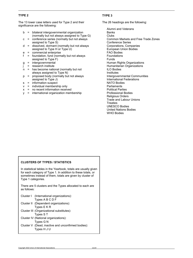# **TYPE 2**

The 13 lower case letters used for Type 2 and their significance are the following:

- b = bilateral intergovernmental organization (normally but not always assigned to Type G)
- c = conference series (normally but not always assigned to Type S)
- d = dissolved, dormant (normally but not always assigned to Type H or Type U)
- e = commercial enterprise
- $f =$  foundation, fund (normally but not always assigned to Type F)
- g = intergovernmental
- = research institute
- $n =$  has become national (normally but not always assigned to Type N)
- p = proposed body (normally but not always assigned to Type J)
- s = information suspect
- $v =$  individual membership only
- $x = no$  recent information received
- y = international organization membership

# **TYPE 3**

The 26 headings are the following:

Alumni and Veterans

- **Banks** Clubs
- Common Markets and Free Trade Zones
- Conference Series
- Corporations, Companies
- European Union Bodies
- FAO Bodies Foundations
- Funds
- Human Rights Organizations
- Humanitarian Organizations
- ILO Bodies
- **Institutes**
- Intergovernmental Communities International Federations
- NATO Bodies
- **Parliaments**
- Political Parties
- Professional Bodies
- Religious Orders
- Trade and Labour Unions
- **Treaties**
- UNESCO Bodies United Nations Bodies
- WHO Bodies

# **CLUSTERS OF TYPES / STATISTICS**

In statistical tables in the Yearbook, totals are usually given for each category of Type 1. In addition to these totals, or sometimes instead of them, totals are given by cluster of Type 1 categories.

There are 5 clusters and the Types allocated to each are as follows:

| Cluster I (International organizations):           |
|----------------------------------------------------|
| Types A B C D F                                    |
| Cluster II (Dependent organizations):              |
| Types E K R                                        |
| Cluster III (Organizational substitutes):          |
| Types ST                                           |
| Cluster IV (National organizations):               |
| Types G N                                          |
| Cluster V (Dead, inactive and unconfirmed bodies): |
| Types H J U                                        |
|                                                    |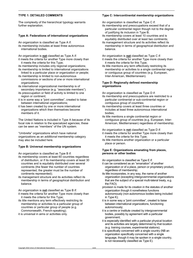### **TYPE 1: DETAILED COMMENTS**

The complexity of the hierarchical typology warrants further explanation.

### **Type A: Federations of international organizations**

An organization is classified as Type A if: its membership includes at least three autonomous international bodies.

An organization is **not** classified as Type A if:

it meets the criteria for another Type more closely than it meets the criteria for this Type;

its membership includes only regional organizations;

- its membership is limited to international organizations linked to a particular place or organization or people;
- its membership is limited to non-autonomous commissions or sections of one or more international organizations;
- its international organizational membership is of secondary importance (e.g. "associate members").
- its preoccupation or field of activity is limited to one region or continent;
- it is in some way a "joint committee", created to liaise between international organizations;
- it has been created by one or more international organizations which then themselves become members of it.

The United Nations is included in Type A because of its focal role in relation to the specialized agencies; these can be seen as "members" of the UN system.

"Umbrella" organizations which have national organizations as an *additional* membership category may also be included here.

### **Type B: Universal membership organizations**

An organization is classified as Type B if:

- its membership covers at least 60 countries regardless of distribution, or if its membership covers at least 30 countries and is equitably distributed over several continents (the fewer the number of countries represented, the greater must be the number of continents represented);
- its management structure and its activities reflect its membership in terms of geographical distribution and balance.

An organization is **not** classified as Type B if:

- it meets the criteria for another Type more closely than it meets the criteria for this Type;
- its title mentions any term effectively restricting its membership or activities to a particular group of countries or particular group of people (e.g. Commonwealth, French-speaking);
- it is universal in aims or activities only.

### **Type C: Intercontinental membership organizations**

An organization is classified as Type C if:

- its membership and preoccupations exceed that of a particular continental region though not to the degree of justifying its inclusion in Type B;
- its membership covers at least 10 countries and is equitably distributed over at least two continents;
- its management structure and its activities reflect its membership in terms of geographical distribution and balance.

An organization is **not** classified as Type C if:

- it meets the criteria for another Type more closely than it meets the criteria for this Type;
- its title mentions any term effectively restricting its membership or activities to a single continental region or contiguous group of countries (e.g. European, Inter-American, Mediterranean).

### **Type D: Regionally defined membership organizations**

An organization is classified as Type D if:

- its membership and preoccupations are restricted to a particular continental or sub-continental region or contiguous group of countries;
- its membership covers at least three countries or includes at least three autonomous international bodies;
- its title mentions a single continental region or contiguous group of countries (e.g. European, Inter-American, Mediterranean) regardless of membership;

An organization is **not** classified as Type D if: it meets the criteria for another Type more closely than

- it meets the criteria for this Type;
- its title mentions another organization or a particular place or person.

### **Type E: Organizations emanating from places, persons or other bodies**

An organization is classified as Type E if:

- it can be considered as an "emanation" of another organization or of a place, person or proprietary product, regardless of membership;
- its title incorporates, in any way, the name of another organization (excepting intergovernmental organizations that are the subject of a special multi-lateral treaty, e.g. the FAO);
- provision is made for its creation in the statutes of another organization though it nonetheless functions autonomously (non-autonomous bodies being included in Type K);
- it is in some way a "joint committee", created to liaise between international organizations, functioning autonomously;
- it is a centre or institute created by intergovernmental bodies, possibly by agreement with a particular government;
- it is especially identified with a particular physical location and its activities are largely determined by that location (e.g. training courses, experimental stations);
- it is specifically concerned with a single country (NB an organization specifically concerned with a single language, though it may be spoken in a single country, is not necessarily classified as Type E).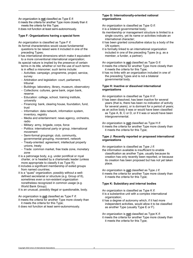An organization is **not** classified as Type E if:

it meets the criteria for another Type more closely than it meets the criteria for this Type;

it does not function at least semi-autonomously.

### **Type F: Organizations having a special form**

An organization is classified as Type F if:

- its formal characteristics would cause fundamental questions to be raised were it included in one of the preceding Types;
- it has international dimensions which make it equivalent to a more conventional international organization;
- its special nature is implied by the presence of certain terms in its title, whether or not the use of such terms is in effect a misnomer; such terms include:
	- − Activities: campaign, programme, project, service, survey
	- − Arbitration and legislation: court, parliament, tribunal
	- − Buildings: laboratory, library, museum, observatory
	- − Collections: cultures, gene bank, organ bank, reserve
	- − Education: college, school, training institute, university
	- − Financing: bank, clearing house, foundation, fund, trust
	- − Information: data network, information system, inventory, registry
	- − Media and entertainment: news agency, orchestra, radio
	- − Military: army, brigade, corps, force
	- − Politics: international party or group, international movement
	- − Semi-formal groupings: club, community, governmental grouping, movement, network
	- − Treaty-oriented: agreement, intellectual property unions, treaty
	- − Trade: common market, free trade zone, monetary zone
- it is a patronage body, e.g. under pontifical or royal charter, or is headed by a charismatic leader (unless more appropriate to classify it as Type R);
- it includes a significant membership of exiled groups from named countries;
- it is a "quasi" organization, possibly without a welldefined secretariat or structure (e.g. Group of 8), sometimes even a non-existent organization nonetheless recognized in common usage (e.g. World Bank Group);
- it is an unusual, possibly illegal or questionable, body.

An organization is **not** classified as Type F if:

it meets the criteria for another Type more closely than it meets the criteria for this Type;

it does not function at least semi-autonomously.

### **Type G: Internationally-oriented national organizations**

An organization is classified as Type G if: it is a bilateral governmental body;

- its membership or management structure is limited to a single country, yet its name or activities indicate an international character;
- it has been granted consultative status by a body of the UN system;
- it is formally linked to an international organization included in one of the preceding Types (e.g. as a member, a funder, a partner).

An organization is **not** classified as Type G if:

- it meets the criteria for another Type more closely than it meets the criteria for this Type;
- it has no links with an organization included in one of the preceding Types and is not a bilateral governmental body.

### **Type H: Inactive or dissolved international organizations**

An organization is classified as Type H if:

it has been dissolved, has been inactive for several years (that is, there has been no indication of activity for several years), or is dormant for a period of years;

as an active body it was or would have been classified as Type A, B, C or D, or if it was or would have been intergovernmental.

An organization is **not** classified as Type H if:

it meets the criteria for another Type more closely than it meets the criteria for this Type;

### **Type J: Recently reported or proposed international organizations**

An organization is classified as Type J if:

the information available is insufficient to enable classification as another Type, usually because its creation has only recently been reported, or because its creation has been proposed but has not yet taken place.

An organization is **not** classified as Type J if:

it meets the criteria for another Type more closely than it meets the criteria for this Type;

### **Type K: Subsidiary and internal bodies**

An organization is classified as Type K if: it is a substantive unit with a complex international organization;

it has a degree of autonomy which, if it had more independent activities, would allow it to be classified as another Type (usually Type E or F).

An organization is **not** classified as Type K if:

it meets the criteria for another Type more closely than it meets the criteria for this Type;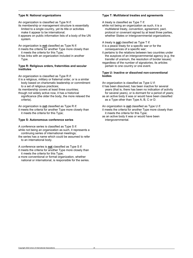### **Type N: National organizations**

An organization is classified as Type N if:

- its membership or management structure is essentially limited to a single country, yet its title or activities make it appear to be international;
- it appears on public information lists of a body of the UN system.

An organization is **not** classified as Type N if:

- it meets the criteria for another Type more closely than it meets the criteria for this Type;
- it has links with an organization included in another Type.

### **Type R: Religious orders, fraternities and secular institutes**

An organization is classified as Type R if:

- it is a religious, military or fraternal order, or is a similar body based on charismatic leadership or commitment to a set of religious practices;
- its membership covers at least three countries;
- though not widely active now, it has a historical significance (the older the body, the more relaxed the criteria).

An organization is **not** classified as Type R if:

it meets the criteria for another Type more closely than it meets the criteria for this Type;

### **Type S: Autonomous conference series**

A conference series is classified as Type S if: while not being an organization as such, it represents a continuing series of international meetings;

the series has a name which could be assumed to refer to an international body.

A conference series is **not** classified as Type S if:

- it meets the criteria for another Type more closely than it meets the criteria for this Type;
- a more conventional or formal organization, whether national or international, is responsible for the series.

### **Type T: Multilateral treaties and agreements**

A treaty is classified as Type T if:

while not being an organization as such, it is a multilateral treaty, convention, agreement, pact, protocol or covenant signed by at least three parties, whether States or intergovernmental organizations.

A treaty is **not** classified as Type T if:

- it is a peace treaty for a specific war or for the consequences of a specific war;
- it pertains to the relations between two countries under the auspices of an intergovernmental agency (e.g. the transfer of uranium, the resolution of border issues)
- regardless of the number of signatories, its articles pertain to one country or one event.

### **Type U: Inactive or dissolved non-conventional bodies**

An organization is classified as Type U if:

it has been dissolved, has been inactive for several years (that is, there has been no indication of activity for several years), or is dormant for a period of years; as an active body it was or would have been classified as a Type other than Type A, B, C or D.

An organization is **not** classified as Type U if:

- it meets the criteria for another Type more closely than it meets the criteria for this Type;
- as an active body it was or would have been intergovernmental.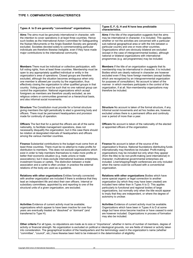### **TYPE 1: COMPARATIVE CHARACTERISTICS**

| Types A to D are generally "conventional" organizations.                                                                                                                                                                                                                                                                                                                                                                                                                                                                                                                                                                                                                                                                                                                                                           | Types E, F, G, H and N have less predictable<br>characteristics.                                                                                                                                                                                                                                                                                                                                                                                                                                                                                              |
|--------------------------------------------------------------------------------------------------------------------------------------------------------------------------------------------------------------------------------------------------------------------------------------------------------------------------------------------------------------------------------------------------------------------------------------------------------------------------------------------------------------------------------------------------------------------------------------------------------------------------------------------------------------------------------------------------------------------------------------------------------------------------------------------------------------------|---------------------------------------------------------------------------------------------------------------------------------------------------------------------------------------------------------------------------------------------------------------------------------------------------------------------------------------------------------------------------------------------------------------------------------------------------------------------------------------------------------------------------------------------------------------|
| Aims The aims must be genuinely international in character, with<br>the intention to cover operations in at least three countries. Hence<br>such bodies as the International Action Committee for Safeguarding<br>the Nubian Monuments or the Anglo-Swedish Society are generally<br>excluded. Societies devoted solely to commemorating particular<br>individuals are therefore likewise ineligible, even if they have made<br>major contributions to the international community.                                                                                                                                                                                                                                                                                                                                | Aims If the title of the organization suggests that the aims<br>may be international in character, it is included. This applies<br>whether or not the activities are concerned with a particular<br>sub-national geographical area or with the link between a<br>particular country and one or more other countries.<br>Organizations which are obviously bilateral are excluded<br>(except in the case of intergovernmental bodies), although<br>national or bilateral organizations with international<br>programmes (e.g. aid programmes) may be included. |
| <b>Members</b> There must be individual or collective participation, with<br>full voting rights, from at least three countries. Membership must be<br>open to any appropriately qualified individual or entity in the<br>organization's area of operations. Closed groups are therefore<br>excluded, although the situation becomes ambiguous when only<br>one member is allowed per country by the organization, thus<br>effectively closing the organization to other qualified groups in that<br>country. Voting power must be such that no one national group can<br>control the organization. National organizations which accept<br>foreigners as members are therefore usually excluded, as are<br>religious orders or communities governed on a hierarchical basis,<br>and also informal social movements. | <b>Members</b> If the title of an organization suggests that its<br>membership may be international in character, it is included.<br>Bodies which are clearly national in character are however<br>excluded even if they have foreign members (except bodies<br>which are recognized by an intergovernmental organization<br>for purposes of consultation). No account is taken of the<br>manner in which members participate in the control of the<br>organization, if at all. Non-membership organizations may<br>therefore be included.                    |
| <b>Structure</b> The Constitution must provide for a formal structure<br>giving members the right periodically to elect a governing body and<br>officers. There must be permanent headquarters and provision<br>made for continuity of operation.                                                                                                                                                                                                                                                                                                                                                                                                                                                                                                                                                                  | <b>Structure</b> No account is taken of the formal structure, if any.<br>Informal social movements and ad hoc bodies are, however,<br>excluded unless there is a permanent office and continuity<br>over a period of more than a year.                                                                                                                                                                                                                                                                                                                        |
| <b>Officers</b> The fact that for a period the officers are all of the same<br>nationality, to facilitate management operations, does not<br>necessarily disqualify the organization, but in this case there should<br>be rotation at designated intervals of headquarters and officers<br>among the various member countries.                                                                                                                                                                                                                                                                                                                                                                                                                                                                                     | <b>Officers</b> No account is taken of the nationality of the elected<br>or appointed officers of the organization.                                                                                                                                                                                                                                                                                                                                                                                                                                           |
| <b>Finance</b> Substantial contributions to the budget must come from at<br>least three countries. There must be no attempt to make profits for<br>distribution to members. This does not exclude organizations which<br>exist in order to help members themselves to make more profits or<br>better their economic situation (e.g. trade unions or trade<br>associations); but it does exclude international business enterprises,<br>investment houses or cartels. The distinction between a trade<br>association and a cartel is often unclear; in practice the external<br>relations of the body are used as a guideline.                                                                                                                                                                                      | <b>Finance</b> No account is taken of the source of the<br>organization's finance. National foundations distributing funds<br>internationally may therefore be included. Profit-making<br>organizations may be included but only when they appear<br>(from the title) to be non-profit-making (and international) in<br>character; multinational governmental enterprises are<br>included. Liner/shipping/freight conferences are only included<br>when the name could be confused with a conventional<br>organization.                                       |
| Relations with other organizations Entities formally connected<br>with another organization are included if there is evidence that they<br>lead an independent life and elect their own officers. Internal or<br>subsidiary committees, appointed by and reporting to one of the<br>structural units of a given organization, are excluded.                                                                                                                                                                                                                                                                                                                                                                                                                                                                        | Relations with other organizations Bodies which have<br>some special organic or legal connection to another<br>organization (by which they may have been created) are<br>included here rather than in Types A to D. This applies<br>particularly to functional and regional bodies of large<br>organizations, but normally only when the title would appear<br>to imply that they are independent, or where the degree of<br>autonomy is unclear.                                                                                                             |
| Activities Evidence of current activity must be available;<br>organizations which appear to have been inactive for over four<br>years are eventually treated as "dissolved" or "dormant" (and<br>transferred to Type H).                                                                                                                                                                                                                                                                                                                                                                                                                                                                                                                                                                                           | Activities Evidence of current activity must be available.<br>Organizations which have been in Types A to D at some<br>stage but have since become inactive or have ceased to exist<br>are however included. Organizations in process of formation<br>may also be included.                                                                                                                                                                                                                                                                                   |

**Other criteria** For all types, no stipulations are made as to size or "importance", whether in terms of number of members, degree of activity or financial strength. No organization is excluded on political or ideological grounds, nor are fields of interest or activity taken into consideration. The geographical location of the headquarters and the terminology used in the organization's name (whether "committee", "council", etc.) have likewise been held to be irrelevant in the determination of eligibility.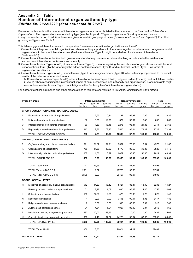# **Appendix 3 – Table 1 Number of international organizations by type**  *Edition 59, 2022/2023 (data collected in 2021)*

Presented in this table is the number of international organizations currently listed in the database of the *Yearbook of International Organizations*. The organizations are totalled by type (see the Appendix "Types of organization") and by whether they are intergovernmental or not. In addition, totals are given for certain groupings of types ("conventional", "other" and "special"). For other groupings of types, see Table 2.

This table suggests different answers to the question "How many international organizations are there?"

- 1. Conventional intergovernmental organizations, when attaching importance to the non-recognition of international non-governmental organizations in terms of international law. (Multilateral treaties, Type T, might be added as closely related international "instruments".)
- 2. Conventional international bodies, both governmental and non-governmental, when attaching importance to the existence of autonomous international bodies as a social reality.
- 3. Conventional bodies (Types A to D) plus special forms (Type F), when recognizing the importance of organizational substitutes and unconventional form. (To the latter might be added conference series, Type S, and multilateral treaties, Type T, as forms of organization substitute.)
- 4. Conventional bodies (Types A to D), special forms (Type F) and religious orders (Type R), when attaching importance to the social reality of the latter as independent actors.

5. Conventional bodies (Types A to D), other international bodies (Types E to G), religious orders (Type R), and multilateral treaties (Type T), when recognizing the international impact of semi-autonomous and nationally tied organizations. (Documentalists might also include inactive bodies, Type H, which figure in the "authority lists" of international organizations.)

For further statistical summaries and other presentations of this data see Volume 5: *Statistics, Visualizations and Patterns*.

|    | Types by group                                  | No. of       | Intergovernmental<br>% of this | % of this | No. of    | Nongovernmental<br>% of this | % of this | No. of    | <b>Total</b><br>% of this |
|----|-------------------------------------------------|--------------|--------------------------------|-----------|-----------|------------------------------|-----------|-----------|---------------------------|
|    |                                                 | this type    | type                           | group     | this type | type                         | group     | this type | group                     |
|    | <b>GROUP: CONVENTIONAL INTERNATIONAL BODIES</b> |              |                                |           |           |                              |           |           |                           |
| А. | Federations of international organizations      | $\mathbf{1}$ | 2,63                           | 0,34      | 37        | 97,37                        | 0,36      | 38        | 0,36                      |
| В. | Universal membership organizations              | 37           | 6.09                           | 12,76     | 571       | 93,91                        | 5,49      | 608       | 5,69                      |
| C. | Intercontinental membership organizations       | 39           | 1.69                           | 13,45     | 2275      | 98,31                        | 21,88     | 2314      | 21,65                     |
| D. | Regionally oriented membership organizations    | 213          | 2,76                           | 73,45     | 7515      | 97,24                        | 72,27     | 7728      | 72,31                     |
|    | TOTAL: CONVENTIONAL BODIES                      | 290          | 2,71                           | 100,00    | 10398     | 97,29                        | 100,00    | 10688     | 100,00                    |
|    | <b>GROUP: OTHER INTERNATIONAL BODIES</b>        |              |                                |           |           |                              |           |           |                           |
| Е. | Org's emanating from places, persons, bodies    | 991          | 21,67                          | 52,21     | 3582      | 78,33                        | 18,84     | 4573      | 21,87                     |
| F. | Organizations of special form                   | 750          | 11,50                          | 39,52     | 5770      | 88,50                        | 30.35     | 6520      | 31,19                     |
| G. | Internationally oriented national organizations | 157          | 1,60                           | 8,27      | 9657      | 98,40                        | 50,80     | 9814      | 46,94                     |
|    | TOTAL: OTHER BODIES                             | 1898         | 9,08                           | 100,00    | 19009     | 90,92                        | 100,00    | 20907     | 100,00                    |
|    |                                                 |              |                                |           |           |                              |           |           |                           |
|    | TOTAL Types E + F                               | 1741         | 15,69                          |           | 9352      | 84,31                        |           | 11093     |                           |
|    | TOTAL Types A B C D E F                         | 2031         | 9,32                           |           | 19750     | 90,68                        |           | 21781     |                           |
|    | TOTAL Types A B C D E F G                       | 2188         | 6,93                           |           | 29407     | 93,07                        |           | 31595     |                           |
|    | <b>GROUP: SPECIAL TYPES</b>                     |              |                                |           |           |                              |           |           |                           |
| Η. | Dissolved or apparently inactive organizations  | 912          | 14,63                          | 16,12     | 5321      | 85,37                        | 13,99     | 6233      | 14,27                     |
| J. | Recently reported bodies - not yet confirmed    | 61           | 3,47                           | 1,08      | 1695      | 96,53                        | 4,46      | 1756      | 4,02                      |
| Κ. | Subsidiary and internal bodies                  | 150          | 24,00                          | 2,65      | 475       | 76,00                        | 1,25      | 625       | 1,43                      |
| N. | National organizations                          | 1            | 0,03                           | 0,02      | 3416      | 99,97                        | 8,98      | 3417      | 7,82                      |
| R. | Religious orders and secular institutes         | $\mathbf 0$  | 0.00                           | 0,00      | 910       | 100,00                       | 2,39      | 910       | 2,08                      |
| S. | Autonomous conference series                    | 91           | 4,51                           | 1,61      | 1927      | 95,49                        | 5,07      | 2018      | 4,62                      |
| T. | Multilateral treaties, intergov'tal agreements  | 2487         | 100,00                         | 43,96     | $\pmb{0}$ | 0,00                         | 0,00      | 2487      | 5,69                      |
| U. | Currently inactive nonconventional bodies       | 1956         | 7,46                           | 34,57     | 24280     | 92,54                        | 63,85     | 26236     | 60,06                     |
|    | TOTAL: SPECIAL TYPES                            | 5658         | 12,95                          | 100,00    | 38024     | 87,05                        | 100,00    | 43682     | 100,00                    |
|    | TOTAL Types H + U                               | 2868         | 8,83                           |           | 29601     | 91,17                        |           | 32469     |                           |
|    |                                                 |              |                                |           |           |                              |           |           |                           |
|    | <b>TOTAL ALL TYPES</b>                          | 7846         | 10,42                          |           | 67431     | 89,58                        |           | 75277     |                           |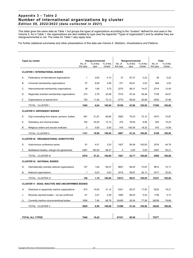# **Appendix 3 – Table 2 Number of international organizations by cluster**  *Edition 59, 2022/2023 (data collected in 2021)*

This table gives the same data as Table 1 but groups the types of organizations according to the "clusters" defined for and used in the Volume 5. As in Table 1, the organizations are also totalled by type (see the Appendix "Types of organization") and by whether they are intergovernmental or not. The notes for Table 1 also apply here.

For further statistical summaries and other presentations of this data see Volume 5: *Statistics, Visualizations and Patterns*.

|                                                | <b>Types by cluster</b>                          | No. of<br>this type | Intergovernmental<br>% of this<br>type | % of this<br>cluster | No. of<br>this type | Nongovernmental<br>% of this<br>type | % of this<br>cluster | No. of<br>this type | <b>Total</b><br>% of this<br>cluster |
|------------------------------------------------|--------------------------------------------------|---------------------|----------------------------------------|----------------------|---------------------|--------------------------------------|----------------------|---------------------|--------------------------------------|
|                                                | <b>CLUSTER I: INTERNATIONAL BODIES</b>           |                     |                                        |                      |                     |                                      |                      |                     |                                      |
| Α.                                             | Federations of international organizations       | $\mathbf{1}$        | 2,63                                   | 0, 10                | 37                  | 97,37                                | 0,23                 | 38                  | 0,22                                 |
| <b>B.</b>                                      | Universal membership organizations               | 37                  | 6.09                                   | 3,56                 | 571                 | 93.91                                | 3,53                 | 608                 | 3,53                                 |
| C.                                             | Intercontinental membership organizations        | 39                  | 1,69                                   | 3,75                 | 2275                | 98,31                                | 14.07                | 2314                | 13,45                                |
| D.                                             | Regionally oriented membership organizations     | 213                 | 2,76                                   | 20,48                | 7515                | 97,24                                | 46,48                | 7728                | 44,91                                |
| F.                                             | Organizations of special form                    | 750                 | 11,50                                  | 72,12                | 5770                | 88,50                                | 35,69                | 6520                | 37,89                                |
|                                                | TOTAL: CLUSTER I                                 | 1040                | 6,04                                   | 100,00               | 16168               | 93,96                                | 100,00               | 17208               | 100,00                               |
|                                                | <b>CLUSTER II: DEPENDENT BODIES</b>              |                     |                                        |                      |                     |                                      |                      |                     |                                      |
| Е.                                             | Org's emanating from places, persons, bodies     | 991                 | 21,67                                  | 86,85                | 3582                | 78,33                                | 72,12                | 4573                | 74,87                                |
| Κ.                                             | Subsidiary and internal bodies                   | 150                 | 24,00                                  | 13,15                | 475                 | 76,00                                | 9,56                 | 625                 | 10,23                                |
| R.                                             | Religious orders and secular institutes          | 0                   | 0,00                                   | 0,00                 | 910                 | 100,00                               | 18,32                | 910                 | 14,90                                |
|                                                | <b>TOTAL: CLUSTER II</b>                         | 1141                | 18,68                                  | 100,00               | 4967                | 81,32                                | 100,00               | 6108                | 100,00                               |
| <b>CLUSTER III: ORGANIZATIONAL SUBSTITUTES</b> |                                                  |                     |                                        |                      |                     |                                      |                      |                     |                                      |
| S.                                             | Autonomous conference series                     | 91                  | 4,51                                   | 3,53                 | 1927                | 95,49                                | 100,00               | 2018                | 44,79                                |
| Τ.                                             | Multilateral treaties, intergov'tal agreements   | 2487                | 100,00                                 | 96,47                | 0                   | 0,00                                 | 0,00                 | 2487                | 55,21                                |
|                                                | TOTAL: CLUSTER III                               | 2578                | 57,23                                  | 100,00               | 1927                | 42,77                                | 100,00               | 4505                | 100,00                               |
|                                                | <b>CLUSTER IV: NATIONAL BODIES</b>               |                     |                                        |                      |                     |                                      |                      |                     |                                      |
| G.                                             | Internationally oriented national organizations  | 157                 | 1,60                                   | 99,37                | 9657                | 98,40                                | 73,87                | 9814                | 74,17                                |
| N.                                             | National organizations                           | 1                   | 0,03                                   | 0,63                 | 3416                | 99,97                                | 26,13                | 3417                | 25,83                                |
|                                                | TOTAL: CLUSTER IV                                | 158                 | 1,19                                   | 100,00               | 13073               | 98,81                                | 100,00               | 13231               | 100,00                               |
|                                                | CLUSTER V: DEAD, INACTIVE AND UNCONFIRMED BODIES |                     |                                        |                      |                     |                                      |                      |                     |                                      |
| Η.                                             | Dissolved or apparently inactive organizations   | 912                 | 14,63                                  | 31,14                | 5321                | 85,37                                | 17,00                | 6233                | 18,21                                |
| J.                                             | Recently reported bodies - not yet confirmed     | 61                  | 3,47                                   | 2,08                 | 1695                | 96,53                                | 5,42                 | 1756                | 5,13                                 |
| U.                                             | Currently inactive nonconventional bodies        | 1956                | 7,46                                   | 66,78                | 24280               | 92,54                                | 77,58                | 26236               | 76,66                                |
|                                                | TOTAL: CLUSTER V                                 | 2929                | 8,56                                   | 100,00               | 31296               | 91,44                                | 100,00               | 34225               | 100,00                               |
|                                                |                                                  |                     |                                        |                      |                     |                                      |                      |                     |                                      |
|                                                | <b>TOTAL ALL TYPES</b>                           | 7846                | 10,42                                  |                      | 67431               | 89,58                                |                      | 75277               |                                      |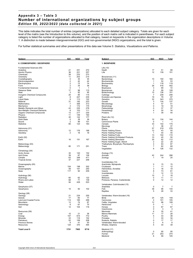# **Appendix 3 – Table 3 Number of international organizations by subject groups**  *Edition 59, 2022/2023 (data collected in 2021)*

This table indicates the total number of entries (organizations) allocated to each detailed subject category. Totals are given for each level of the matrix (see the Introduction to this volume), and the position of each matrix cell is indicated in parentheses. For each subject category is listed the number of organizations allocated to that category, based on keywords in the organization descriptions in Volume 1. A distinction is made between intergovernmental (IGO) and non-governmental (NGO) organizations, and the total is given.

For further statistical summaries and other presentations of this data see Volume 5: *Statistics, Visualizations and Patterns*.

| <b>Subject</b>                        | IGO                     | NGO          | <u>Total</u> | <b>Subject</b>                                                  | <b>IGO</b>           | <b>NGO</b>           | <b>Total</b>          |
|---------------------------------------|-------------------------|--------------|--------------|-----------------------------------------------------------------|----------------------|----------------------|-----------------------|
| 0. COSMOSPHERE / GEOSPHERE            |                         |              |              | 1. BIOSPHERE                                                    |                      |                      |                       |
| Fundamental Sciences (00)             |                         |              |              | Life (10)                                                       |                      |                      |                       |
| Analytics                             | 21                      | 251          | 272          | Death                                                           | 17                   | 51                   | 68                    |
| <b>Atomic Physics</b>                 | 36                      | 221          | 257          | Life                                                            | 12                   | 139                  | 151                   |
| Chemicals                             | 39                      | 233          | 272          |                                                                 |                      |                      |                       |
| Chemistry<br>Crystallography          | 11<br>0                 | 203<br>35    | 214<br>35    | Biosciences (11)<br>Bacteriology                                | 10                   | 150                  | 160                   |
| Electromagnetism                      | $\overline{2}$          | 42           | 44           | Biochemicals                                                    | 1                    | 52                   | 53                    |
| Electrophysics                        | $\overline{\mathbf{c}}$ | 72           | 74           | Biochemistry                                                    | 1                    | 118                  | 119                   |
| Form                                  | $\overline{2}$          | 34           | 36           | Biology                                                         | 26                   | 416                  | 442                   |
| <b>Fundamental Sciences</b>           | $\mathbf 0$             | $\mathbf{1}$ | $\mathbf{1}$ | Biophysics                                                      | 3                    | 69                   | 72                    |
| Gaseous State                         | 17                      | 98           | 115          | <b>Biosciences</b>                                              | 9                    | 99                   | 108                   |
| Heat                                  | 3                       | 92           | 95           | Biotechnology                                                   | 15<br>$\overline{7}$ | 136                  | 151                   |
| Inorganic Chemical Compounds<br>Light | 20<br>8                 | 95<br>227    | 115<br>235   | Cytology<br><b>Evolution and Species</b>                        | 19                   | 239<br>78            | 246<br>97             |
| Liquid State                          | 9                       | 113          | 122          | Genetics                                                        | 32                   | 343                  | 375                   |
| Material                              | 31                      | 192          | 223          | Growth                                                          | 3                    | 134                  | 137                   |
| Mathematics                           | 7                       | 306          | 313          | Microbiology                                                    | 4                    | 47                   | 51                    |
| Mechanics                             | 3                       | 172          | 175          | Morphology                                                      | 0                    | 19                   | 19                    |
| Metallic Elements and Alloys          | 43                      | 235          | 278          | Paleontology                                                    | 0                    | 37                   | 37                    |
| Non-Metallic Chemical Elements        | 8                       | 103          | 111          | Parasitology                                                    | 4                    | 30                   | 34                    |
| Organic Chemical Compounds<br>Physics | 13<br>11                | 217<br>149   | 230<br>160   | Proteins                                                        | 1                    | 39                   | 40                    |
| Radiation                             | 35                      | 142          | 177          | Plant Life (12)                                                 |                      |                      |                       |
| Solid State                           | $\mathbf 0$             | 39           | 39           | Botany                                                          | 10                   | 134                  | 144                   |
| Sound                                 | $\overline{\mathbf{c}}$ | 99           | 101          | Carnivorous Plants                                              | 0                    | 1                    | -1                    |
| Statistics                            | 60                      | 123          | 183          | Cereals                                                         | 33                   | 142                  | 175                   |
|                                       |                         |              |              | Mycology                                                        | $\mathbf{1}$         | 36                   | 37                    |
| Astronomy (01)                        |                         |              |              | Plants                                                          | 57                   | 219                  | 276                   |
| Astronomy                             | 12<br>2                 | 176<br>16    | 188<br>18    | <b>Plants Yielding Fibres</b>                                   | 12<br>-1             | 43<br>44             | 55<br>45              |
| Geodesy                               |                         |              |              | <b>Plants Yielding Flowers</b><br><b>Plants Yielding Fruits</b> | 13                   | 102                  | 115                   |
| Earth (02)                            |                         |              |              | Plants Yielding Oil-Related Products                            | 10                   | 40                   | 50                    |
| Earth                                 | 16                      | 151          | 167          | <b>Plants Yielding Stimulants</b>                               | 30                   | 82                   | 112                   |
|                                       |                         |              |              | Plants Yielding Sugar, Starch                                   | $\overline{2}$       | 22                   | 24                    |
| Meteorology (03)                      |                         |              |              | Thallophyta, Bryophyta, Pteridophyta                            | 4                    | 83                   | 87                    |
| Meteorology                           | 80                      | 171          | 251          | Trees                                                           | $\overline{7}$       | 62                   | 69                    |
|                                       |                         |              |              | Vegetables                                                      | 6                    | 126                  | 132                   |
| Climatology (04)<br>Arctic Zones      | 32                      | 120          | 152          | Zoology (13)                                                    |                      |                      |                       |
| Arid Zones                            | 39                      | 87           | 126          | Animals                                                         | 42                   | 244                  | 286                   |
| Climate                               | 63                      | 348          | 411          | Zoology                                                         | $\mathbf{1}$         | 19                   | 20                    |
| <b>Tropical Zones</b>                 | 37                      | 221          | 258          |                                                                 |                      |                      |                       |
|                                       |                         |              |              | Invertebrates (14)                                              |                      |                      |                       |
| Oceanography (05)                     |                         |              |              | Arachnida, Myriapoda                                            | 0                    | 15                   | 15                    |
| Marine                                | 104                     | 198          | 302          | Crustacea                                                       | 1                    | 11                   | 12                    |
| Oceanography<br>Seas                  | 59<br>117               | 191<br>92    | 250<br>209   | Helminthes, Annelida<br>Insects                                 | 3<br>8               | 16<br>73             | 19<br>81              |
|                                       |                         |              |              | Invertebrates                                                   | 1                    | 12                   | 13                    |
| Hydrology (06)                        |                         |              |              | Locusts                                                         | 15                   | 3                    | 18                    |
| Hydrology                             | 60                      | 62           | 122          | Molluscs                                                        | $\mathbf 0$          | 11                   | 11                    |
| Rivers and Lakes                      | 68                      | 71           | 139          | Protozoa, Parazoa, Coelenterata                                 | 0                    | 12                   | 12                    |
| Water                                 | 94                      | 429          | 523          |                                                                 |                      |                      |                       |
|                                       |                         |              |              | Vertebrates: Cold-blooded (15)                                  |                      |                      |                       |
| Geophysics (07)<br>Geophysics         | 10                      | 92           | 102          | Amphibia<br>Fish                                                | 0<br>38              | $\overline{7}$<br>96 | $\overline{7}$<br>134 |
|                                       |                         |              |              | Reptiles                                                        | 5                    | 28                   | 33                    |
| Geology (08)                          |                         |              |              |                                                                 |                      |                      |                       |
| Geology                               | 21                      | 234          | 255          | Vertebrates: Warm-blooded (16)                                  |                      |                      |                       |
| Islands                               | 17                      | 60           | 77           | Birds                                                           | 24                   | 125                  | 149                   |
| Land and Coastal Forms                | 114                     | 185          | 299          | Carnivores                                                      | 4                    | 101                  | 105                   |
| Mountains                             | 13                      | 74           | 87           | Cattle, Ungulates                                               | 12                   | 96                   | 108                   |
| Seismology<br>Soil                    | 8<br>12                 | 67<br>104    | 75<br>116    | Herbivores<br>Horses                                            | 0<br>$\mathbf 0$     | $\mathbf{1}$<br>67   | $\mathbf{1}$<br>67    |
|                                       |                         |              |              | Insectivores                                                    | 0                    | 3                    | 3                     |
| Resources (09)                        |                         |              |              | Mammals                                                         | 6                    | 35                   | 41                    |
| Coal                                  | 15                      | 21           | 36           | <b>Marine Mammals</b>                                           | 11                   | 17                   | 28                    |
| Energy                                | 157                     | 615          | 772          | Poultry                                                         | 5                    | 33                   | 38                    |
| Minerals                              | 33                      | 119          | 152          | Primates                                                        | 1                    | 33                   | 34                    |
| Petroleum                             | 52                      | 156          | 208          | Rodents, Rabbits                                                | 0                    | 17                   | 17                    |
| <b>Precious Stones</b>                | 9                       | 41           | 50           | Vertebrates: Warm-blooded                                       | 2<br>5               | 6<br>34              | 8                     |
| Resources                             | 124                     | 370          | 494          | Whales, Dolphins                                                |                      |                      | 39                    |
| <b>Total Level 0</b>                  | 1751                    | 7965         | 9716         | Mankind (17)                                                    |                      |                      |                       |
|                                       |                         |              |              | Anthropology                                                    | 0                    | 95                   | 95                    |
|                                       |                         |              |              | Human                                                           | 21                   | 253                  | 274                   |
|                                       |                         |              |              | Mankind                                                         | 6                    | 99                   | 105                   |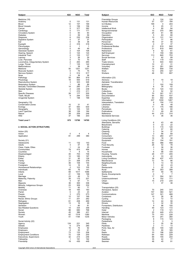| Medicine (18)<br><b>Friendship Groups</b><br>0<br>124<br>57<br>0<br>131<br>131<br>Human Resources<br>127<br>Anatomy<br>Blood<br>12<br>157<br>169<br><b>ILO Bodies</b><br>199<br>$\overline{4}$<br><b>Blood Vessels</b><br>25<br>0<br>156<br>156<br>Income<br>6<br>5<br>382<br>Cancer<br>377<br>Intellectual Work<br>4<br>80<br>0<br>171<br>171<br>10<br>370<br>Cardiology<br>Nongovernmental<br>25<br>Circulatory System<br>0<br>83<br>83<br>Occupation<br>61<br>5<br>Diabetes<br>0<br>59<br>59<br>Operators<br>63<br>230<br>236<br>Organization<br>10<br>131<br>Diagnosis<br>6<br>37<br>37<br>9<br>Digestive System<br>$\Omega$<br>Participation<br>77<br>0<br>38<br>38<br>18<br>37<br>Ear<br>Personnel<br>2<br>316<br>318<br>Practitioners<br>0<br>37<br>Eyesight<br>21<br>Fibromyalgia<br>0<br>$\mathbf{1}$<br><b>Professional Bodies</b><br>819<br>1<br>49<br>49<br>Gerontology<br>0<br>Professions<br>21<br>819<br>Glandular System<br>2<br>104<br>106<br>Retirement<br>9<br>52<br>$\overline{7}$<br>Hearing, Speech<br>0<br>124<br>124<br>Self Employed<br>159<br><b>Intestinal Tract</b><br>2<br>135<br>137<br>Services<br>113<br>640<br>29<br>3<br>26<br><b>Social Services</b><br>$\overline{7}$<br>82<br>Leprosy<br>0<br>70<br>Liver, Pancreas<br>70<br>Staff<br>15<br>119<br>2<br>263<br>265<br>Locomotive, Integumentary System<br><b>Trade Unions</b><br>$\mathbf 0$<br>544<br>7<br>135<br>142<br>Unemployment<br>10<br>21<br>Lungs, Throat<br>Malformations<br>38<br>39<br>Voluntary<br>14<br>291<br>1<br>1251<br>Welfare<br>75<br>Medicine<br>50<br>1201<br>659<br>75<br>Work<br>72<br>$\mathbf 0$<br>75<br>255<br>Muscular System<br>Nervous System<br>3<br>514<br>517<br>Workers<br>46<br>761<br>36<br>36<br>0<br>Nose<br>55<br>Pathology<br>864<br>919<br>Information (23)<br>Physiology<br>19<br>500<br>519<br>Advisory<br>9<br>10<br>323<br>326<br>Reproductive System<br>3<br>Alphabet, Transliteration<br>1<br>1<br>$\overline{7}$<br>Respiratory System<br>88<br>89<br>Archives<br>102<br>-1<br>Sexually Transmitted Diseases<br>260<br>274<br>Bibliography<br>8<br>34<br>14<br>Skeletal System<br>2<br>236<br>238<br><b>Books</b><br>10<br>124<br>Skin<br>$\mathbf{1}$<br>210<br>211<br>Collections<br>0<br>52<br>Specific Diseases<br>28<br>205<br>301<br>177<br>Data, Codes<br>70<br>Teeth, Mouth<br>9<br>294<br>303<br>Documentation<br>84<br>353<br><b>Urogenital System</b><br>198<br>199<br>Expertise<br>63<br>402<br>1<br>Information<br>237<br>1030<br>Geography (19)<br>Interpretation, Translation<br>6<br>104<br>10<br>31<br>41<br><b>Conservation Zones</b><br>0<br>48<br>Librarians<br>47<br>583<br>630<br>Libraries<br>11<br>175<br>Ecology<br>15<br>105<br>120<br>Periodicals<br>54<br>Geography<br>6<br>Land Type/Use<br>38<br>126<br>164<br>Publications<br>11<br>49<br>39<br>270<br>Nature<br>209<br>248<br>Reference<br>44<br>37<br>203<br>0<br>Wild<br>166<br>Secretariat Services<br>36<br><b>Total Level 1</b><br>975<br>13790<br>14765<br>Living Conditions (24)<br>Attendants, Servants<br>6<br>43<br>22<br>Beauticians<br>0<br>2. SOCIAL ACTION (STRUCTURE)<br><b>Buildings</b><br>5<br>115<br>3<br>Catering<br>57<br>3<br>34<br>Action (20)<br>Cleaning<br>3<br>$\mathbf 0$<br>$\overline{4}$<br>$\overline{4}$<br>Clothing<br>66<br>Action<br>Application<br>81<br>299<br>380<br>Consumers<br>13<br>264<br>Consumption<br>16<br>18<br>37<br>Society (21)<br>Equipment<br>154<br>143<br>92<br>11<br>132<br>Food<br>366<br>Adolescents<br>50<br>Adults<br>3<br>47<br><b>Food Security</b><br>26<br>52<br>Class, Caste, Elites<br>24<br>25<br>Footwear<br>0<br>36<br>1<br>79<br>Communities<br>415<br>494<br>52<br>Homes<br>1<br>15<br>Countries<br>$\overline{7}$<br>8<br>Households<br>6<br>98<br>45<br>703<br>748<br>28<br>177<br>Disadvantaged<br>Housing, Tenants<br>9<br>12<br>185<br>197<br>Instruments<br>33<br>Elderly<br>38<br><b>Exiles</b><br>31<br>95<br>126<br><b>Living Conditions</b><br>437<br>21<br>379<br>12<br>74<br>Family<br>358<br>Maintenance<br>46<br>154<br>5<br>13<br>Foreign<br>108<br>Neighbourhoods<br>30<br>Foreigners<br>Parks<br>1<br>42<br>14<br>16<br>3<br>32<br>Homosexual Relationships<br>2<br>103<br>105<br>Restaurants<br>65<br>76<br>141<br>Rural<br>46<br>353<br>Individuals<br>1086<br>69<br>1017<br>Settlements<br>17<br>59<br>Infants<br>199<br>$\mathbf 0$<br>$\overline{7}$<br>41<br>158<br>Slums, Encampments<br>Local<br>17<br>23<br>72<br>304<br>Marriage<br>49<br>Towns<br>Maternity, Paternity<br>26<br>175<br>201<br>Undernourishment<br>9<br>102<br>71<br>$\overline{4}$<br>67<br>Urban<br>15<br>219<br>Men<br>300<br>336<br>36<br>Villages<br>37<br>Migrants<br>1<br>309<br>332<br>Minority, Indigenous Groups<br>23<br>11<br>71<br>Transportation (25)<br>Mobility<br>60<br>183<br>18<br>165<br>Aerospace, Space<br>70<br>245<br>Overseas<br>Parish<br>0<br>23<br>23<br>Aviation<br>157<br>364<br>3<br>270<br>273<br>321<br>147<br>People<br>Communications<br>Peoples<br>12<br>157<br>169<br>Containers<br>10<br>26<br>251<br>262<br>0<br>72<br>Racial, Ethnic Groups<br>11<br>Cycling<br>61<br>208<br>269<br>Distribution<br>Refugees<br>14<br>44<br>3<br>32<br>13<br>16<br>29<br><b>Drivers</b><br>Segregation<br>9<br>80<br>81<br>Forwarders, Distributors<br>96<br>Semitism<br>-1<br>334<br>348<br>49<br>Sex-Related Questions<br>14<br>Handling<br>123<br>$\overline{2}$<br>768<br>88<br>680<br>119<br>Social<br>Hotel<br>25<br>45<br>386<br>431<br>Internet<br>449<br>Society<br>Women<br>62<br>1318<br>1380<br>Maritime<br>75<br>153<br>241<br>51<br>1184<br>1235<br>19<br>Youth<br><b>Motor Vehicles</b><br>8<br>Packaging<br>115<br>0<br>Social Activity (22)<br>Pedestrians<br>3<br>124<br>221<br>345<br>Pilots<br>3<br>35<br>Agency<br>$\overline{2}$<br>Debate<br>6<br>274<br>280<br>Pipelines<br>11<br>92<br>100<br>16<br>76<br>Ports: Sea, Air<br>28<br>Employees<br>Employers<br>6<br>55<br>61<br>Post<br>75<br>90<br>73<br>133<br>206<br>Radio<br>33<br>196<br>Employment<br>72<br>200<br>64<br><b>Employment Conditions</b><br>128<br>165<br>Railways<br>Executives, Supervisors<br>32<br>214<br>246<br>Roads<br>89<br>155<br>192<br>Fellowship<br>191<br>Satellites<br>35<br>42<br>1<br>449<br>45<br>Friendship<br>19<br>430<br>Seamen<br>46 | <u>Subject</u> | IGO | <b>NGO</b> | <b>Total</b> | <b>Subject</b> | IGO | <b>NGO</b> | <b>Total</b>         |
|-------------------------------------------------------------------------------------------------------------------------------------------------------------------------------------------------------------------------------------------------------------------------------------------------------------------------------------------------------------------------------------------------------------------------------------------------------------------------------------------------------------------------------------------------------------------------------------------------------------------------------------------------------------------------------------------------------------------------------------------------------------------------------------------------------------------------------------------------------------------------------------------------------------------------------------------------------------------------------------------------------------------------------------------------------------------------------------------------------------------------------------------------------------------------------------------------------------------------------------------------------------------------------------------------------------------------------------------------------------------------------------------------------------------------------------------------------------------------------------------------------------------------------------------------------------------------------------------------------------------------------------------------------------------------------------------------------------------------------------------------------------------------------------------------------------------------------------------------------------------------------------------------------------------------------------------------------------------------------------------------------------------------------------------------------------------------------------------------------------------------------------------------------------------------------------------------------------------------------------------------------------------------------------------------------------------------------------------------------------------------------------------------------------------------------------------------------------------------------------------------------------------------------------------------------------------------------------------------------------------------------------------------------------------------------------------------------------------------------------------------------------------------------------------------------------------------------------------------------------------------------------------------------------------------------------------------------------------------------------------------------------------------------------------------------------------------------------------------------------------------------------------------------------------------------------------------------------------------------------------------------------------------------------------------------------------------------------------------------------------------------------------------------------------------------------------------------------------------------------------------------------------------------------------------------------------------------------------------------------------------------------------------------------------------------------------------------------------------------------------------------------------------------------------------------------------------------------------------------------------------------------------------------------------------------------------------------------------------------------------------------------------------------------------------------------------------------------------------------------------------------------------------------------------------------------------------------------------------------------------------------------------------------------------------------------------------------------------------------------------------------------------------------------------------------------------------------------------------------------------------------------------------------------------------------------------------------------------------------------------------------------------------------------------------------------------------------------------------------------------------------------------------------------------------------------------------------------------------------------------------------------------------------------------------------------------------------------------------------------------------------------------------------------------------------------------------------------------------------------------------------------------------------------------------------------------------------------------------------------------------------------------------------------------------------------------------------------------------------------------------------------------------------------------------------------------------------------------------------------------------------------------------------------------------------------------------------------------------------------------------------------------------------------------------------------------------------------------------------------------------------------------------------------------------------------------------------------------------------------------------------------------------------------------------------------------------------------------------------------------------------------------------------------------------------------------------------------------------------------------------------------------------------------------------------------------------------------------------------------------------------------------------|----------------|-----|------------|--------------|----------------|-----|------------|----------------------|
|                                                                                                                                                                                                                                                                                                                                                                                                                                                                                                                                                                                                                                                                                                                                                                                                                                                                                                                                                                                                                                                                                                                                                                                                                                                                                                                                                                                                                                                                                                                                                                                                                                                                                                                                                                                                                                                                                                                                                                                                                                                                                                                                                                                                                                                                                                                                                                                                                                                                                                                                                                                                                                                                                                                                                                                                                                                                                                                                                                                                                                                                                                                                                                                                                                                                                                                                                                                                                                                                                                                                                                                                                                                                                                                                                                                                                                                                                                                                                                                                                                                                                                                                                                                                                                                                                                                                                                                                                                                                                                                                                                                                                                                                                                                                                                                                                                                                                                                                                                                                                                                                                                                                                                                                                                                                                                                                                                                                                                                                                                                                                                                                                                                                                                                                                                                                                                                                                                                                                                                                                                                                                                                                                                                                                                                                         |                |     |            |              |                |     |            | 124                  |
|                                                                                                                                                                                                                                                                                                                                                                                                                                                                                                                                                                                                                                                                                                                                                                                                                                                                                                                                                                                                                                                                                                                                                                                                                                                                                                                                                                                                                                                                                                                                                                                                                                                                                                                                                                                                                                                                                                                                                                                                                                                                                                                                                                                                                                                                                                                                                                                                                                                                                                                                                                                                                                                                                                                                                                                                                                                                                                                                                                                                                                                                                                                                                                                                                                                                                                                                                                                                                                                                                                                                                                                                                                                                                                                                                                                                                                                                                                                                                                                                                                                                                                                                                                                                                                                                                                                                                                                                                                                                                                                                                                                                                                                                                                                                                                                                                                                                                                                                                                                                                                                                                                                                                                                                                                                                                                                                                                                                                                                                                                                                                                                                                                                                                                                                                                                                                                                                                                                                                                                                                                                                                                                                                                                                                                                                         |                |     |            |              |                |     |            | 184                  |
|                                                                                                                                                                                                                                                                                                                                                                                                                                                                                                                                                                                                                                                                                                                                                                                                                                                                                                                                                                                                                                                                                                                                                                                                                                                                                                                                                                                                                                                                                                                                                                                                                                                                                                                                                                                                                                                                                                                                                                                                                                                                                                                                                                                                                                                                                                                                                                                                                                                                                                                                                                                                                                                                                                                                                                                                                                                                                                                                                                                                                                                                                                                                                                                                                                                                                                                                                                                                                                                                                                                                                                                                                                                                                                                                                                                                                                                                                                                                                                                                                                                                                                                                                                                                                                                                                                                                                                                                                                                                                                                                                                                                                                                                                                                                                                                                                                                                                                                                                                                                                                                                                                                                                                                                                                                                                                                                                                                                                                                                                                                                                                                                                                                                                                                                                                                                                                                                                                                                                                                                                                                                                                                                                                                                                                                                         |                |     |            |              |                |     |            | 203                  |
|                                                                                                                                                                                                                                                                                                                                                                                                                                                                                                                                                                                                                                                                                                                                                                                                                                                                                                                                                                                                                                                                                                                                                                                                                                                                                                                                                                                                                                                                                                                                                                                                                                                                                                                                                                                                                                                                                                                                                                                                                                                                                                                                                                                                                                                                                                                                                                                                                                                                                                                                                                                                                                                                                                                                                                                                                                                                                                                                                                                                                                                                                                                                                                                                                                                                                                                                                                                                                                                                                                                                                                                                                                                                                                                                                                                                                                                                                                                                                                                                                                                                                                                                                                                                                                                                                                                                                                                                                                                                                                                                                                                                                                                                                                                                                                                                                                                                                                                                                                                                                                                                                                                                                                                                                                                                                                                                                                                                                                                                                                                                                                                                                                                                                                                                                                                                                                                                                                                                                                                                                                                                                                                                                                                                                                                                         |                |     |            |              |                |     |            | 31<br>84             |
|                                                                                                                                                                                                                                                                                                                                                                                                                                                                                                                                                                                                                                                                                                                                                                                                                                                                                                                                                                                                                                                                                                                                                                                                                                                                                                                                                                                                                                                                                                                                                                                                                                                                                                                                                                                                                                                                                                                                                                                                                                                                                                                                                                                                                                                                                                                                                                                                                                                                                                                                                                                                                                                                                                                                                                                                                                                                                                                                                                                                                                                                                                                                                                                                                                                                                                                                                                                                                                                                                                                                                                                                                                                                                                                                                                                                                                                                                                                                                                                                                                                                                                                                                                                                                                                                                                                                                                                                                                                                                                                                                                                                                                                                                                                                                                                                                                                                                                                                                                                                                                                                                                                                                                                                                                                                                                                                                                                                                                                                                                                                                                                                                                                                                                                                                                                                                                                                                                                                                                                                                                                                                                                                                                                                                                                                         |                |     |            |              |                |     |            | 380                  |
|                                                                                                                                                                                                                                                                                                                                                                                                                                                                                                                                                                                                                                                                                                                                                                                                                                                                                                                                                                                                                                                                                                                                                                                                                                                                                                                                                                                                                                                                                                                                                                                                                                                                                                                                                                                                                                                                                                                                                                                                                                                                                                                                                                                                                                                                                                                                                                                                                                                                                                                                                                                                                                                                                                                                                                                                                                                                                                                                                                                                                                                                                                                                                                                                                                                                                                                                                                                                                                                                                                                                                                                                                                                                                                                                                                                                                                                                                                                                                                                                                                                                                                                                                                                                                                                                                                                                                                                                                                                                                                                                                                                                                                                                                                                                                                                                                                                                                                                                                                                                                                                                                                                                                                                                                                                                                                                                                                                                                                                                                                                                                                                                                                                                                                                                                                                                                                                                                                                                                                                                                                                                                                                                                                                                                                                                         |                |     |            |              |                |     |            | 86                   |
|                                                                                                                                                                                                                                                                                                                                                                                                                                                                                                                                                                                                                                                                                                                                                                                                                                                                                                                                                                                                                                                                                                                                                                                                                                                                                                                                                                                                                                                                                                                                                                                                                                                                                                                                                                                                                                                                                                                                                                                                                                                                                                                                                                                                                                                                                                                                                                                                                                                                                                                                                                                                                                                                                                                                                                                                                                                                                                                                                                                                                                                                                                                                                                                                                                                                                                                                                                                                                                                                                                                                                                                                                                                                                                                                                                                                                                                                                                                                                                                                                                                                                                                                                                                                                                                                                                                                                                                                                                                                                                                                                                                                                                                                                                                                                                                                                                                                                                                                                                                                                                                                                                                                                                                                                                                                                                                                                                                                                                                                                                                                                                                                                                                                                                                                                                                                                                                                                                                                                                                                                                                                                                                                                                                                                                                                         |                |     |            |              |                |     |            | 68                   |
|                                                                                                                                                                                                                                                                                                                                                                                                                                                                                                                                                                                                                                                                                                                                                                                                                                                                                                                                                                                                                                                                                                                                                                                                                                                                                                                                                                                                                                                                                                                                                                                                                                                                                                                                                                                                                                                                                                                                                                                                                                                                                                                                                                                                                                                                                                                                                                                                                                                                                                                                                                                                                                                                                                                                                                                                                                                                                                                                                                                                                                                                                                                                                                                                                                                                                                                                                                                                                                                                                                                                                                                                                                                                                                                                                                                                                                                                                                                                                                                                                                                                                                                                                                                                                                                                                                                                                                                                                                                                                                                                                                                                                                                                                                                                                                                                                                                                                                                                                                                                                                                                                                                                                                                                                                                                                                                                                                                                                                                                                                                                                                                                                                                                                                                                                                                                                                                                                                                                                                                                                                                                                                                                                                                                                                                                         |                |     |            |              |                |     |            | 141<br>86            |
|                                                                                                                                                                                                                                                                                                                                                                                                                                                                                                                                                                                                                                                                                                                                                                                                                                                                                                                                                                                                                                                                                                                                                                                                                                                                                                                                                                                                                                                                                                                                                                                                                                                                                                                                                                                                                                                                                                                                                                                                                                                                                                                                                                                                                                                                                                                                                                                                                                                                                                                                                                                                                                                                                                                                                                                                                                                                                                                                                                                                                                                                                                                                                                                                                                                                                                                                                                                                                                                                                                                                                                                                                                                                                                                                                                                                                                                                                                                                                                                                                                                                                                                                                                                                                                                                                                                                                                                                                                                                                                                                                                                                                                                                                                                                                                                                                                                                                                                                                                                                                                                                                                                                                                                                                                                                                                                                                                                                                                                                                                                                                                                                                                                                                                                                                                                                                                                                                                                                                                                                                                                                                                                                                                                                                                                                         |                |     |            |              |                |     |            | 55                   |
|                                                                                                                                                                                                                                                                                                                                                                                                                                                                                                                                                                                                                                                                                                                                                                                                                                                                                                                                                                                                                                                                                                                                                                                                                                                                                                                                                                                                                                                                                                                                                                                                                                                                                                                                                                                                                                                                                                                                                                                                                                                                                                                                                                                                                                                                                                                                                                                                                                                                                                                                                                                                                                                                                                                                                                                                                                                                                                                                                                                                                                                                                                                                                                                                                                                                                                                                                                                                                                                                                                                                                                                                                                                                                                                                                                                                                                                                                                                                                                                                                                                                                                                                                                                                                                                                                                                                                                                                                                                                                                                                                                                                                                                                                                                                                                                                                                                                                                                                                                                                                                                                                                                                                                                                                                                                                                                                                                                                                                                                                                                                                                                                                                                                                                                                                                                                                                                                                                                                                                                                                                                                                                                                                                                                                                                                         |                |     |            |              |                |     |            | 37                   |
|                                                                                                                                                                                                                                                                                                                                                                                                                                                                                                                                                                                                                                                                                                                                                                                                                                                                                                                                                                                                                                                                                                                                                                                                                                                                                                                                                                                                                                                                                                                                                                                                                                                                                                                                                                                                                                                                                                                                                                                                                                                                                                                                                                                                                                                                                                                                                                                                                                                                                                                                                                                                                                                                                                                                                                                                                                                                                                                                                                                                                                                                                                                                                                                                                                                                                                                                                                                                                                                                                                                                                                                                                                                                                                                                                                                                                                                                                                                                                                                                                                                                                                                                                                                                                                                                                                                                                                                                                                                                                                                                                                                                                                                                                                                                                                                                                                                                                                                                                                                                                                                                                                                                                                                                                                                                                                                                                                                                                                                                                                                                                                                                                                                                                                                                                                                                                                                                                                                                                                                                                                                                                                                                                                                                                                                                         |                |     |            |              |                |     |            | 840                  |
|                                                                                                                                                                                                                                                                                                                                                                                                                                                                                                                                                                                                                                                                                                                                                                                                                                                                                                                                                                                                                                                                                                                                                                                                                                                                                                                                                                                                                                                                                                                                                                                                                                                                                                                                                                                                                                                                                                                                                                                                                                                                                                                                                                                                                                                                                                                                                                                                                                                                                                                                                                                                                                                                                                                                                                                                                                                                                                                                                                                                                                                                                                                                                                                                                                                                                                                                                                                                                                                                                                                                                                                                                                                                                                                                                                                                                                                                                                                                                                                                                                                                                                                                                                                                                                                                                                                                                                                                                                                                                                                                                                                                                                                                                                                                                                                                                                                                                                                                                                                                                                                                                                                                                                                                                                                                                                                                                                                                                                                                                                                                                                                                                                                                                                                                                                                                                                                                                                                                                                                                                                                                                                                                                                                                                                                                         |                |     |            |              |                |     |            | 840<br>61            |
|                                                                                                                                                                                                                                                                                                                                                                                                                                                                                                                                                                                                                                                                                                                                                                                                                                                                                                                                                                                                                                                                                                                                                                                                                                                                                                                                                                                                                                                                                                                                                                                                                                                                                                                                                                                                                                                                                                                                                                                                                                                                                                                                                                                                                                                                                                                                                                                                                                                                                                                                                                                                                                                                                                                                                                                                                                                                                                                                                                                                                                                                                                                                                                                                                                                                                                                                                                                                                                                                                                                                                                                                                                                                                                                                                                                                                                                                                                                                                                                                                                                                                                                                                                                                                                                                                                                                                                                                                                                                                                                                                                                                                                                                                                                                                                                                                                                                                                                                                                                                                                                                                                                                                                                                                                                                                                                                                                                                                                                                                                                                                                                                                                                                                                                                                                                                                                                                                                                                                                                                                                                                                                                                                                                                                                                                         |                |     |            |              |                |     |            | 166                  |
|                                                                                                                                                                                                                                                                                                                                                                                                                                                                                                                                                                                                                                                                                                                                                                                                                                                                                                                                                                                                                                                                                                                                                                                                                                                                                                                                                                                                                                                                                                                                                                                                                                                                                                                                                                                                                                                                                                                                                                                                                                                                                                                                                                                                                                                                                                                                                                                                                                                                                                                                                                                                                                                                                                                                                                                                                                                                                                                                                                                                                                                                                                                                                                                                                                                                                                                                                                                                                                                                                                                                                                                                                                                                                                                                                                                                                                                                                                                                                                                                                                                                                                                                                                                                                                                                                                                                                                                                                                                                                                                                                                                                                                                                                                                                                                                                                                                                                                                                                                                                                                                                                                                                                                                                                                                                                                                                                                                                                                                                                                                                                                                                                                                                                                                                                                                                                                                                                                                                                                                                                                                                                                                                                                                                                                                                         |                |     |            |              |                |     |            | 753                  |
|                                                                                                                                                                                                                                                                                                                                                                                                                                                                                                                                                                                                                                                                                                                                                                                                                                                                                                                                                                                                                                                                                                                                                                                                                                                                                                                                                                                                                                                                                                                                                                                                                                                                                                                                                                                                                                                                                                                                                                                                                                                                                                                                                                                                                                                                                                                                                                                                                                                                                                                                                                                                                                                                                                                                                                                                                                                                                                                                                                                                                                                                                                                                                                                                                                                                                                                                                                                                                                                                                                                                                                                                                                                                                                                                                                                                                                                                                                                                                                                                                                                                                                                                                                                                                                                                                                                                                                                                                                                                                                                                                                                                                                                                                                                                                                                                                                                                                                                                                                                                                                                                                                                                                                                                                                                                                                                                                                                                                                                                                                                                                                                                                                                                                                                                                                                                                                                                                                                                                                                                                                                                                                                                                                                                                                                                         |                |     |            |              |                |     |            | 89                   |
|                                                                                                                                                                                                                                                                                                                                                                                                                                                                                                                                                                                                                                                                                                                                                                                                                                                                                                                                                                                                                                                                                                                                                                                                                                                                                                                                                                                                                                                                                                                                                                                                                                                                                                                                                                                                                                                                                                                                                                                                                                                                                                                                                                                                                                                                                                                                                                                                                                                                                                                                                                                                                                                                                                                                                                                                                                                                                                                                                                                                                                                                                                                                                                                                                                                                                                                                                                                                                                                                                                                                                                                                                                                                                                                                                                                                                                                                                                                                                                                                                                                                                                                                                                                                                                                                                                                                                                                                                                                                                                                                                                                                                                                                                                                                                                                                                                                                                                                                                                                                                                                                                                                                                                                                                                                                                                                                                                                                                                                                                                                                                                                                                                                                                                                                                                                                                                                                                                                                                                                                                                                                                                                                                                                                                                                                         |                |     |            |              |                |     |            | 134<br>544           |
|                                                                                                                                                                                                                                                                                                                                                                                                                                                                                                                                                                                                                                                                                                                                                                                                                                                                                                                                                                                                                                                                                                                                                                                                                                                                                                                                                                                                                                                                                                                                                                                                                                                                                                                                                                                                                                                                                                                                                                                                                                                                                                                                                                                                                                                                                                                                                                                                                                                                                                                                                                                                                                                                                                                                                                                                                                                                                                                                                                                                                                                                                                                                                                                                                                                                                                                                                                                                                                                                                                                                                                                                                                                                                                                                                                                                                                                                                                                                                                                                                                                                                                                                                                                                                                                                                                                                                                                                                                                                                                                                                                                                                                                                                                                                                                                                                                                                                                                                                                                                                                                                                                                                                                                                                                                                                                                                                                                                                                                                                                                                                                                                                                                                                                                                                                                                                                                                                                                                                                                                                                                                                                                                                                                                                                                                         |                |     |            |              |                |     |            | 31                   |
|                                                                                                                                                                                                                                                                                                                                                                                                                                                                                                                                                                                                                                                                                                                                                                                                                                                                                                                                                                                                                                                                                                                                                                                                                                                                                                                                                                                                                                                                                                                                                                                                                                                                                                                                                                                                                                                                                                                                                                                                                                                                                                                                                                                                                                                                                                                                                                                                                                                                                                                                                                                                                                                                                                                                                                                                                                                                                                                                                                                                                                                                                                                                                                                                                                                                                                                                                                                                                                                                                                                                                                                                                                                                                                                                                                                                                                                                                                                                                                                                                                                                                                                                                                                                                                                                                                                                                                                                                                                                                                                                                                                                                                                                                                                                                                                                                                                                                                                                                                                                                                                                                                                                                                                                                                                                                                                                                                                                                                                                                                                                                                                                                                                                                                                                                                                                                                                                                                                                                                                                                                                                                                                                                                                                                                                                         |                |     |            |              |                |     |            | 305                  |
|                                                                                                                                                                                                                                                                                                                                                                                                                                                                                                                                                                                                                                                                                                                                                                                                                                                                                                                                                                                                                                                                                                                                                                                                                                                                                                                                                                                                                                                                                                                                                                                                                                                                                                                                                                                                                                                                                                                                                                                                                                                                                                                                                                                                                                                                                                                                                                                                                                                                                                                                                                                                                                                                                                                                                                                                                                                                                                                                                                                                                                                                                                                                                                                                                                                                                                                                                                                                                                                                                                                                                                                                                                                                                                                                                                                                                                                                                                                                                                                                                                                                                                                                                                                                                                                                                                                                                                                                                                                                                                                                                                                                                                                                                                                                                                                                                                                                                                                                                                                                                                                                                                                                                                                                                                                                                                                                                                                                                                                                                                                                                                                                                                                                                                                                                                                                                                                                                                                                                                                                                                                                                                                                                                                                                                                                         |                |     |            |              |                |     |            | 734<br>327           |
|                                                                                                                                                                                                                                                                                                                                                                                                                                                                                                                                                                                                                                                                                                                                                                                                                                                                                                                                                                                                                                                                                                                                                                                                                                                                                                                                                                                                                                                                                                                                                                                                                                                                                                                                                                                                                                                                                                                                                                                                                                                                                                                                                                                                                                                                                                                                                                                                                                                                                                                                                                                                                                                                                                                                                                                                                                                                                                                                                                                                                                                                                                                                                                                                                                                                                                                                                                                                                                                                                                                                                                                                                                                                                                                                                                                                                                                                                                                                                                                                                                                                                                                                                                                                                                                                                                                                                                                                                                                                                                                                                                                                                                                                                                                                                                                                                                                                                                                                                                                                                                                                                                                                                                                                                                                                                                                                                                                                                                                                                                                                                                                                                                                                                                                                                                                                                                                                                                                                                                                                                                                                                                                                                                                                                                                                         |                |     |            |              |                |     |            | 807                  |
|                                                                                                                                                                                                                                                                                                                                                                                                                                                                                                                                                                                                                                                                                                                                                                                                                                                                                                                                                                                                                                                                                                                                                                                                                                                                                                                                                                                                                                                                                                                                                                                                                                                                                                                                                                                                                                                                                                                                                                                                                                                                                                                                                                                                                                                                                                                                                                                                                                                                                                                                                                                                                                                                                                                                                                                                                                                                                                                                                                                                                                                                                                                                                                                                                                                                                                                                                                                                                                                                                                                                                                                                                                                                                                                                                                                                                                                                                                                                                                                                                                                                                                                                                                                                                                                                                                                                                                                                                                                                                                                                                                                                                                                                                                                                                                                                                                                                                                                                                                                                                                                                                                                                                                                                                                                                                                                                                                                                                                                                                                                                                                                                                                                                                                                                                                                                                                                                                                                                                                                                                                                                                                                                                                                                                                                                         |                |     |            |              |                |     |            |                      |
|                                                                                                                                                                                                                                                                                                                                                                                                                                                                                                                                                                                                                                                                                                                                                                                                                                                                                                                                                                                                                                                                                                                                                                                                                                                                                                                                                                                                                                                                                                                                                                                                                                                                                                                                                                                                                                                                                                                                                                                                                                                                                                                                                                                                                                                                                                                                                                                                                                                                                                                                                                                                                                                                                                                                                                                                                                                                                                                                                                                                                                                                                                                                                                                                                                                                                                                                                                                                                                                                                                                                                                                                                                                                                                                                                                                                                                                                                                                                                                                                                                                                                                                                                                                                                                                                                                                                                                                                                                                                                                                                                                                                                                                                                                                                                                                                                                                                                                                                                                                                                                                                                                                                                                                                                                                                                                                                                                                                                                                                                                                                                                                                                                                                                                                                                                                                                                                                                                                                                                                                                                                                                                                                                                                                                                                                         |                |     |            |              |                |     |            |                      |
|                                                                                                                                                                                                                                                                                                                                                                                                                                                                                                                                                                                                                                                                                                                                                                                                                                                                                                                                                                                                                                                                                                                                                                                                                                                                                                                                                                                                                                                                                                                                                                                                                                                                                                                                                                                                                                                                                                                                                                                                                                                                                                                                                                                                                                                                                                                                                                                                                                                                                                                                                                                                                                                                                                                                                                                                                                                                                                                                                                                                                                                                                                                                                                                                                                                                                                                                                                                                                                                                                                                                                                                                                                                                                                                                                                                                                                                                                                                                                                                                                                                                                                                                                                                                                                                                                                                                                                                                                                                                                                                                                                                                                                                                                                                                                                                                                                                                                                                                                                                                                                                                                                                                                                                                                                                                                                                                                                                                                                                                                                                                                                                                                                                                                                                                                                                                                                                                                                                                                                                                                                                                                                                                                                                                                                                                         |                |     |            |              |                |     |            | 19<br>$\overline{2}$ |
|                                                                                                                                                                                                                                                                                                                                                                                                                                                                                                                                                                                                                                                                                                                                                                                                                                                                                                                                                                                                                                                                                                                                                                                                                                                                                                                                                                                                                                                                                                                                                                                                                                                                                                                                                                                                                                                                                                                                                                                                                                                                                                                                                                                                                                                                                                                                                                                                                                                                                                                                                                                                                                                                                                                                                                                                                                                                                                                                                                                                                                                                                                                                                                                                                                                                                                                                                                                                                                                                                                                                                                                                                                                                                                                                                                                                                                                                                                                                                                                                                                                                                                                                                                                                                                                                                                                                                                                                                                                                                                                                                                                                                                                                                                                                                                                                                                                                                                                                                                                                                                                                                                                                                                                                                                                                                                                                                                                                                                                                                                                                                                                                                                                                                                                                                                                                                                                                                                                                                                                                                                                                                                                                                                                                                                                                         |                |     |            |              |                |     |            | 109                  |
|                                                                                                                                                                                                                                                                                                                                                                                                                                                                                                                                                                                                                                                                                                                                                                                                                                                                                                                                                                                                                                                                                                                                                                                                                                                                                                                                                                                                                                                                                                                                                                                                                                                                                                                                                                                                                                                                                                                                                                                                                                                                                                                                                                                                                                                                                                                                                                                                                                                                                                                                                                                                                                                                                                                                                                                                                                                                                                                                                                                                                                                                                                                                                                                                                                                                                                                                                                                                                                                                                                                                                                                                                                                                                                                                                                                                                                                                                                                                                                                                                                                                                                                                                                                                                                                                                                                                                                                                                                                                                                                                                                                                                                                                                                                                                                                                                                                                                                                                                                                                                                                                                                                                                                                                                                                                                                                                                                                                                                                                                                                                                                                                                                                                                                                                                                                                                                                                                                                                                                                                                                                                                                                                                                                                                                                                         |                |     |            |              |                |     |            | 42                   |
|                                                                                                                                                                                                                                                                                                                                                                                                                                                                                                                                                                                                                                                                                                                                                                                                                                                                                                                                                                                                                                                                                                                                                                                                                                                                                                                                                                                                                                                                                                                                                                                                                                                                                                                                                                                                                                                                                                                                                                                                                                                                                                                                                                                                                                                                                                                                                                                                                                                                                                                                                                                                                                                                                                                                                                                                                                                                                                                                                                                                                                                                                                                                                                                                                                                                                                                                                                                                                                                                                                                                                                                                                                                                                                                                                                                                                                                                                                                                                                                                                                                                                                                                                                                                                                                                                                                                                                                                                                                                                                                                                                                                                                                                                                                                                                                                                                                                                                                                                                                                                                                                                                                                                                                                                                                                                                                                                                                                                                                                                                                                                                                                                                                                                                                                                                                                                                                                                                                                                                                                                                                                                                                                                                                                                                                                         |                |     |            |              |                |     |            | 134                  |
|                                                                                                                                                                                                                                                                                                                                                                                                                                                                                                                                                                                                                                                                                                                                                                                                                                                                                                                                                                                                                                                                                                                                                                                                                                                                                                                                                                                                                                                                                                                                                                                                                                                                                                                                                                                                                                                                                                                                                                                                                                                                                                                                                                                                                                                                                                                                                                                                                                                                                                                                                                                                                                                                                                                                                                                                                                                                                                                                                                                                                                                                                                                                                                                                                                                                                                                                                                                                                                                                                                                                                                                                                                                                                                                                                                                                                                                                                                                                                                                                                                                                                                                                                                                                                                                                                                                                                                                                                                                                                                                                                                                                                                                                                                                                                                                                                                                                                                                                                                                                                                                                                                                                                                                                                                                                                                                                                                                                                                                                                                                                                                                                                                                                                                                                                                                                                                                                                                                                                                                                                                                                                                                                                                                                                                                                         |                |     |            |              |                |     |            | 52                   |
|                                                                                                                                                                                                                                                                                                                                                                                                                                                                                                                                                                                                                                                                                                                                                                                                                                                                                                                                                                                                                                                                                                                                                                                                                                                                                                                                                                                                                                                                                                                                                                                                                                                                                                                                                                                                                                                                                                                                                                                                                                                                                                                                                                                                                                                                                                                                                                                                                                                                                                                                                                                                                                                                                                                                                                                                                                                                                                                                                                                                                                                                                                                                                                                                                                                                                                                                                                                                                                                                                                                                                                                                                                                                                                                                                                                                                                                                                                                                                                                                                                                                                                                                                                                                                                                                                                                                                                                                                                                                                                                                                                                                                                                                                                                                                                                                                                                                                                                                                                                                                                                                                                                                                                                                                                                                                                                                                                                                                                                                                                                                                                                                                                                                                                                                                                                                                                                                                                                                                                                                                                                                                                                                                                                                                                                                         |                |     |            |              |                |     |            | 371<br>437           |
|                                                                                                                                                                                                                                                                                                                                                                                                                                                                                                                                                                                                                                                                                                                                                                                                                                                                                                                                                                                                                                                                                                                                                                                                                                                                                                                                                                                                                                                                                                                                                                                                                                                                                                                                                                                                                                                                                                                                                                                                                                                                                                                                                                                                                                                                                                                                                                                                                                                                                                                                                                                                                                                                                                                                                                                                                                                                                                                                                                                                                                                                                                                                                                                                                                                                                                                                                                                                                                                                                                                                                                                                                                                                                                                                                                                                                                                                                                                                                                                                                                                                                                                                                                                                                                                                                                                                                                                                                                                                                                                                                                                                                                                                                                                                                                                                                                                                                                                                                                                                                                                                                                                                                                                                                                                                                                                                                                                                                                                                                                                                                                                                                                                                                                                                                                                                                                                                                                                                                                                                                                                                                                                                                                                                                                                                         |                |     |            |              |                |     |            | 465                  |
|                                                                                                                                                                                                                                                                                                                                                                                                                                                                                                                                                                                                                                                                                                                                                                                                                                                                                                                                                                                                                                                                                                                                                                                                                                                                                                                                                                                                                                                                                                                                                                                                                                                                                                                                                                                                                                                                                                                                                                                                                                                                                                                                                                                                                                                                                                                                                                                                                                                                                                                                                                                                                                                                                                                                                                                                                                                                                                                                                                                                                                                                                                                                                                                                                                                                                                                                                                                                                                                                                                                                                                                                                                                                                                                                                                                                                                                                                                                                                                                                                                                                                                                                                                                                                                                                                                                                                                                                                                                                                                                                                                                                                                                                                                                                                                                                                                                                                                                                                                                                                                                                                                                                                                                                                                                                                                                                                                                                                                                                                                                                                                                                                                                                                                                                                                                                                                                                                                                                                                                                                                                                                                                                                                                                                                                                         |                |     |            |              |                |     |            | 1267                 |
|                                                                                                                                                                                                                                                                                                                                                                                                                                                                                                                                                                                                                                                                                                                                                                                                                                                                                                                                                                                                                                                                                                                                                                                                                                                                                                                                                                                                                                                                                                                                                                                                                                                                                                                                                                                                                                                                                                                                                                                                                                                                                                                                                                                                                                                                                                                                                                                                                                                                                                                                                                                                                                                                                                                                                                                                                                                                                                                                                                                                                                                                                                                                                                                                                                                                                                                                                                                                                                                                                                                                                                                                                                                                                                                                                                                                                                                                                                                                                                                                                                                                                                                                                                                                                                                                                                                                                                                                                                                                                                                                                                                                                                                                                                                                                                                                                                                                                                                                                                                                                                                                                                                                                                                                                                                                                                                                                                                                                                                                                                                                                                                                                                                                                                                                                                                                                                                                                                                                                                                                                                                                                                                                                                                                                                                                         |                |     |            |              |                |     |            | 110                  |
|                                                                                                                                                                                                                                                                                                                                                                                                                                                                                                                                                                                                                                                                                                                                                                                                                                                                                                                                                                                                                                                                                                                                                                                                                                                                                                                                                                                                                                                                                                                                                                                                                                                                                                                                                                                                                                                                                                                                                                                                                                                                                                                                                                                                                                                                                                                                                                                                                                                                                                                                                                                                                                                                                                                                                                                                                                                                                                                                                                                                                                                                                                                                                                                                                                                                                                                                                                                                                                                                                                                                                                                                                                                                                                                                                                                                                                                                                                                                                                                                                                                                                                                                                                                                                                                                                                                                                                                                                                                                                                                                                                                                                                                                                                                                                                                                                                                                                                                                                                                                                                                                                                                                                                                                                                                                                                                                                                                                                                                                                                                                                                                                                                                                                                                                                                                                                                                                                                                                                                                                                                                                                                                                                                                                                                                                         |                |     |            |              |                |     |            | 48<br>186            |
|                                                                                                                                                                                                                                                                                                                                                                                                                                                                                                                                                                                                                                                                                                                                                                                                                                                                                                                                                                                                                                                                                                                                                                                                                                                                                                                                                                                                                                                                                                                                                                                                                                                                                                                                                                                                                                                                                                                                                                                                                                                                                                                                                                                                                                                                                                                                                                                                                                                                                                                                                                                                                                                                                                                                                                                                                                                                                                                                                                                                                                                                                                                                                                                                                                                                                                                                                                                                                                                                                                                                                                                                                                                                                                                                                                                                                                                                                                                                                                                                                                                                                                                                                                                                                                                                                                                                                                                                                                                                                                                                                                                                                                                                                                                                                                                                                                                                                                                                                                                                                                                                                                                                                                                                                                                                                                                                                                                                                                                                                                                                                                                                                                                                                                                                                                                                                                                                                                                                                                                                                                                                                                                                                                                                                                                                         |                |     |            |              |                |     |            | 60                   |
|                                                                                                                                                                                                                                                                                                                                                                                                                                                                                                                                                                                                                                                                                                                                                                                                                                                                                                                                                                                                                                                                                                                                                                                                                                                                                                                                                                                                                                                                                                                                                                                                                                                                                                                                                                                                                                                                                                                                                                                                                                                                                                                                                                                                                                                                                                                                                                                                                                                                                                                                                                                                                                                                                                                                                                                                                                                                                                                                                                                                                                                                                                                                                                                                                                                                                                                                                                                                                                                                                                                                                                                                                                                                                                                                                                                                                                                                                                                                                                                                                                                                                                                                                                                                                                                                                                                                                                                                                                                                                                                                                                                                                                                                                                                                                                                                                                                                                                                                                                                                                                                                                                                                                                                                                                                                                                                                                                                                                                                                                                                                                                                                                                                                                                                                                                                                                                                                                                                                                                                                                                                                                                                                                                                                                                                                         |                |     |            |              |                |     |            | 60                   |
|                                                                                                                                                                                                                                                                                                                                                                                                                                                                                                                                                                                                                                                                                                                                                                                                                                                                                                                                                                                                                                                                                                                                                                                                                                                                                                                                                                                                                                                                                                                                                                                                                                                                                                                                                                                                                                                                                                                                                                                                                                                                                                                                                                                                                                                                                                                                                                                                                                                                                                                                                                                                                                                                                                                                                                                                                                                                                                                                                                                                                                                                                                                                                                                                                                                                                                                                                                                                                                                                                                                                                                                                                                                                                                                                                                                                                                                                                                                                                                                                                                                                                                                                                                                                                                                                                                                                                                                                                                                                                                                                                                                                                                                                                                                                                                                                                                                                                                                                                                                                                                                                                                                                                                                                                                                                                                                                                                                                                                                                                                                                                                                                                                                                                                                                                                                                                                                                                                                                                                                                                                                                                                                                                                                                                                                                         |                |     |            |              |                |     |            | 314<br>36            |
|                                                                                                                                                                                                                                                                                                                                                                                                                                                                                                                                                                                                                                                                                                                                                                                                                                                                                                                                                                                                                                                                                                                                                                                                                                                                                                                                                                                                                                                                                                                                                                                                                                                                                                                                                                                                                                                                                                                                                                                                                                                                                                                                                                                                                                                                                                                                                                                                                                                                                                                                                                                                                                                                                                                                                                                                                                                                                                                                                                                                                                                                                                                                                                                                                                                                                                                                                                                                                                                                                                                                                                                                                                                                                                                                                                                                                                                                                                                                                                                                                                                                                                                                                                                                                                                                                                                                                                                                                                                                                                                                                                                                                                                                                                                                                                                                                                                                                                                                                                                                                                                                                                                                                                                                                                                                                                                                                                                                                                                                                                                                                                                                                                                                                                                                                                                                                                                                                                                                                                                                                                                                                                                                                                                                                                                                         |                |     |            |              |                |     |            |                      |
|                                                                                                                                                                                                                                                                                                                                                                                                                                                                                                                                                                                                                                                                                                                                                                                                                                                                                                                                                                                                                                                                                                                                                                                                                                                                                                                                                                                                                                                                                                                                                                                                                                                                                                                                                                                                                                                                                                                                                                                                                                                                                                                                                                                                                                                                                                                                                                                                                                                                                                                                                                                                                                                                                                                                                                                                                                                                                                                                                                                                                                                                                                                                                                                                                                                                                                                                                                                                                                                                                                                                                                                                                                                                                                                                                                                                                                                                                                                                                                                                                                                                                                                                                                                                                                                                                                                                                                                                                                                                                                                                                                                                                                                                                                                                                                                                                                                                                                                                                                                                                                                                                                                                                                                                                                                                                                                                                                                                                                                                                                                                                                                                                                                                                                                                                                                                                                                                                                                                                                                                                                                                                                                                                                                                                                                                         |                |     |            |              |                |     |            |                      |
|                                                                                                                                                                                                                                                                                                                                                                                                                                                                                                                                                                                                                                                                                                                                                                                                                                                                                                                                                                                                                                                                                                                                                                                                                                                                                                                                                                                                                                                                                                                                                                                                                                                                                                                                                                                                                                                                                                                                                                                                                                                                                                                                                                                                                                                                                                                                                                                                                                                                                                                                                                                                                                                                                                                                                                                                                                                                                                                                                                                                                                                                                                                                                                                                                                                                                                                                                                                                                                                                                                                                                                                                                                                                                                                                                                                                                                                                                                                                                                                                                                                                                                                                                                                                                                                                                                                                                                                                                                                                                                                                                                                                                                                                                                                                                                                                                                                                                                                                                                                                                                                                                                                                                                                                                                                                                                                                                                                                                                                                                                                                                                                                                                                                                                                                                                                                                                                                                                                                                                                                                                                                                                                                                                                                                                                                         |                |     |            |              |                |     |            | 49                   |
|                                                                                                                                                                                                                                                                                                                                                                                                                                                                                                                                                                                                                                                                                                                                                                                                                                                                                                                                                                                                                                                                                                                                                                                                                                                                                                                                                                                                                                                                                                                                                                                                                                                                                                                                                                                                                                                                                                                                                                                                                                                                                                                                                                                                                                                                                                                                                                                                                                                                                                                                                                                                                                                                                                                                                                                                                                                                                                                                                                                                                                                                                                                                                                                                                                                                                                                                                                                                                                                                                                                                                                                                                                                                                                                                                                                                                                                                                                                                                                                                                                                                                                                                                                                                                                                                                                                                                                                                                                                                                                                                                                                                                                                                                                                                                                                                                                                                                                                                                                                                                                                                                                                                                                                                                                                                                                                                                                                                                                                                                                                                                                                                                                                                                                                                                                                                                                                                                                                                                                                                                                                                                                                                                                                                                                                                         |                |     |            |              |                |     |            | 22<br>120            |
|                                                                                                                                                                                                                                                                                                                                                                                                                                                                                                                                                                                                                                                                                                                                                                                                                                                                                                                                                                                                                                                                                                                                                                                                                                                                                                                                                                                                                                                                                                                                                                                                                                                                                                                                                                                                                                                                                                                                                                                                                                                                                                                                                                                                                                                                                                                                                                                                                                                                                                                                                                                                                                                                                                                                                                                                                                                                                                                                                                                                                                                                                                                                                                                                                                                                                                                                                                                                                                                                                                                                                                                                                                                                                                                                                                                                                                                                                                                                                                                                                                                                                                                                                                                                                                                                                                                                                                                                                                                                                                                                                                                                                                                                                                                                                                                                                                                                                                                                                                                                                                                                                                                                                                                                                                                                                                                                                                                                                                                                                                                                                                                                                                                                                                                                                                                                                                                                                                                                                                                                                                                                                                                                                                                                                                                                         |                |     |            |              |                |     |            | 60                   |
|                                                                                                                                                                                                                                                                                                                                                                                                                                                                                                                                                                                                                                                                                                                                                                                                                                                                                                                                                                                                                                                                                                                                                                                                                                                                                                                                                                                                                                                                                                                                                                                                                                                                                                                                                                                                                                                                                                                                                                                                                                                                                                                                                                                                                                                                                                                                                                                                                                                                                                                                                                                                                                                                                                                                                                                                                                                                                                                                                                                                                                                                                                                                                                                                                                                                                                                                                                                                                                                                                                                                                                                                                                                                                                                                                                                                                                                                                                                                                                                                                                                                                                                                                                                                                                                                                                                                                                                                                                                                                                                                                                                                                                                                                                                                                                                                                                                                                                                                                                                                                                                                                                                                                                                                                                                                                                                                                                                                                                                                                                                                                                                                                                                                                                                                                                                                                                                                                                                                                                                                                                                                                                                                                                                                                                                                         |                |     |            |              |                |     |            | 37                   |
|                                                                                                                                                                                                                                                                                                                                                                                                                                                                                                                                                                                                                                                                                                                                                                                                                                                                                                                                                                                                                                                                                                                                                                                                                                                                                                                                                                                                                                                                                                                                                                                                                                                                                                                                                                                                                                                                                                                                                                                                                                                                                                                                                                                                                                                                                                                                                                                                                                                                                                                                                                                                                                                                                                                                                                                                                                                                                                                                                                                                                                                                                                                                                                                                                                                                                                                                                                                                                                                                                                                                                                                                                                                                                                                                                                                                                                                                                                                                                                                                                                                                                                                                                                                                                                                                                                                                                                                                                                                                                                                                                                                                                                                                                                                                                                                                                                                                                                                                                                                                                                                                                                                                                                                                                                                                                                                                                                                                                                                                                                                                                                                                                                                                                                                                                                                                                                                                                                                                                                                                                                                                                                                                                                                                                                                                         |                |     |            |              |                |     |            | 69                   |
|                                                                                                                                                                                                                                                                                                                                                                                                                                                                                                                                                                                                                                                                                                                                                                                                                                                                                                                                                                                                                                                                                                                                                                                                                                                                                                                                                                                                                                                                                                                                                                                                                                                                                                                                                                                                                                                                                                                                                                                                                                                                                                                                                                                                                                                                                                                                                                                                                                                                                                                                                                                                                                                                                                                                                                                                                                                                                                                                                                                                                                                                                                                                                                                                                                                                                                                                                                                                                                                                                                                                                                                                                                                                                                                                                                                                                                                                                                                                                                                                                                                                                                                                                                                                                                                                                                                                                                                                                                                                                                                                                                                                                                                                                                                                                                                                                                                                                                                                                                                                                                                                                                                                                                                                                                                                                                                                                                                                                                                                                                                                                                                                                                                                                                                                                                                                                                                                                                                                                                                                                                                                                                                                                                                                                                                                         |                |     |            |              |                |     |            | 277<br>34            |
|                                                                                                                                                                                                                                                                                                                                                                                                                                                                                                                                                                                                                                                                                                                                                                                                                                                                                                                                                                                                                                                                                                                                                                                                                                                                                                                                                                                                                                                                                                                                                                                                                                                                                                                                                                                                                                                                                                                                                                                                                                                                                                                                                                                                                                                                                                                                                                                                                                                                                                                                                                                                                                                                                                                                                                                                                                                                                                                                                                                                                                                                                                                                                                                                                                                                                                                                                                                                                                                                                                                                                                                                                                                                                                                                                                                                                                                                                                                                                                                                                                                                                                                                                                                                                                                                                                                                                                                                                                                                                                                                                                                                                                                                                                                                                                                                                                                                                                                                                                                                                                                                                                                                                                                                                                                                                                                                                                                                                                                                                                                                                                                                                                                                                                                                                                                                                                                                                                                                                                                                                                                                                                                                                                                                                                                                         |                |     |            |              |                |     |            | 191                  |
|                                                                                                                                                                                                                                                                                                                                                                                                                                                                                                                                                                                                                                                                                                                                                                                                                                                                                                                                                                                                                                                                                                                                                                                                                                                                                                                                                                                                                                                                                                                                                                                                                                                                                                                                                                                                                                                                                                                                                                                                                                                                                                                                                                                                                                                                                                                                                                                                                                                                                                                                                                                                                                                                                                                                                                                                                                                                                                                                                                                                                                                                                                                                                                                                                                                                                                                                                                                                                                                                                                                                                                                                                                                                                                                                                                                                                                                                                                                                                                                                                                                                                                                                                                                                                                                                                                                                                                                                                                                                                                                                                                                                                                                                                                                                                                                                                                                                                                                                                                                                                                                                                                                                                                                                                                                                                                                                                                                                                                                                                                                                                                                                                                                                                                                                                                                                                                                                                                                                                                                                                                                                                                                                                                                                                                                                         |                |     |            |              |                |     |            | 458                  |
|                                                                                                                                                                                                                                                                                                                                                                                                                                                                                                                                                                                                                                                                                                                                                                                                                                                                                                                                                                                                                                                                                                                                                                                                                                                                                                                                                                                                                                                                                                                                                                                                                                                                                                                                                                                                                                                                                                                                                                                                                                                                                                                                                                                                                                                                                                                                                                                                                                                                                                                                                                                                                                                                                                                                                                                                                                                                                                                                                                                                                                                                                                                                                                                                                                                                                                                                                                                                                                                                                                                                                                                                                                                                                                                                                                                                                                                                                                                                                                                                                                                                                                                                                                                                                                                                                                                                                                                                                                                                                                                                                                                                                                                                                                                                                                                                                                                                                                                                                                                                                                                                                                                                                                                                                                                                                                                                                                                                                                                                                                                                                                                                                                                                                                                                                                                                                                                                                                                                                                                                                                                                                                                                                                                                                                                                         |                |     |            |              |                |     |            | 78                   |
|                                                                                                                                                                                                                                                                                                                                                                                                                                                                                                                                                                                                                                                                                                                                                                                                                                                                                                                                                                                                                                                                                                                                                                                                                                                                                                                                                                                                                                                                                                                                                                                                                                                                                                                                                                                                                                                                                                                                                                                                                                                                                                                                                                                                                                                                                                                                                                                                                                                                                                                                                                                                                                                                                                                                                                                                                                                                                                                                                                                                                                                                                                                                                                                                                                                                                                                                                                                                                                                                                                                                                                                                                                                                                                                                                                                                                                                                                                                                                                                                                                                                                                                                                                                                                                                                                                                                                                                                                                                                                                                                                                                                                                                                                                                                                                                                                                                                                                                                                                                                                                                                                                                                                                                                                                                                                                                                                                                                                                                                                                                                                                                                                                                                                                                                                                                                                                                                                                                                                                                                                                                                                                                                                                                                                                                                         |                |     |            |              |                |     |            | 36<br>53             |
|                                                                                                                                                                                                                                                                                                                                                                                                                                                                                                                                                                                                                                                                                                                                                                                                                                                                                                                                                                                                                                                                                                                                                                                                                                                                                                                                                                                                                                                                                                                                                                                                                                                                                                                                                                                                                                                                                                                                                                                                                                                                                                                                                                                                                                                                                                                                                                                                                                                                                                                                                                                                                                                                                                                                                                                                                                                                                                                                                                                                                                                                                                                                                                                                                                                                                                                                                                                                                                                                                                                                                                                                                                                                                                                                                                                                                                                                                                                                                                                                                                                                                                                                                                                                                                                                                                                                                                                                                                                                                                                                                                                                                                                                                                                                                                                                                                                                                                                                                                                                                                                                                                                                                                                                                                                                                                                                                                                                                                                                                                                                                                                                                                                                                                                                                                                                                                                                                                                                                                                                                                                                                                                                                                                                                                                                         |                |     |            |              |                |     |            | 104                  |
|                                                                                                                                                                                                                                                                                                                                                                                                                                                                                                                                                                                                                                                                                                                                                                                                                                                                                                                                                                                                                                                                                                                                                                                                                                                                                                                                                                                                                                                                                                                                                                                                                                                                                                                                                                                                                                                                                                                                                                                                                                                                                                                                                                                                                                                                                                                                                                                                                                                                                                                                                                                                                                                                                                                                                                                                                                                                                                                                                                                                                                                                                                                                                                                                                                                                                                                                                                                                                                                                                                                                                                                                                                                                                                                                                                                                                                                                                                                                                                                                                                                                                                                                                                                                                                                                                                                                                                                                                                                                                                                                                                                                                                                                                                                                                                                                                                                                                                                                                                                                                                                                                                                                                                                                                                                                                                                                                                                                                                                                                                                                                                                                                                                                                                                                                                                                                                                                                                                                                                                                                                                                                                                                                                                                                                                                         |                |     |            |              |                |     |            | 205                  |
|                                                                                                                                                                                                                                                                                                                                                                                                                                                                                                                                                                                                                                                                                                                                                                                                                                                                                                                                                                                                                                                                                                                                                                                                                                                                                                                                                                                                                                                                                                                                                                                                                                                                                                                                                                                                                                                                                                                                                                                                                                                                                                                                                                                                                                                                                                                                                                                                                                                                                                                                                                                                                                                                                                                                                                                                                                                                                                                                                                                                                                                                                                                                                                                                                                                                                                                                                                                                                                                                                                                                                                                                                                                                                                                                                                                                                                                                                                                                                                                                                                                                                                                                                                                                                                                                                                                                                                                                                                                                                                                                                                                                                                                                                                                                                                                                                                                                                                                                                                                                                                                                                                                                                                                                                                                                                                                                                                                                                                                                                                                                                                                                                                                                                                                                                                                                                                                                                                                                                                                                                                                                                                                                                                                                                                                                         |                |     |            |              |                |     |            | 42                   |
|                                                                                                                                                                                                                                                                                                                                                                                                                                                                                                                                                                                                                                                                                                                                                                                                                                                                                                                                                                                                                                                                                                                                                                                                                                                                                                                                                                                                                                                                                                                                                                                                                                                                                                                                                                                                                                                                                                                                                                                                                                                                                                                                                                                                                                                                                                                                                                                                                                                                                                                                                                                                                                                                                                                                                                                                                                                                                                                                                                                                                                                                                                                                                                                                                                                                                                                                                                                                                                                                                                                                                                                                                                                                                                                                                                                                                                                                                                                                                                                                                                                                                                                                                                                                                                                                                                                                                                                                                                                                                                                                                                                                                                                                                                                                                                                                                                                                                                                                                                                                                                                                                                                                                                                                                                                                                                                                                                                                                                                                                                                                                                                                                                                                                                                                                                                                                                                                                                                                                                                                                                                                                                                                                                                                                                                                         |                |     |            |              |                |     |            | 475<br>86            |
|                                                                                                                                                                                                                                                                                                                                                                                                                                                                                                                                                                                                                                                                                                                                                                                                                                                                                                                                                                                                                                                                                                                                                                                                                                                                                                                                                                                                                                                                                                                                                                                                                                                                                                                                                                                                                                                                                                                                                                                                                                                                                                                                                                                                                                                                                                                                                                                                                                                                                                                                                                                                                                                                                                                                                                                                                                                                                                                                                                                                                                                                                                                                                                                                                                                                                                                                                                                                                                                                                                                                                                                                                                                                                                                                                                                                                                                                                                                                                                                                                                                                                                                                                                                                                                                                                                                                                                                                                                                                                                                                                                                                                                                                                                                                                                                                                                                                                                                                                                                                                                                                                                                                                                                                                                                                                                                                                                                                                                                                                                                                                                                                                                                                                                                                                                                                                                                                                                                                                                                                                                                                                                                                                                                                                                                                         |                |     |            |              |                |     |            | 18                   |
|                                                                                                                                                                                                                                                                                                                                                                                                                                                                                                                                                                                                                                                                                                                                                                                                                                                                                                                                                                                                                                                                                                                                                                                                                                                                                                                                                                                                                                                                                                                                                                                                                                                                                                                                                                                                                                                                                                                                                                                                                                                                                                                                                                                                                                                                                                                                                                                                                                                                                                                                                                                                                                                                                                                                                                                                                                                                                                                                                                                                                                                                                                                                                                                                                                                                                                                                                                                                                                                                                                                                                                                                                                                                                                                                                                                                                                                                                                                                                                                                                                                                                                                                                                                                                                                                                                                                                                                                                                                                                                                                                                                                                                                                                                                                                                                                                                                                                                                                                                                                                                                                                                                                                                                                                                                                                                                                                                                                                                                                                                                                                                                                                                                                                                                                                                                                                                                                                                                                                                                                                                                                                                                                                                                                                                                                         |                |     |            |              |                |     |            | 43                   |
|                                                                                                                                                                                                                                                                                                                                                                                                                                                                                                                                                                                                                                                                                                                                                                                                                                                                                                                                                                                                                                                                                                                                                                                                                                                                                                                                                                                                                                                                                                                                                                                                                                                                                                                                                                                                                                                                                                                                                                                                                                                                                                                                                                                                                                                                                                                                                                                                                                                                                                                                                                                                                                                                                                                                                                                                                                                                                                                                                                                                                                                                                                                                                                                                                                                                                                                                                                                                                                                                                                                                                                                                                                                                                                                                                                                                                                                                                                                                                                                                                                                                                                                                                                                                                                                                                                                                                                                                                                                                                                                                                                                                                                                                                                                                                                                                                                                                                                                                                                                                                                                                                                                                                                                                                                                                                                                                                                                                                                                                                                                                                                                                                                                                                                                                                                                                                                                                                                                                                                                                                                                                                                                                                                                                                                                                         |                |     |            |              |                |     |            | 35                   |
|                                                                                                                                                                                                                                                                                                                                                                                                                                                                                                                                                                                                                                                                                                                                                                                                                                                                                                                                                                                                                                                                                                                                                                                                                                                                                                                                                                                                                                                                                                                                                                                                                                                                                                                                                                                                                                                                                                                                                                                                                                                                                                                                                                                                                                                                                                                                                                                                                                                                                                                                                                                                                                                                                                                                                                                                                                                                                                                                                                                                                                                                                                                                                                                                                                                                                                                                                                                                                                                                                                                                                                                                                                                                                                                                                                                                                                                                                                                                                                                                                                                                                                                                                                                                                                                                                                                                                                                                                                                                                                                                                                                                                                                                                                                                                                                                                                                                                                                                                                                                                                                                                                                                                                                                                                                                                                                                                                                                                                                                                                                                                                                                                                                                                                                                                                                                                                                                                                                                                                                                                                                                                                                                                                                                                                                                         |                |     |            |              |                |     |            | 399<br>76            |
|                                                                                                                                                                                                                                                                                                                                                                                                                                                                                                                                                                                                                                                                                                                                                                                                                                                                                                                                                                                                                                                                                                                                                                                                                                                                                                                                                                                                                                                                                                                                                                                                                                                                                                                                                                                                                                                                                                                                                                                                                                                                                                                                                                                                                                                                                                                                                                                                                                                                                                                                                                                                                                                                                                                                                                                                                                                                                                                                                                                                                                                                                                                                                                                                                                                                                                                                                                                                                                                                                                                                                                                                                                                                                                                                                                                                                                                                                                                                                                                                                                                                                                                                                                                                                                                                                                                                                                                                                                                                                                                                                                                                                                                                                                                                                                                                                                                                                                                                                                                                                                                                                                                                                                                                                                                                                                                                                                                                                                                                                                                                                                                                                                                                                                                                                                                                                                                                                                                                                                                                                                                                                                                                                                                                                                                                         |                |     |            |              |                |     |            | $\overline{7}$       |
|                                                                                                                                                                                                                                                                                                                                                                                                                                                                                                                                                                                                                                                                                                                                                                                                                                                                                                                                                                                                                                                                                                                                                                                                                                                                                                                                                                                                                                                                                                                                                                                                                                                                                                                                                                                                                                                                                                                                                                                                                                                                                                                                                                                                                                                                                                                                                                                                                                                                                                                                                                                                                                                                                                                                                                                                                                                                                                                                                                                                                                                                                                                                                                                                                                                                                                                                                                                                                                                                                                                                                                                                                                                                                                                                                                                                                                                                                                                                                                                                                                                                                                                                                                                                                                                                                                                                                                                                                                                                                                                                                                                                                                                                                                                                                                                                                                                                                                                                                                                                                                                                                                                                                                                                                                                                                                                                                                                                                                                                                                                                                                                                                                                                                                                                                                                                                                                                                                                                                                                                                                                                                                                                                                                                                                                                         |                |     |            |              |                |     |            | 321                  |
|                                                                                                                                                                                                                                                                                                                                                                                                                                                                                                                                                                                                                                                                                                                                                                                                                                                                                                                                                                                                                                                                                                                                                                                                                                                                                                                                                                                                                                                                                                                                                                                                                                                                                                                                                                                                                                                                                                                                                                                                                                                                                                                                                                                                                                                                                                                                                                                                                                                                                                                                                                                                                                                                                                                                                                                                                                                                                                                                                                                                                                                                                                                                                                                                                                                                                                                                                                                                                                                                                                                                                                                                                                                                                                                                                                                                                                                                                                                                                                                                                                                                                                                                                                                                                                                                                                                                                                                                                                                                                                                                                                                                                                                                                                                                                                                                                                                                                                                                                                                                                                                                                                                                                                                                                                                                                                                                                                                                                                                                                                                                                                                                                                                                                                                                                                                                                                                                                                                                                                                                                                                                                                                                                                                                                                                                         |                |     |            |              |                |     |            | 111                  |
|                                                                                                                                                                                                                                                                                                                                                                                                                                                                                                                                                                                                                                                                                                                                                                                                                                                                                                                                                                                                                                                                                                                                                                                                                                                                                                                                                                                                                                                                                                                                                                                                                                                                                                                                                                                                                                                                                                                                                                                                                                                                                                                                                                                                                                                                                                                                                                                                                                                                                                                                                                                                                                                                                                                                                                                                                                                                                                                                                                                                                                                                                                                                                                                                                                                                                                                                                                                                                                                                                                                                                                                                                                                                                                                                                                                                                                                                                                                                                                                                                                                                                                                                                                                                                                                                                                                                                                                                                                                                                                                                                                                                                                                                                                                                                                                                                                                                                                                                                                                                                                                                                                                                                                                                                                                                                                                                                                                                                                                                                                                                                                                                                                                                                                                                                                                                                                                                                                                                                                                                                                                                                                                                                                                                                                                                         |                |     |            |              |                |     |            | 234<br>38            |
|                                                                                                                                                                                                                                                                                                                                                                                                                                                                                                                                                                                                                                                                                                                                                                                                                                                                                                                                                                                                                                                                                                                                                                                                                                                                                                                                                                                                                                                                                                                                                                                                                                                                                                                                                                                                                                                                                                                                                                                                                                                                                                                                                                                                                                                                                                                                                                                                                                                                                                                                                                                                                                                                                                                                                                                                                                                                                                                                                                                                                                                                                                                                                                                                                                                                                                                                                                                                                                                                                                                                                                                                                                                                                                                                                                                                                                                                                                                                                                                                                                                                                                                                                                                                                                                                                                                                                                                                                                                                                                                                                                                                                                                                                                                                                                                                                                                                                                                                                                                                                                                                                                                                                                                                                                                                                                                                                                                                                                                                                                                                                                                                                                                                                                                                                                                                                                                                                                                                                                                                                                                                                                                                                                                                                                                                         |                |     |            |              |                |     |            |                      |
|                                                                                                                                                                                                                                                                                                                                                                                                                                                                                                                                                                                                                                                                                                                                                                                                                                                                                                                                                                                                                                                                                                                                                                                                                                                                                                                                                                                                                                                                                                                                                                                                                                                                                                                                                                                                                                                                                                                                                                                                                                                                                                                                                                                                                                                                                                                                                                                                                                                                                                                                                                                                                                                                                                                                                                                                                                                                                                                                                                                                                                                                                                                                                                                                                                                                                                                                                                                                                                                                                                                                                                                                                                                                                                                                                                                                                                                                                                                                                                                                                                                                                                                                                                                                                                                                                                                                                                                                                                                                                                                                                                                                                                                                                                                                                                                                                                                                                                                                                                                                                                                                                                                                                                                                                                                                                                                                                                                                                                                                                                                                                                                                                                                                                                                                                                                                                                                                                                                                                                                                                                                                                                                                                                                                                                                                         |                |     |            |              |                |     |            |                      |
|                                                                                                                                                                                                                                                                                                                                                                                                                                                                                                                                                                                                                                                                                                                                                                                                                                                                                                                                                                                                                                                                                                                                                                                                                                                                                                                                                                                                                                                                                                                                                                                                                                                                                                                                                                                                                                                                                                                                                                                                                                                                                                                                                                                                                                                                                                                                                                                                                                                                                                                                                                                                                                                                                                                                                                                                                                                                                                                                                                                                                                                                                                                                                                                                                                                                                                                                                                                                                                                                                                                                                                                                                                                                                                                                                                                                                                                                                                                                                                                                                                                                                                                                                                                                                                                                                                                                                                                                                                                                                                                                                                                                                                                                                                                                                                                                                                                                                                                                                                                                                                                                                                                                                                                                                                                                                                                                                                                                                                                                                                                                                                                                                                                                                                                                                                                                                                                                                                                                                                                                                                                                                                                                                                                                                                                                         |                |     |            |              |                |     |            | 315                  |
|                                                                                                                                                                                                                                                                                                                                                                                                                                                                                                                                                                                                                                                                                                                                                                                                                                                                                                                                                                                                                                                                                                                                                                                                                                                                                                                                                                                                                                                                                                                                                                                                                                                                                                                                                                                                                                                                                                                                                                                                                                                                                                                                                                                                                                                                                                                                                                                                                                                                                                                                                                                                                                                                                                                                                                                                                                                                                                                                                                                                                                                                                                                                                                                                                                                                                                                                                                                                                                                                                                                                                                                                                                                                                                                                                                                                                                                                                                                                                                                                                                                                                                                                                                                                                                                                                                                                                                                                                                                                                                                                                                                                                                                                                                                                                                                                                                                                                                                                                                                                                                                                                                                                                                                                                                                                                                                                                                                                                                                                                                                                                                                                                                                                                                                                                                                                                                                                                                                                                                                                                                                                                                                                                                                                                                                                         |                |     |            |              |                |     |            | 521<br>468           |
|                                                                                                                                                                                                                                                                                                                                                                                                                                                                                                                                                                                                                                                                                                                                                                                                                                                                                                                                                                                                                                                                                                                                                                                                                                                                                                                                                                                                                                                                                                                                                                                                                                                                                                                                                                                                                                                                                                                                                                                                                                                                                                                                                                                                                                                                                                                                                                                                                                                                                                                                                                                                                                                                                                                                                                                                                                                                                                                                                                                                                                                                                                                                                                                                                                                                                                                                                                                                                                                                                                                                                                                                                                                                                                                                                                                                                                                                                                                                                                                                                                                                                                                                                                                                                                                                                                                                                                                                                                                                                                                                                                                                                                                                                                                                                                                                                                                                                                                                                                                                                                                                                                                                                                                                                                                                                                                                                                                                                                                                                                                                                                                                                                                                                                                                                                                                                                                                                                                                                                                                                                                                                                                                                                                                                                                                         |                |     |            |              |                |     |            | 36                   |
|                                                                                                                                                                                                                                                                                                                                                                                                                                                                                                                                                                                                                                                                                                                                                                                                                                                                                                                                                                                                                                                                                                                                                                                                                                                                                                                                                                                                                                                                                                                                                                                                                                                                                                                                                                                                                                                                                                                                                                                                                                                                                                                                                                                                                                                                                                                                                                                                                                                                                                                                                                                                                                                                                                                                                                                                                                                                                                                                                                                                                                                                                                                                                                                                                                                                                                                                                                                                                                                                                                                                                                                                                                                                                                                                                                                                                                                                                                                                                                                                                                                                                                                                                                                                                                                                                                                                                                                                                                                                                                                                                                                                                                                                                                                                                                                                                                                                                                                                                                                                                                                                                                                                                                                                                                                                                                                                                                                                                                                                                                                                                                                                                                                                                                                                                                                                                                                                                                                                                                                                                                                                                                                                                                                                                                                                         |                |     |            |              |                |     |            | 72                   |
|                                                                                                                                                                                                                                                                                                                                                                                                                                                                                                                                                                                                                                                                                                                                                                                                                                                                                                                                                                                                                                                                                                                                                                                                                                                                                                                                                                                                                                                                                                                                                                                                                                                                                                                                                                                                                                                                                                                                                                                                                                                                                                                                                                                                                                                                                                                                                                                                                                                                                                                                                                                                                                                                                                                                                                                                                                                                                                                                                                                                                                                                                                                                                                                                                                                                                                                                                                                                                                                                                                                                                                                                                                                                                                                                                                                                                                                                                                                                                                                                                                                                                                                                                                                                                                                                                                                                                                                                                                                                                                                                                                                                                                                                                                                                                                                                                                                                                                                                                                                                                                                                                                                                                                                                                                                                                                                                                                                                                                                                                                                                                                                                                                                                                                                                                                                                                                                                                                                                                                                                                                                                                                                                                                                                                                                                         |                |     |            |              |                |     |            | 58<br>35             |
|                                                                                                                                                                                                                                                                                                                                                                                                                                                                                                                                                                                                                                                                                                                                                                                                                                                                                                                                                                                                                                                                                                                                                                                                                                                                                                                                                                                                                                                                                                                                                                                                                                                                                                                                                                                                                                                                                                                                                                                                                                                                                                                                                                                                                                                                                                                                                                                                                                                                                                                                                                                                                                                                                                                                                                                                                                                                                                                                                                                                                                                                                                                                                                                                                                                                                                                                                                                                                                                                                                                                                                                                                                                                                                                                                                                                                                                                                                                                                                                                                                                                                                                                                                                                                                                                                                                                                                                                                                                                                                                                                                                                                                                                                                                                                                                                                                                                                                                                                                                                                                                                                                                                                                                                                                                                                                                                                                                                                                                                                                                                                                                                                                                                                                                                                                                                                                                                                                                                                                                                                                                                                                                                                                                                                                                                         |                |     |            |              |                |     |            | 105                  |
|                                                                                                                                                                                                                                                                                                                                                                                                                                                                                                                                                                                                                                                                                                                                                                                                                                                                                                                                                                                                                                                                                                                                                                                                                                                                                                                                                                                                                                                                                                                                                                                                                                                                                                                                                                                                                                                                                                                                                                                                                                                                                                                                                                                                                                                                                                                                                                                                                                                                                                                                                                                                                                                                                                                                                                                                                                                                                                                                                                                                                                                                                                                                                                                                                                                                                                                                                                                                                                                                                                                                                                                                                                                                                                                                                                                                                                                                                                                                                                                                                                                                                                                                                                                                                                                                                                                                                                                                                                                                                                                                                                                                                                                                                                                                                                                                                                                                                                                                                                                                                                                                                                                                                                                                                                                                                                                                                                                                                                                                                                                                                                                                                                                                                                                                                                                                                                                                                                                                                                                                                                                                                                                                                                                                                                                                         |                |     |            |              |                |     |            | 172                  |
|                                                                                                                                                                                                                                                                                                                                                                                                                                                                                                                                                                                                                                                                                                                                                                                                                                                                                                                                                                                                                                                                                                                                                                                                                                                                                                                                                                                                                                                                                                                                                                                                                                                                                                                                                                                                                                                                                                                                                                                                                                                                                                                                                                                                                                                                                                                                                                                                                                                                                                                                                                                                                                                                                                                                                                                                                                                                                                                                                                                                                                                                                                                                                                                                                                                                                                                                                                                                                                                                                                                                                                                                                                                                                                                                                                                                                                                                                                                                                                                                                                                                                                                                                                                                                                                                                                                                                                                                                                                                                                                                                                                                                                                                                                                                                                                                                                                                                                                                                                                                                                                                                                                                                                                                                                                                                                                                                                                                                                                                                                                                                                                                                                                                                                                                                                                                                                                                                                                                                                                                                                                                                                                                                                                                                                                                         |                |     |            |              |                |     |            | 121                  |
|                                                                                                                                                                                                                                                                                                                                                                                                                                                                                                                                                                                                                                                                                                                                                                                                                                                                                                                                                                                                                                                                                                                                                                                                                                                                                                                                                                                                                                                                                                                                                                                                                                                                                                                                                                                                                                                                                                                                                                                                                                                                                                                                                                                                                                                                                                                                                                                                                                                                                                                                                                                                                                                                                                                                                                                                                                                                                                                                                                                                                                                                                                                                                                                                                                                                                                                                                                                                                                                                                                                                                                                                                                                                                                                                                                                                                                                                                                                                                                                                                                                                                                                                                                                                                                                                                                                                                                                                                                                                                                                                                                                                                                                                                                                                                                                                                                                                                                                                                                                                                                                                                                                                                                                                                                                                                                                                                                                                                                                                                                                                                                                                                                                                                                                                                                                                                                                                                                                                                                                                                                                                                                                                                                                                                                                                         |                |     |            |              |                |     |            | 474<br>228           |
|                                                                                                                                                                                                                                                                                                                                                                                                                                                                                                                                                                                                                                                                                                                                                                                                                                                                                                                                                                                                                                                                                                                                                                                                                                                                                                                                                                                                                                                                                                                                                                                                                                                                                                                                                                                                                                                                                                                                                                                                                                                                                                                                                                                                                                                                                                                                                                                                                                                                                                                                                                                                                                                                                                                                                                                                                                                                                                                                                                                                                                                                                                                                                                                                                                                                                                                                                                                                                                                                                                                                                                                                                                                                                                                                                                                                                                                                                                                                                                                                                                                                                                                                                                                                                                                                                                                                                                                                                                                                                                                                                                                                                                                                                                                                                                                                                                                                                                                                                                                                                                                                                                                                                                                                                                                                                                                                                                                                                                                                                                                                                                                                                                                                                                                                                                                                                                                                                                                                                                                                                                                                                                                                                                                                                                                                         |                |     |            |              |                |     |            | 260                  |
|                                                                                                                                                                                                                                                                                                                                                                                                                                                                                                                                                                                                                                                                                                                                                                                                                                                                                                                                                                                                                                                                                                                                                                                                                                                                                                                                                                                                                                                                                                                                                                                                                                                                                                                                                                                                                                                                                                                                                                                                                                                                                                                                                                                                                                                                                                                                                                                                                                                                                                                                                                                                                                                                                                                                                                                                                                                                                                                                                                                                                                                                                                                                                                                                                                                                                                                                                                                                                                                                                                                                                                                                                                                                                                                                                                                                                                                                                                                                                                                                                                                                                                                                                                                                                                                                                                                                                                                                                                                                                                                                                                                                                                                                                                                                                                                                                                                                                                                                                                                                                                                                                                                                                                                                                                                                                                                                                                                                                                                                                                                                                                                                                                                                                                                                                                                                                                                                                                                                                                                                                                                                                                                                                                                                                                                                         |                |     |            |              |                |     |            | 123                  |
|                                                                                                                                                                                                                                                                                                                                                                                                                                                                                                                                                                                                                                                                                                                                                                                                                                                                                                                                                                                                                                                                                                                                                                                                                                                                                                                                                                                                                                                                                                                                                                                                                                                                                                                                                                                                                                                                                                                                                                                                                                                                                                                                                                                                                                                                                                                                                                                                                                                                                                                                                                                                                                                                                                                                                                                                                                                                                                                                                                                                                                                                                                                                                                                                                                                                                                                                                                                                                                                                                                                                                                                                                                                                                                                                                                                                                                                                                                                                                                                                                                                                                                                                                                                                                                                                                                                                                                                                                                                                                                                                                                                                                                                                                                                                                                                                                                                                                                                                                                                                                                                                                                                                                                                                                                                                                                                                                                                                                                                                                                                                                                                                                                                                                                                                                                                                                                                                                                                                                                                                                                                                                                                                                                                                                                                                         |                |     |            |              |                |     |            | 3                    |
|                                                                                                                                                                                                                                                                                                                                                                                                                                                                                                                                                                                                                                                                                                                                                                                                                                                                                                                                                                                                                                                                                                                                                                                                                                                                                                                                                                                                                                                                                                                                                                                                                                                                                                                                                                                                                                                                                                                                                                                                                                                                                                                                                                                                                                                                                                                                                                                                                                                                                                                                                                                                                                                                                                                                                                                                                                                                                                                                                                                                                                                                                                                                                                                                                                                                                                                                                                                                                                                                                                                                                                                                                                                                                                                                                                                                                                                                                                                                                                                                                                                                                                                                                                                                                                                                                                                                                                                                                                                                                                                                                                                                                                                                                                                                                                                                                                                                                                                                                                                                                                                                                                                                                                                                                                                                                                                                                                                                                                                                                                                                                                                                                                                                                                                                                                                                                                                                                                                                                                                                                                                                                                                                                                                                                                                                         |                |     |            |              |                |     |            | 38<br>13             |
|                                                                                                                                                                                                                                                                                                                                                                                                                                                                                                                                                                                                                                                                                                                                                                                                                                                                                                                                                                                                                                                                                                                                                                                                                                                                                                                                                                                                                                                                                                                                                                                                                                                                                                                                                                                                                                                                                                                                                                                                                                                                                                                                                                                                                                                                                                                                                                                                                                                                                                                                                                                                                                                                                                                                                                                                                                                                                                                                                                                                                                                                                                                                                                                                                                                                                                                                                                                                                                                                                                                                                                                                                                                                                                                                                                                                                                                                                                                                                                                                                                                                                                                                                                                                                                                                                                                                                                                                                                                                                                                                                                                                                                                                                                                                                                                                                                                                                                                                                                                                                                                                                                                                                                                                                                                                                                                                                                                                                                                                                                                                                                                                                                                                                                                                                                                                                                                                                                                                                                                                                                                                                                                                                                                                                                                                         |                |     |            |              |                |     |            | 128                  |
|                                                                                                                                                                                                                                                                                                                                                                                                                                                                                                                                                                                                                                                                                                                                                                                                                                                                                                                                                                                                                                                                                                                                                                                                                                                                                                                                                                                                                                                                                                                                                                                                                                                                                                                                                                                                                                                                                                                                                                                                                                                                                                                                                                                                                                                                                                                                                                                                                                                                                                                                                                                                                                                                                                                                                                                                                                                                                                                                                                                                                                                                                                                                                                                                                                                                                                                                                                                                                                                                                                                                                                                                                                                                                                                                                                                                                                                                                                                                                                                                                                                                                                                                                                                                                                                                                                                                                                                                                                                                                                                                                                                                                                                                                                                                                                                                                                                                                                                                                                                                                                                                                                                                                                                                                                                                                                                                                                                                                                                                                                                                                                                                                                                                                                                                                                                                                                                                                                                                                                                                                                                                                                                                                                                                                                                                         |                |     |            |              |                |     |            | 165                  |
|                                                                                                                                                                                                                                                                                                                                                                                                                                                                                                                                                                                                                                                                                                                                                                                                                                                                                                                                                                                                                                                                                                                                                                                                                                                                                                                                                                                                                                                                                                                                                                                                                                                                                                                                                                                                                                                                                                                                                                                                                                                                                                                                                                                                                                                                                                                                                                                                                                                                                                                                                                                                                                                                                                                                                                                                                                                                                                                                                                                                                                                                                                                                                                                                                                                                                                                                                                                                                                                                                                                                                                                                                                                                                                                                                                                                                                                                                                                                                                                                                                                                                                                                                                                                                                                                                                                                                                                                                                                                                                                                                                                                                                                                                                                                                                                                                                                                                                                                                                                                                                                                                                                                                                                                                                                                                                                                                                                                                                                                                                                                                                                                                                                                                                                                                                                                                                                                                                                                                                                                                                                                                                                                                                                                                                                                         |                |     |            |              |                |     |            | 229                  |
|                                                                                                                                                                                                                                                                                                                                                                                                                                                                                                                                                                                                                                                                                                                                                                                                                                                                                                                                                                                                                                                                                                                                                                                                                                                                                                                                                                                                                                                                                                                                                                                                                                                                                                                                                                                                                                                                                                                                                                                                                                                                                                                                                                                                                                                                                                                                                                                                                                                                                                                                                                                                                                                                                                                                                                                                                                                                                                                                                                                                                                                                                                                                                                                                                                                                                                                                                                                                                                                                                                                                                                                                                                                                                                                                                                                                                                                                                                                                                                                                                                                                                                                                                                                                                                                                                                                                                                                                                                                                                                                                                                                                                                                                                                                                                                                                                                                                                                                                                                                                                                                                                                                                                                                                                                                                                                                                                                                                                                                                                                                                                                                                                                                                                                                                                                                                                                                                                                                                                                                                                                                                                                                                                                                                                                                                         |                |     |            |              |                |     |            | 229<br>244           |
|                                                                                                                                                                                                                                                                                                                                                                                                                                                                                                                                                                                                                                                                                                                                                                                                                                                                                                                                                                                                                                                                                                                                                                                                                                                                                                                                                                                                                                                                                                                                                                                                                                                                                                                                                                                                                                                                                                                                                                                                                                                                                                                                                                                                                                                                                                                                                                                                                                                                                                                                                                                                                                                                                                                                                                                                                                                                                                                                                                                                                                                                                                                                                                                                                                                                                                                                                                                                                                                                                                                                                                                                                                                                                                                                                                                                                                                                                                                                                                                                                                                                                                                                                                                                                                                                                                                                                                                                                                                                                                                                                                                                                                                                                                                                                                                                                                                                                                                                                                                                                                                                                                                                                                                                                                                                                                                                                                                                                                                                                                                                                                                                                                                                                                                                                                                                                                                                                                                                                                                                                                                                                                                                                                                                                                                                         |                |     |            |              |                |     |            | 77                   |
|                                                                                                                                                                                                                                                                                                                                                                                                                                                                                                                                                                                                                                                                                                                                                                                                                                                                                                                                                                                                                                                                                                                                                                                                                                                                                                                                                                                                                                                                                                                                                                                                                                                                                                                                                                                                                                                                                                                                                                                                                                                                                                                                                                                                                                                                                                                                                                                                                                                                                                                                                                                                                                                                                                                                                                                                                                                                                                                                                                                                                                                                                                                                                                                                                                                                                                                                                                                                                                                                                                                                                                                                                                                                                                                                                                                                                                                                                                                                                                                                                                                                                                                                                                                                                                                                                                                                                                                                                                                                                                                                                                                                                                                                                                                                                                                                                                                                                                                                                                                                                                                                                                                                                                                                                                                                                                                                                                                                                                                                                                                                                                                                                                                                                                                                                                                                                                                                                                                                                                                                                                                                                                                                                                                                                                                                         |                |     |            |              |                |     |            | 91                   |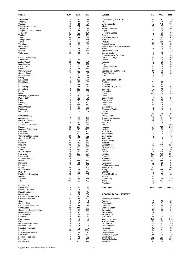| Subject                                  | <b>IGO</b>                       | <b>NGO</b>            | <u>Total</u>         | <b>Subject</b>                               | IGO                              | <b>NGO</b>              | <b>Tota</b> |
|------------------------------------------|----------------------------------|-----------------------|----------------------|----------------------------------------------|----------------------------------|-------------------------|-------------|
| Shipowning                               | 4                                | 25                    | 29                   | <b>Manufacturing Processes</b>               | 22                               | 297                     | 319         |
| Shipping<br>Storage                      | 30<br>10                         | 46<br>44              | 76<br>54             | Meat<br><b>Metal Products</b>                | 10<br>8                          | 36<br>142               | 46<br>150   |
| Telecommunications                       | 99                               | 201                   | 300                  | Mining                                       | 25                               | 89                      | 114         |
| Telegraphs                               | 13                               | 9                     | 22                   | Paints, Varnishes                            | 4                                | 80                      | 84          |
| Telephone, Telex, Telefax<br>Television  | $\overline{4}$<br>25             | 53<br>166             | 57<br>191            | Paper<br>Pipework, Cables                    | 3<br>3                           | 114<br>63               | 117<br>66   |
| Tourism                                  | 57                               | 434                   | 491                  | Plastics                                     | 3                                | 135                     | 138         |
| Traffic                                  | 55                               | 44                    | 99                   | <b>Precision Products</b>                    | 0                                | 43                      | 43          |
| Transportation<br>Travel                 | 58<br>9                          | 100<br>192            | 158<br>201           | Production<br>Products                       | 81<br>32                         | 302<br>156              | 383<br>188  |
| Travellers                               | 35                               | 60                    | 95                   | Reconstruction                               | 13                               | 16                      | 29          |
| Underwater                               | 6                                | 25                    | 31                   | Refrigeration, Heating, Ventilation          | 3                                | 98                      | 101         |
| Vehicles<br>Vessels                      | 17<br>77                         | 54<br>94              | 71<br>171            | Rubber<br>Seaweed Products                   | 8<br>0                           | 34<br>$\overline{2}$    | 42          |
| Waterways                                | 39                               | 31                    | 70                   | Service Sector                               | 2                                | 12                      | 14          |
| Communication (26)                       |                                  |                       |                      | Slaughterhouse Products<br>Textiles, Cordage | 3<br>16                          | 17<br>250               | 20<br>266   |
| Advertising                              | 5                                | 85                    | 90                   | Timber                                       | 12                               | 90                      | 102         |
| Audio, Visual                            | 22                               | 209                   | 231                  | Tobacco                                      | $\overline{2}$                   | 79                      | 81          |
| Broadcasting<br>Censorship               | 23<br>$\overline{4}$             | 99<br>25              | 122<br>29            | Toys<br><b>Trades and Crafts</b>             | 0<br>10                          | 36<br>138               | 36<br>148   |
| Cinema                                   | 12                               | 121                   | 133                  | <b>Utilities</b>                             | 40                               | 204                     | 244         |
| Communication                            | 101                              | 585                   | 686                  | Vegetable/Cereal Products                    | 11                               | 46                      | 57          |
| Communicators<br>Documentary             | $\overline{2}$<br>$\overline{2}$ | 38<br>25              | 40<br>27             | <b>Wood Products</b><br>Wool                 | $\overline{2}$<br>$\overline{2}$ | 66<br>9                 | 68<br>11    |
| Editing                                  | 0                                | 56                    | 56                   |                                              |                                  |                         |             |
| Exchanges                                | 16                               | 355                   | 371                  | Societal Problems (29)                       |                                  |                         |             |
| Exhibitions<br>Film                      | 6<br>11                          | 62<br>182             | 68<br>193            | Abolition<br>Accidents                       | 24<br>40                         | 20<br>91                | 44<br>131   |
| Influencing                              | 1                                | 33                    | 34                   | Addiction, Drug Abuse                        | 18                               | 245                     | 263         |
| Journalism                               | 3                                | 230                   | 233                  | Corrosion                                    | $\mathbf 0$                      | 15                      | 15          |
| Media<br>News                            | 17<br>6                          | 375<br>78             | 392<br>84            | Corruption<br>Crime                          | 21<br>110                        | 34<br>279               | 55<br>389   |
| Newspapers, Newsreels                    | 6                                | 39                    | 45                   | Delay                                        | 0                                | 2                       | 2           |
| Photography                              | 1                                | 80                    | 81                   | Dependence                                   | $\overline{4}$                   | 17                      | 21          |
| Press<br>Printina                        | 3<br>3                           | 212<br>97             | 215<br>100           | Deprivation<br>Destruction                   | 14<br>40                         | 135<br>79               | 149<br>119  |
| Promotion                                | 46                               | 426                   | 472                  | Detention                                    | 13                               | 119                     | 132         |
| <b>Public Opinion</b>                    | $\overline{2}$                   | 35                    | 37                   | Disposables                                  | 0                                | 1                       |             |
| Publishing<br>Unpublished                | 10<br>$\overline{2}$             | 155<br>$\overline{2}$ | 165<br>4             | Disposal of Bodies<br>Distortion             | 7<br>0                           | 19<br>$\mathbf{1}$      | 26          |
|                                          |                                  |                       |                      | Effluent                                     | 17                               | 46                      | 63          |
| Commerce (27)                            |                                  |                       | 189                  | Emergencies                                  | 107                              | 424                     | 531<br>39   |
| Accounting<br>Agencies, Dealers          | 17<br>12                         | 172<br>187            | 199                  | <b>Endangered Species</b><br>Epidemics       | 5<br>17                          | 34<br>115               | 132         |
| Assessment                               | 15                               | 120                   | 135                  | Failure                                      | -1                               | 6                       |             |
| Assurance, Reinsurance                   | 11<br>102                        | 34<br>297             | 45<br>399            | Fire                                         | 3<br>84                          | 97<br>158               | 100         |
| Banking<br><b>Business Enterprises</b>   | 158                              | 1248                  | 1406                 | Hazards<br>Hygiene                           | 43                               | 150                     | 242<br>193  |
| Chambers                                 | $\overline{\mathbf{c}}$          | 133                   | 135                  | Imbalances                                   | 0                                | 10                      | 10          |
| Commerce<br>Commercial Exchange          | 77<br>20                         | 300<br>42             | 377<br>62            | Impediments<br>Inadequacy                    | 3<br>8                           | 9<br>4                  | 12<br>12    |
| <b>Conditions of Trade</b>               | 76                               | 103                   | 179                  | Instability                                  | 0                                | $\overline{\mathbf{c}}$ |             |
| Credit                                   | 31                               | 164                   | 195                  | Irresponsibility                             | 0                                | $\overline{2}$          |             |
| Currency<br>Customs                      | 99<br>103                        | 76<br>35              | 175<br>138           | Isolation<br>Maltreatment                    | 0<br>77                          | 6<br>446                | б<br>523    |
| Finance                                  | 210                              | 583                   | 793                  | Obsolescence                                 | 1                                | 3                       |             |
| Funds                                    | 226                              | 445                   | 671                  | Pests                                        | 11                               | 29                      | 40          |
| Import, Export<br>Insurance              | 79<br>96                         | 80<br>208             | 159<br>304           | Poison<br>Pollution                          | 4<br>127                         | 100<br>170              | 104<br>297  |
| Investment                               | 103                              | 225                   | 328                  | Prevention                                   | 111                              | 297                     | 408         |
| Land Ownership                           | 3                                | 5                     | 8                    | Proliferation                                | 7                                | 14                      | 21          |
| Market<br>Merchandise                    | 70<br>72                         | 267<br>34             | 337<br>106           | Protection<br>Punishment                     | 310<br>36                        | 485<br>58               | 795<br>94   |
| Merchants                                | 22                               | 223                   | 245                  | Racism, xenophobia                           | 8                                | 74                      | 82          |
| Money                                    | 84<br>9                          | 50                    | 134<br>27            | Restrictions                                 | 43                               | 17                      | 60<br>598   |
| Multinationals<br>Property               | 48                               | 18<br>98              | 146                  | Safety<br>Scarcity                           | 113<br>0                         | 485<br>$\mathbf{1}$     |             |
| Purchasing, Supplying                    | 55                               | 182                   | 237                  | Societal Problems                            | $\mathbf 0$                      | 53                      | 53          |
| Savings<br>Taxation                      | $\overline{7}$<br>33             | 28<br>85              | 35<br>118            | Victims<br>Vulnerability                     | 11<br>11                         | 111<br>99               | 122<br>110  |
| Trade                                    | 206                              | 526                   | 732                  | Waste                                        | 31                               | 117                     | 148         |
|                                          |                                  |                       |                      | Wreckage                                     | 3                                | 1                       |             |
| Industry (28)<br>Animal Products         | 6                                | 17                    | 23                   | <b>Total Level 2</b>                         | 9144                             | 48951                   | 58095       |
| <b>Bacterial Products</b>                | 0                                | $\mathbf 1$           | $\mathbf{1}$         |                                              |                                  |                         |             |
| <b>Baked Foodstuffs</b>                  | 1                                | 39                    | 40                   |                                              |                                  |                         |             |
| Beverages<br>Ceramics, Earthenware       | 13<br>1                          | 191<br>96             | 204<br>97            | 3. SOCIAL ACTION (CONTEXT)                   |                                  |                         |             |
| <b>Chemical Products</b>                 | 21                               | 81                    | 102                  | Research, Standards (31)                     |                                  |                         |             |
| Coke                                     | $\mathbf 0$                      | 7                     | 7                    | Awards                                       | 9                                | 56                      | 65          |
| Commodities<br>Condiments, Preserves     | 10<br>20                         | 12<br>63              | 22<br>83             | Cartography<br>Certification                 | 15<br>50                         | 61<br>195               | 76<br>245   |
| Construction                             | 22                               | 374                   | 396                  | Drafting, Graphics                           | 3                                | 54                      | 57          |
| Cosmetics, Soaps, Additives              | 12                               | 109                   | 121                  | Evaluation                                   | 18                               | 66                      | 84          |
| Dairy Products<br><b>Fish Products</b>   | 9<br>4                           | 49<br>19              | 58<br>23             | Examinations<br>Experimental                 | 4<br>10                          | 13<br>101               | 17<br>111   |
| Foodstuffs                               | 8                                | 45                    | 53                   | Exploration                                  | 14                               | 64                      | 78          |
| <b>Fruit Products</b>                    | $\overline{2}$                   | 3                     | 5                    | Inspection, Tests                            | 138                              | 404                     | 542         |
| Glass<br>Human Body Products             | 3<br>3                           | 55<br>1               | 58<br>$\overline{4}$ | Investigations<br>Laboratories               | 21<br>38                         | 132<br>161              | 153<br>199  |
| Industrial Plant                         | 0                                | 4                     | 4                    | Measurement                                  | 42                               | 137                     | 179         |
| <b>Industrial Premises</b>               | 1                                | 5                     | 6                    | Navigation                                   | 48                               | 41                      | 89          |
| Industry<br><b>Invertebrate Products</b> | 194<br>$\overline{2}$            | 1120<br>21            | 1314<br>23           | Nomenclature<br>Observatories                | 14<br>16                         | 51<br>83                | 65<br>99    |
| Iron, Steel                              | 13                               | 89                    | 102                  | Patents, Copyright                           | 66                               | 104                     | 170         |
| Leather, Hides, Fur                      | $\overline{7}$                   | 71                    | 78                   | Qualifications                               | 23                               | 27                      | 50          |
| Machinery<br>Manufacture                 | 10<br>22                         | 128<br>455            | 138<br>477           | <b>Quality Unification</b><br>Recognition    | 115<br>45                        | 235<br>8                | 350<br>53   |
|                                          |                                  |                       |                      |                                              |                                  |                         |             |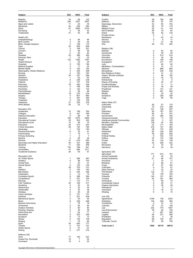| <u>Subject</u>                                 | <u>IGO</u>                           | <u>NGO</u>  | <u>Total</u>   | <u>Subject</u>                                     | IGO                                    | <u>NGO</u>           | <u>Tota</u> |
|------------------------------------------------|--------------------------------------|-------------|----------------|----------------------------------------------------|----------------------------------------|----------------------|-------------|
| Registry                                       | 34                                   | 88          | 122            | Conflict                                           | 38                                     | 160                  | 198         |
| Research                                       | 246                                  | 3301        | 3547           | Defence                                            | 60                                     | 97                   | 157         |
| Signs and Labels                               | 11                                   | 24          | 35             | Espionage, Subversion                              | 42                                     | 60                   | 102         |
| Standards                                      | 54                                   | 229         | 283            | Military                                           | 49                                     | 70                   | 119         |
| Study<br>Surveying                             | 67<br>3                              | 2085<br>39  | 2152<br>42     | <b>Military Forces</b><br><b>NATO Bodies</b>       | 82<br>66                               | 61<br>18             | 143<br>84   |
| Trademarks                                     | 41                                   | 43          | 84             | Police                                             | 42                                     | 92                   | 134         |
|                                                |                                      |             |                | <b>Private Armies</b>                              | $\mathbf 0$                            | $\mathbf{1}$         |             |
| Health (32)                                    |                                      |             |                | Resistance                                         | $\mathbf{1}$                           | 42                   | 43          |
| Anaesthesiology<br><b>Birth Control</b>        | $\mathbf 0$<br>3                     | 56<br>59    | 56<br>62       | Secrecy<br>Veterans                                | 5<br>$\mathbf{1}$                      | 6<br>37              | 11<br>38    |
| Blind, Visually Impaired                       | $\overline{4}$                       | 106         | 110            | War                                                | 48                                     | 174                  | 222         |
| Care                                           | 20                                   | 638         | 658            |                                                    |                                        |                      |             |
| Clinical                                       | $\overline{\mathbf{c}}$              | 199         | 201            | Religion (36)                                      |                                        |                      |             |
| Concern                                        | $\sqrt{2}$                           | 56          | 58             | <b>Bishops</b>                                     | $\mathbf 0$                            | 64                   | 64          |
| Deaf<br>Disabled                               | $\mathbf 0$<br>24                    | 63<br>368   | 63<br>392      | Ceremonial<br>Churches                             | $\mathbf 0$<br>$\mathbf 0$             | 48<br>514            | 48<br>514   |
| Exercise, Rest                                 | $\overline{7}$                       | 15          | 22             | Divination                                         | $\mathbf 0$                            | 36                   | 36          |
| Health                                         | 132                                  | 1265        | 1397           | Ecumenism                                          | 0                                      | 158                  | 158         |
| <b>Health Workers</b>                          | $\mathbf{1}$                         | 24          | 25             | Evangelism                                         | $\mathbf 0$                            | 317                  | 317         |
| Hospitals                                      | 9                                    | 155         | 164            | Laity                                              | 0                                      | 84                   | 84          |
| <b>Medical Supplies</b><br>Mental Health       | 3<br>$\mathbf 0$                     | 17<br>183   | 20<br>183      | Meditation, Contemplation<br>Missions              | $\pmb{0}$<br>8                         | 74<br>886            | 74<br>894   |
| Naturopathy, Holistic Medicine                 | 3                                    | 305         | 308            | Monasteries                                        | 1                                      | 438                  | 439         |
| Nursing                                        | $\overline{4}$                       | 163         | 167            | Non-Religious Orders                               | $\mathbf 0$                            | 41                   | 41          |
| Nutrition                                      | 39                                   | 247         | 286            | Orders, Secular Institutes                         | 1                                      | 99                   | 100         |
| Obstetrics                                     | $\mathbf{1}$                         | 82          | 83             | Orthodox                                           | $\mathbf 0$                            | 42                   | 42          |
| Paediatrics<br>Patients                        | $\pmb{0}$<br>$\overline{\mathbf{c}}$ | 238<br>157  | 238<br>159     | Patriarchate<br>Places of Worship                  | $\mathbf 0$<br>$\overline{\mathbf{c}}$ | 8<br>35              | ε<br>37     |
| Pharmacy                                       | 76                                   | 463         | 539            | <b>Pontifical Bodies</b>                           | $\mathbf 0$                            | 71                   | 71          |
| Physicians                                     | 3                                    | 186         | 189            | Prayer and Worship                                 | $\mathbf 0$                            | 49                   | 49          |
| Psychiatry                                     | $\mathbf 0$                          | 122         | 122            | Priesthood                                         | $\mathbf 0$                            | 121                  | 121         |
| Psychotherapy                                  | $\mathbf 0$                          | 96          | 96<br>234      | Religion                                           | 3<br>$\mathbf 0$                       | 451                  | 454         |
| Rehabilitation<br>Surgery                      | 18<br>4                              | 216<br>661  | 665            | Rituals<br>Scriptures                              | $\mathbf 0$                            | 25<br>228            | 25<br>228   |
| Therapy                                        | $\overline{2}$                       | 397         | 399            | Yoga                                               | $\mathbf 0$                            | 65                   | 65          |
| Treatment                                      | $\overline{4}$                       | 105         | 109            |                                                    |                                        |                      |             |
| Veterinary                                     | 21                                   | 255         | 276            | Nation State (37)                                  |                                        |                      |             |
| <b>WHO Bodies</b>                              | 55                                   | 22          | 77             | Authorities<br>Citizenship                         | 56<br>70                               | 67<br>215            | 123<br>285  |
| Education (33)                                 |                                      |             |                | Civil                                              | 101                                    | 106                  | 207         |
| Academies                                      | 12                                   | 748         | 760            | Diplomacy                                          | 60                                     | 167                  | 227         |
| Colleges                                       | 9                                    | 347         | 356            | Frontiers                                          | 80                                     | 81                   | 161         |
| Distance Education                             | 6<br>195                             | 88          | 94             | Government                                         | 74                                     | 256                  | 330<br>155  |
| Education<br><b>Educational Content</b>        | 20                                   | 2270<br>302 | 2465<br>322    | Intergovernmental<br>Intergovernmental Communities | 144<br>165                             | 11<br>$\overline{2}$ | 167         |
| <b>Educational Level</b>                       | 14                                   | 56          | 70             | Ministers, Deputies                                | 138                                    | 20                   | 158         |
| Educators                                      | 30                                   | 513         | 543            | Municipalities                                     | 23                                     | 171                  | 194         |
| <b>Further Education</b>                       | 26                                   | 154         | 180            | <b>Nation State</b>                                | 216                                    | 147                  | 363         |
| Graduates<br><b>Physical Education</b>         | $\mathbf{1}$<br>6                    | 192<br>35   | 193<br>41      | Officials<br>Parliament                            | 58<br>60                               | 170<br>180           | 228<br>240  |
| Preschooling                                   | $\overline{1}$                       | 16          | 17             | Political                                          | 36                                     | 226                  | 262         |
| Primary Schooling                              | 1                                    | 6           | $\overline{7}$ | <b>Political Parties</b>                           | 8                                      | 162                  | 170         |
| Rectors                                        | 0                                    | 28          | 28             | Politics                                           | 24                                     | 174                  | 198         |
| Schools                                        | 31<br>49                             | 619<br>337  | 650<br>386     | Private<br>Public                                  | 34                                     | 102                  | 136<br>332  |
| Secondary and Higher Education<br>Students     | 11                                   | 445         | 456            | Revolution                                         | 42<br>$\overline{2}$                   | 290<br>32            | 34          |
| Training                                       | 153                                  | 788         | 941            | Sanctions                                          | 14                                     | 24                   | 38          |
| Universities                                   | 47                                   | 964         | 1011           |                                                    |                                        |                      |             |
| <b>Vocational Guidance</b>                     | 26                                   | 65          | 91             | Agriculture (38)                                   |                                        |                      |             |
| Recreation (34)                                |                                      |             |                | Agriculture<br>Animal Feedstuffs                   | 177<br>8                               | 614<br>45            | 791<br>53   |
| Air, Water Sports                              | $\mathbf{1}$                         | 366         | 367            | Animal Husbandry                                   | 21                                     | 80                   | 101         |
| Amateur                                        | 4                                    | УY          | 103            | Aviculture                                         |                                        | 10                   | 11          |
| <b>Animal Pets</b>                             | $\mathbf{1}$                         | 30          | 31             | Breeding                                           | $\overline{c}$                         | 89                   | 91          |
| <b>Animal Sports</b>                           | 5                                    | 130         | 135            | Crops                                              | 17                                     | 87                   | 104         |
| Arts<br>Athletics                              | 28<br>$\pmb{0}$                      | 703<br>193  | 731<br>193     | Cultivation<br>Dairy Farming                       | 6<br>3                                 | 75<br>22             | 81<br>25    |
| <b>Ball Games</b>                              | $\overline{\mathbf{c}}$              | 424         | 426            | <b>FAO Bodies</b>                                  | 132                                    | 13                   | 145         |
| Celebration                                    | $\sqrt{2}$                           | 13          | 15             | Farming                                            | 15                                     | 178                  | 193         |
| <b>Combative Sports</b>                        | 6                                    | 388         | 394            | <b>Fisheries</b>                                   | 140                                    | 151                  | 291         |
| Competitions                                   | 3                                    | 331         | 334            | Forestry                                           | 64                                     | 301                  | 365         |
| Dancing<br><b>Folk Traditions</b>              | $\mathbf{1}$<br>25                   | 110<br>192  | 111<br>217     | Horticulture<br>Invertebrate Culture               | 5<br>$\overline{2}$                    | 69<br>29             | 74<br>31    |
| Gambling                                       | $\mathbf 0$                          | 22          | 22             | Organic Agriculture                                | $\mathbf 0$                            | 26                   | 26          |
| Gastronomy                                     | $\mathbf 0$                          | 32          | 32             | Plantations                                        | 3                                      | 8                    | 11          |
| Handicrafts                                    | 4                                    | 34          | 38             | Viniculture                                        | 3                                      | 16                   | 19          |
| Holidays                                       | 6                                    | 20          | 26             | Whaling                                            | 9                                      | 6                    | 15          |
| <b>Indoor Activities</b><br>Interests          | 0<br>$\overline{7}$                  | 131<br>531  | 131<br>538     | Law (39)                                           |                                        |                      |             |
| <b>Mechanical Sports</b>                       | 0                                    | 55          | 55             | Agreements                                         | 2168                                   | 136                  | 2304        |
| Music                                          | 9                                    | 439         | 448            | Arbitration                                        | 144                                    | 248                  | 392         |
| <b>Musical Instruments</b>                     | 1                                    | 78          | 79             | Constitution                                       | 8                                      | 33                   | 41          |
| Orchestras                                     | 0<br>0                               | 64<br>80    | 64<br>80       | Judiciary<br>Law                                   | 37                                     | 91                   | 128<br>1007 |
| <b>Outdoor Activities</b><br>Painting, Drawing | 4                                    | 34          | 38             | Law Enforcement                                    | 232<br>38                              | 775<br>62            | 100         |
| Performing Arts                                | $\overline{7}$                       | 64          | 71             | Lawyers                                            | $\overline{4}$                         | 261                  | 265         |
| Recreation                                     | 6                                    | 203         | 209            | Legality                                           | 59                                     | 231                  | 290         |
| Sculpture                                      | $\pmb{0}$                            | 13          | 13             | Prohibition                                        | 25                                     | 3                    | 28          |
| Shows                                          | $\overline{2}$                       | 134         | 136            | Regulation                                         | 99                                     | 102                  | 201         |
| Singing<br>Sport                               | $\mathbf{1}$<br>24                   | 79<br>693   | 80<br>717      | Tribunals, Courts                                  | 87                                     | 69                   | 156         |
| Theatre                                        | $\mathbf 0$                          | 151         | 151            | <b>Total Level 3</b>                               | 7849                                   | 40170                | 48019       |
| <b>Winter Sports</b>                           | 0                                    | 57          | 57             |                                                    |                                        |                      |             |
| Writing                                        | $\overline{2}$                       | 317         | 319            |                                                    |                                        |                      |             |
|                                                |                                      |             |                |                                                    |                                        |                      |             |
| Defence (35)<br>Arms                           | 77                                   | 150         | 227            |                                                    |                                        |                      |             |
| Cease-Fire, Surrender                          | 18                                   | 7           | 25             |                                                    |                                        |                      |             |
| Command                                        | 18                                   | 4           | 22             |                                                    |                                        |                      |             |
|                                                |                                      |             |                |                                                    |                                        |                      |             |

l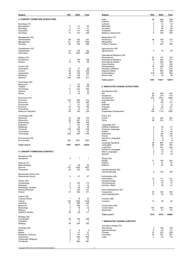| 4. CONCEPT FORMATION (STRUCTURE)<br>Sociology (41)<br>11<br>51<br>62<br>Demography<br>41<br>41<br>Ethnology<br>0<br>31<br>117<br>148<br>Population<br>14<br>312<br>Sociology<br>326<br>Management (42)<br>251<br>Administration<br>89<br>162<br>121<br>947<br>1068<br>Management<br>Planning<br>99<br>189<br>288<br>Classification (43)<br>23<br>Classification<br>139<br>162<br>Informatics<br>82<br>1003<br>1085<br>Ekistics (44)<br>7<br>189<br>196<br>Architecture<br><b>Ekistics</b><br>10<br>56<br>66<br>Control (45)<br>19<br>77<br>Automation<br>96<br>96<br>162<br>Control<br>258<br>48<br>136<br>Cybernetics<br>184<br>16<br>155<br>171<br>Modelling<br>Systems<br>182<br>429<br>611<br>Psychology (46)<br>1<br>97<br>Behaviour<br>98<br>1<br>108<br>109<br>Imagery<br>11<br>472<br>483<br>Psychology<br>0<br>23<br>23<br>Sensory<br>0<br>40<br>40<br><b>Stress</b><br>Economics (47)<br>319<br>593<br>912<br>Economic<br>17<br>375<br>392<br>Economics<br>51<br>Economists<br>1<br>52<br>172<br>27<br>199<br>Economy<br>10<br>37<br>47<br>Productivity<br>Resource Utilization<br>60<br>165<br>225<br>Technology (48)<br>16<br>138<br>154<br>Electricity<br>25<br>287<br>312<br>Electronics<br>Engineering<br>12<br>446<br>458<br>1<br>147<br>148<br>Engineers<br>$\overline{4}$<br>42<br>Metallurgy<br>38<br>129<br>438<br>Technical<br>309<br>3<br>Technicians<br>59<br>62<br>200<br>994<br>1194<br>Technology<br>Environment (49)<br>Environment<br>262<br>1561<br>1823<br>Total Level 4<br>1947<br>10277<br>12224<br>5. CONCEPT FORMATION (CONTEXT)<br>Noosphere (50)<br>Noosphere<br>0<br>1<br>1<br>Science (51)<br>5<br>59<br>64<br>Methodologies<br>181<br>1426<br>Science<br>1607<br>26<br>102<br>128<br>Theoretical<br>Experiential Activity (52)<br>0<br>47<br>47<br><b>Experiential Activity</b><br>History (53)<br>9<br>104<br>113<br>Archaeology<br>0<br>12<br>12<br>Epigraphy<br>Genealogy, Heraldry<br>0<br>38<br>38<br>1<br><b>Historical Periods</b><br>140<br>141<br>21<br>550<br>571<br>History<br>Culture (54)<br>$\mathbf{1}$<br><b>Cultural Activity</b><br>19<br>20<br>145<br>1294<br>1439<br>Culture<br>27<br>Literature<br>298<br>325<br>3<br>168<br>171<br>Museums<br>4<br>18<br>22<br>Musicology<br>0<br>5<br>5<br>Rhetoric<br><b>UNESCO Bodies</b><br>49<br>117<br>68<br>Strategy (55)<br>93<br>195<br>288<br>Coordination<br>1<br>Feasibility<br>0<br>1<br>38<br>254<br>292<br>Strategy<br>Theology (56)<br>0<br>9<br>9<br>Baha'i<br>0<br>51<br>51<br>Baptist<br>0<br>Buddhism, Hinduism<br>118<br>118<br>0<br>460<br>460<br>Catholicism<br>Charismatic Religions<br>0<br>51<br>51<br>1<br>960<br>961 | <u>Subject</u> | <u>IGO</u> | <u>NGO</u> | <u>Total</u> |
|-----------------------------------------------------------------------------------------------------------------------------------------------------------------------------------------------------------------------------------------------------------------------------------------------------------------------------------------------------------------------------------------------------------------------------------------------------------------------------------------------------------------------------------------------------------------------------------------------------------------------------------------------------------------------------------------------------------------------------------------------------------------------------------------------------------------------------------------------------------------------------------------------------------------------------------------------------------------------------------------------------------------------------------------------------------------------------------------------------------------------------------------------------------------------------------------------------------------------------------------------------------------------------------------------------------------------------------------------------------------------------------------------------------------------------------------------------------------------------------------------------------------------------------------------------------------------------------------------------------------------------------------------------------------------------------------------------------------------------------------------------------------------------------------------------------------------------------------------------------------------------------------------------------------------------------------------------------------------------------------------------------------------------------------------------------------------------------------------------------------------------------------------------------------------------------------------------------------------------------------------------------------------------------------------------------------------------------------------------------------------------------------------------------------------------------------------------------------------------------------------------------------------------------------------------------------------------------------------------------------------------------------------|----------------|------------|------------|--------------|
|                                                                                                                                                                                                                                                                                                                                                                                                                                                                                                                                                                                                                                                                                                                                                                                                                                                                                                                                                                                                                                                                                                                                                                                                                                                                                                                                                                                                                                                                                                                                                                                                                                                                                                                                                                                                                                                                                                                                                                                                                                                                                                                                                                                                                                                                                                                                                                                                                                                                                                                                                                                                                                               |                |            |            |              |
|                                                                                                                                                                                                                                                                                                                                                                                                                                                                                                                                                                                                                                                                                                                                                                                                                                                                                                                                                                                                                                                                                                                                                                                                                                                                                                                                                                                                                                                                                                                                                                                                                                                                                                                                                                                                                                                                                                                                                                                                                                                                                                                                                                                                                                                                                                                                                                                                                                                                                                                                                                                                                                               |                |            |            |              |
|                                                                                                                                                                                                                                                                                                                                                                                                                                                                                                                                                                                                                                                                                                                                                                                                                                                                                                                                                                                                                                                                                                                                                                                                                                                                                                                                                                                                                                                                                                                                                                                                                                                                                                                                                                                                                                                                                                                                                                                                                                                                                                                                                                                                                                                                                                                                                                                                                                                                                                                                                                                                                                               |                |            |            |              |
|                                                                                                                                                                                                                                                                                                                                                                                                                                                                                                                                                                                                                                                                                                                                                                                                                                                                                                                                                                                                                                                                                                                                                                                                                                                                                                                                                                                                                                                                                                                                                                                                                                                                                                                                                                                                                                                                                                                                                                                                                                                                                                                                                                                                                                                                                                                                                                                                                                                                                                                                                                                                                                               |                |            |            |              |
|                                                                                                                                                                                                                                                                                                                                                                                                                                                                                                                                                                                                                                                                                                                                                                                                                                                                                                                                                                                                                                                                                                                                                                                                                                                                                                                                                                                                                                                                                                                                                                                                                                                                                                                                                                                                                                                                                                                                                                                                                                                                                                                                                                                                                                                                                                                                                                                                                                                                                                                                                                                                                                               |                |            |            |              |
|                                                                                                                                                                                                                                                                                                                                                                                                                                                                                                                                                                                                                                                                                                                                                                                                                                                                                                                                                                                                                                                                                                                                                                                                                                                                                                                                                                                                                                                                                                                                                                                                                                                                                                                                                                                                                                                                                                                                                                                                                                                                                                                                                                                                                                                                                                                                                                                                                                                                                                                                                                                                                                               |                |            |            |              |
|                                                                                                                                                                                                                                                                                                                                                                                                                                                                                                                                                                                                                                                                                                                                                                                                                                                                                                                                                                                                                                                                                                                                                                                                                                                                                                                                                                                                                                                                                                                                                                                                                                                                                                                                                                                                                                                                                                                                                                                                                                                                                                                                                                                                                                                                                                                                                                                                                                                                                                                                                                                                                                               |                |            |            |              |
|                                                                                                                                                                                                                                                                                                                                                                                                                                                                                                                                                                                                                                                                                                                                                                                                                                                                                                                                                                                                                                                                                                                                                                                                                                                                                                                                                                                                                                                                                                                                                                                                                                                                                                                                                                                                                                                                                                                                                                                                                                                                                                                                                                                                                                                                                                                                                                                                                                                                                                                                                                                                                                               |                |            |            |              |
|                                                                                                                                                                                                                                                                                                                                                                                                                                                                                                                                                                                                                                                                                                                                                                                                                                                                                                                                                                                                                                                                                                                                                                                                                                                                                                                                                                                                                                                                                                                                                                                                                                                                                                                                                                                                                                                                                                                                                                                                                                                                                                                                                                                                                                                                                                                                                                                                                                                                                                                                                                                                                                               |                |            |            |              |
|                                                                                                                                                                                                                                                                                                                                                                                                                                                                                                                                                                                                                                                                                                                                                                                                                                                                                                                                                                                                                                                                                                                                                                                                                                                                                                                                                                                                                                                                                                                                                                                                                                                                                                                                                                                                                                                                                                                                                                                                                                                                                                                                                                                                                                                                                                                                                                                                                                                                                                                                                                                                                                               |                |            |            |              |
|                                                                                                                                                                                                                                                                                                                                                                                                                                                                                                                                                                                                                                                                                                                                                                                                                                                                                                                                                                                                                                                                                                                                                                                                                                                                                                                                                                                                                                                                                                                                                                                                                                                                                                                                                                                                                                                                                                                                                                                                                                                                                                                                                                                                                                                                                                                                                                                                                                                                                                                                                                                                                                               |                |            |            |              |
|                                                                                                                                                                                                                                                                                                                                                                                                                                                                                                                                                                                                                                                                                                                                                                                                                                                                                                                                                                                                                                                                                                                                                                                                                                                                                                                                                                                                                                                                                                                                                                                                                                                                                                                                                                                                                                                                                                                                                                                                                                                                                                                                                                                                                                                                                                                                                                                                                                                                                                                                                                                                                                               |                |            |            |              |
|                                                                                                                                                                                                                                                                                                                                                                                                                                                                                                                                                                                                                                                                                                                                                                                                                                                                                                                                                                                                                                                                                                                                                                                                                                                                                                                                                                                                                                                                                                                                                                                                                                                                                                                                                                                                                                                                                                                                                                                                                                                                                                                                                                                                                                                                                                                                                                                                                                                                                                                                                                                                                                               |                |            |            |              |
|                                                                                                                                                                                                                                                                                                                                                                                                                                                                                                                                                                                                                                                                                                                                                                                                                                                                                                                                                                                                                                                                                                                                                                                                                                                                                                                                                                                                                                                                                                                                                                                                                                                                                                                                                                                                                                                                                                                                                                                                                                                                                                                                                                                                                                                                                                                                                                                                                                                                                                                                                                                                                                               |                |            |            |              |
|                                                                                                                                                                                                                                                                                                                                                                                                                                                                                                                                                                                                                                                                                                                                                                                                                                                                                                                                                                                                                                                                                                                                                                                                                                                                                                                                                                                                                                                                                                                                                                                                                                                                                                                                                                                                                                                                                                                                                                                                                                                                                                                                                                                                                                                                                                                                                                                                                                                                                                                                                                                                                                               |                |            |            |              |
|                                                                                                                                                                                                                                                                                                                                                                                                                                                                                                                                                                                                                                                                                                                                                                                                                                                                                                                                                                                                                                                                                                                                                                                                                                                                                                                                                                                                                                                                                                                                                                                                                                                                                                                                                                                                                                                                                                                                                                                                                                                                                                                                                                                                                                                                                                                                                                                                                                                                                                                                                                                                                                               |                |            |            |              |
|                                                                                                                                                                                                                                                                                                                                                                                                                                                                                                                                                                                                                                                                                                                                                                                                                                                                                                                                                                                                                                                                                                                                                                                                                                                                                                                                                                                                                                                                                                                                                                                                                                                                                                                                                                                                                                                                                                                                                                                                                                                                                                                                                                                                                                                                                                                                                                                                                                                                                                                                                                                                                                               |                |            |            |              |
|                                                                                                                                                                                                                                                                                                                                                                                                                                                                                                                                                                                                                                                                                                                                                                                                                                                                                                                                                                                                                                                                                                                                                                                                                                                                                                                                                                                                                                                                                                                                                                                                                                                                                                                                                                                                                                                                                                                                                                                                                                                                                                                                                                                                                                                                                                                                                                                                                                                                                                                                                                                                                                               |                |            |            |              |
|                                                                                                                                                                                                                                                                                                                                                                                                                                                                                                                                                                                                                                                                                                                                                                                                                                                                                                                                                                                                                                                                                                                                                                                                                                                                                                                                                                                                                                                                                                                                                                                                                                                                                                                                                                                                                                                                                                                                                                                                                                                                                                                                                                                                                                                                                                                                                                                                                                                                                                                                                                                                                                               |                |            |            |              |
|                                                                                                                                                                                                                                                                                                                                                                                                                                                                                                                                                                                                                                                                                                                                                                                                                                                                                                                                                                                                                                                                                                                                                                                                                                                                                                                                                                                                                                                                                                                                                                                                                                                                                                                                                                                                                                                                                                                                                                                                                                                                                                                                                                                                                                                                                                                                                                                                                                                                                                                                                                                                                                               |                |            |            |              |
|                                                                                                                                                                                                                                                                                                                                                                                                                                                                                                                                                                                                                                                                                                                                                                                                                                                                                                                                                                                                                                                                                                                                                                                                                                                                                                                                                                                                                                                                                                                                                                                                                                                                                                                                                                                                                                                                                                                                                                                                                                                                                                                                                                                                                                                                                                                                                                                                                                                                                                                                                                                                                                               |                |            |            |              |
|                                                                                                                                                                                                                                                                                                                                                                                                                                                                                                                                                                                                                                                                                                                                                                                                                                                                                                                                                                                                                                                                                                                                                                                                                                                                                                                                                                                                                                                                                                                                                                                                                                                                                                                                                                                                                                                                                                                                                                                                                                                                                                                                                                                                                                                                                                                                                                                                                                                                                                                                                                                                                                               |                |            |            |              |
|                                                                                                                                                                                                                                                                                                                                                                                                                                                                                                                                                                                                                                                                                                                                                                                                                                                                                                                                                                                                                                                                                                                                                                                                                                                                                                                                                                                                                                                                                                                                                                                                                                                                                                                                                                                                                                                                                                                                                                                                                                                                                                                                                                                                                                                                                                                                                                                                                                                                                                                                                                                                                                               |                |            |            |              |
|                                                                                                                                                                                                                                                                                                                                                                                                                                                                                                                                                                                                                                                                                                                                                                                                                                                                                                                                                                                                                                                                                                                                                                                                                                                                                                                                                                                                                                                                                                                                                                                                                                                                                                                                                                                                                                                                                                                                                                                                                                                                                                                                                                                                                                                                                                                                                                                                                                                                                                                                                                                                                                               |                |            |            |              |
|                                                                                                                                                                                                                                                                                                                                                                                                                                                                                                                                                                                                                                                                                                                                                                                                                                                                                                                                                                                                                                                                                                                                                                                                                                                                                                                                                                                                                                                                                                                                                                                                                                                                                                                                                                                                                                                                                                                                                                                                                                                                                                                                                                                                                                                                                                                                                                                                                                                                                                                                                                                                                                               |                |            |            |              |
|                                                                                                                                                                                                                                                                                                                                                                                                                                                                                                                                                                                                                                                                                                                                                                                                                                                                                                                                                                                                                                                                                                                                                                                                                                                                                                                                                                                                                                                                                                                                                                                                                                                                                                                                                                                                                                                                                                                                                                                                                                                                                                                                                                                                                                                                                                                                                                                                                                                                                                                                                                                                                                               |                |            |            |              |
|                                                                                                                                                                                                                                                                                                                                                                                                                                                                                                                                                                                                                                                                                                                                                                                                                                                                                                                                                                                                                                                                                                                                                                                                                                                                                                                                                                                                                                                                                                                                                                                                                                                                                                                                                                                                                                                                                                                                                                                                                                                                                                                                                                                                                                                                                                                                                                                                                                                                                                                                                                                                                                               |                |            |            |              |
|                                                                                                                                                                                                                                                                                                                                                                                                                                                                                                                                                                                                                                                                                                                                                                                                                                                                                                                                                                                                                                                                                                                                                                                                                                                                                                                                                                                                                                                                                                                                                                                                                                                                                                                                                                                                                                                                                                                                                                                                                                                                                                                                                                                                                                                                                                                                                                                                                                                                                                                                                                                                                                               |                |            |            |              |
|                                                                                                                                                                                                                                                                                                                                                                                                                                                                                                                                                                                                                                                                                                                                                                                                                                                                                                                                                                                                                                                                                                                                                                                                                                                                                                                                                                                                                                                                                                                                                                                                                                                                                                                                                                                                                                                                                                                                                                                                                                                                                                                                                                                                                                                                                                                                                                                                                                                                                                                                                                                                                                               |                |            |            |              |
|                                                                                                                                                                                                                                                                                                                                                                                                                                                                                                                                                                                                                                                                                                                                                                                                                                                                                                                                                                                                                                                                                                                                                                                                                                                                                                                                                                                                                                                                                                                                                                                                                                                                                                                                                                                                                                                                                                                                                                                                                                                                                                                                                                                                                                                                                                                                                                                                                                                                                                                                                                                                                                               |                |            |            |              |
|                                                                                                                                                                                                                                                                                                                                                                                                                                                                                                                                                                                                                                                                                                                                                                                                                                                                                                                                                                                                                                                                                                                                                                                                                                                                                                                                                                                                                                                                                                                                                                                                                                                                                                                                                                                                                                                                                                                                                                                                                                                                                                                                                                                                                                                                                                                                                                                                                                                                                                                                                                                                                                               |                |            |            |              |
|                                                                                                                                                                                                                                                                                                                                                                                                                                                                                                                                                                                                                                                                                                                                                                                                                                                                                                                                                                                                                                                                                                                                                                                                                                                                                                                                                                                                                                                                                                                                                                                                                                                                                                                                                                                                                                                                                                                                                                                                                                                                                                                                                                                                                                                                                                                                                                                                                                                                                                                                                                                                                                               |                |            |            |              |
|                                                                                                                                                                                                                                                                                                                                                                                                                                                                                                                                                                                                                                                                                                                                                                                                                                                                                                                                                                                                                                                                                                                                                                                                                                                                                                                                                                                                                                                                                                                                                                                                                                                                                                                                                                                                                                                                                                                                                                                                                                                                                                                                                                                                                                                                                                                                                                                                                                                                                                                                                                                                                                               |                |            |            |              |
|                                                                                                                                                                                                                                                                                                                                                                                                                                                                                                                                                                                                                                                                                                                                                                                                                                                                                                                                                                                                                                                                                                                                                                                                                                                                                                                                                                                                                                                                                                                                                                                                                                                                                                                                                                                                                                                                                                                                                                                                                                                                                                                                                                                                                                                                                                                                                                                                                                                                                                                                                                                                                                               |                |            |            |              |
|                                                                                                                                                                                                                                                                                                                                                                                                                                                                                                                                                                                                                                                                                                                                                                                                                                                                                                                                                                                                                                                                                                                                                                                                                                                                                                                                                                                                                                                                                                                                                                                                                                                                                                                                                                                                                                                                                                                                                                                                                                                                                                                                                                                                                                                                                                                                                                                                                                                                                                                                                                                                                                               |                |            |            |              |
|                                                                                                                                                                                                                                                                                                                                                                                                                                                                                                                                                                                                                                                                                                                                                                                                                                                                                                                                                                                                                                                                                                                                                                                                                                                                                                                                                                                                                                                                                                                                                                                                                                                                                                                                                                                                                                                                                                                                                                                                                                                                                                                                                                                                                                                                                                                                                                                                                                                                                                                                                                                                                                               |                |            |            |              |
|                                                                                                                                                                                                                                                                                                                                                                                                                                                                                                                                                                                                                                                                                                                                                                                                                                                                                                                                                                                                                                                                                                                                                                                                                                                                                                                                                                                                                                                                                                                                                                                                                                                                                                                                                                                                                                                                                                                                                                                                                                                                                                                                                                                                                                                                                                                                                                                                                                                                                                                                                                                                                                               |                |            |            |              |
|                                                                                                                                                                                                                                                                                                                                                                                                                                                                                                                                                                                                                                                                                                                                                                                                                                                                                                                                                                                                                                                                                                                                                                                                                                                                                                                                                                                                                                                                                                                                                                                                                                                                                                                                                                                                                                                                                                                                                                                                                                                                                                                                                                                                                                                                                                                                                                                                                                                                                                                                                                                                                                               |                |            |            |              |
|                                                                                                                                                                                                                                                                                                                                                                                                                                                                                                                                                                                                                                                                                                                                                                                                                                                                                                                                                                                                                                                                                                                                                                                                                                                                                                                                                                                                                                                                                                                                                                                                                                                                                                                                                                                                                                                                                                                                                                                                                                                                                                                                                                                                                                                                                                                                                                                                                                                                                                                                                                                                                                               |                |            |            |              |
|                                                                                                                                                                                                                                                                                                                                                                                                                                                                                                                                                                                                                                                                                                                                                                                                                                                                                                                                                                                                                                                                                                                                                                                                                                                                                                                                                                                                                                                                                                                                                                                                                                                                                                                                                                                                                                                                                                                                                                                                                                                                                                                                                                                                                                                                                                                                                                                                                                                                                                                                                                                                                                               |                |            |            |              |
|                                                                                                                                                                                                                                                                                                                                                                                                                                                                                                                                                                                                                                                                                                                                                                                                                                                                                                                                                                                                                                                                                                                                                                                                                                                                                                                                                                                                                                                                                                                                                                                                                                                                                                                                                                                                                                                                                                                                                                                                                                                                                                                                                                                                                                                                                                                                                                                                                                                                                                                                                                                                                                               |                |            |            |              |
|                                                                                                                                                                                                                                                                                                                                                                                                                                                                                                                                                                                                                                                                                                                                                                                                                                                                                                                                                                                                                                                                                                                                                                                                                                                                                                                                                                                                                                                                                                                                                                                                                                                                                                                                                                                                                                                                                                                                                                                                                                                                                                                                                                                                                                                                                                                                                                                                                                                                                                                                                                                                                                               |                |            |            |              |
|                                                                                                                                                                                                                                                                                                                                                                                                                                                                                                                                                                                                                                                                                                                                                                                                                                                                                                                                                                                                                                                                                                                                                                                                                                                                                                                                                                                                                                                                                                                                                                                                                                                                                                                                                                                                                                                                                                                                                                                                                                                                                                                                                                                                                                                                                                                                                                                                                                                                                                                                                                                                                                               |                |            |            |              |
|                                                                                                                                                                                                                                                                                                                                                                                                                                                                                                                                                                                                                                                                                                                                                                                                                                                                                                                                                                                                                                                                                                                                                                                                                                                                                                                                                                                                                                                                                                                                                                                                                                                                                                                                                                                                                                                                                                                                                                                                                                                                                                                                                                                                                                                                                                                                                                                                                                                                                                                                                                                                                                               |                |            |            |              |
|                                                                                                                                                                                                                                                                                                                                                                                                                                                                                                                                                                                                                                                                                                                                                                                                                                                                                                                                                                                                                                                                                                                                                                                                                                                                                                                                                                                                                                                                                                                                                                                                                                                                                                                                                                                                                                                                                                                                                                                                                                                                                                                                                                                                                                                                                                                                                                                                                                                                                                                                                                                                                                               |                |            |            |              |
|                                                                                                                                                                                                                                                                                                                                                                                                                                                                                                                                                                                                                                                                                                                                                                                                                                                                                                                                                                                                                                                                                                                                                                                                                                                                                                                                                                                                                                                                                                                                                                                                                                                                                                                                                                                                                                                                                                                                                                                                                                                                                                                                                                                                                                                                                                                                                                                                                                                                                                                                                                                                                                               |                |            |            |              |
|                                                                                                                                                                                                                                                                                                                                                                                                                                                                                                                                                                                                                                                                                                                                                                                                                                                                                                                                                                                                                                                                                                                                                                                                                                                                                                                                                                                                                                                                                                                                                                                                                                                                                                                                                                                                                                                                                                                                                                                                                                                                                                                                                                                                                                                                                                                                                                                                                                                                                                                                                                                                                                               |                |            |            |              |
|                                                                                                                                                                                                                                                                                                                                                                                                                                                                                                                                                                                                                                                                                                                                                                                                                                                                                                                                                                                                                                                                                                                                                                                                                                                                                                                                                                                                                                                                                                                                                                                                                                                                                                                                                                                                                                                                                                                                                                                                                                                                                                                                                                                                                                                                                                                                                                                                                                                                                                                                                                                                                                               |                |            |            |              |
|                                                                                                                                                                                                                                                                                                                                                                                                                                                                                                                                                                                                                                                                                                                                                                                                                                                                                                                                                                                                                                                                                                                                                                                                                                                                                                                                                                                                                                                                                                                                                                                                                                                                                                                                                                                                                                                                                                                                                                                                                                                                                                                                                                                                                                                                                                                                                                                                                                                                                                                                                                                                                                               |                |            |            |              |
|                                                                                                                                                                                                                                                                                                                                                                                                                                                                                                                                                                                                                                                                                                                                                                                                                                                                                                                                                                                                                                                                                                                                                                                                                                                                                                                                                                                                                                                                                                                                                                                                                                                                                                                                                                                                                                                                                                                                                                                                                                                                                                                                                                                                                                                                                                                                                                                                                                                                                                                                                                                                                                               |                |            |            |              |
|                                                                                                                                                                                                                                                                                                                                                                                                                                                                                                                                                                                                                                                                                                                                                                                                                                                                                                                                                                                                                                                                                                                                                                                                                                                                                                                                                                                                                                                                                                                                                                                                                                                                                                                                                                                                                                                                                                                                                                                                                                                                                                                                                                                                                                                                                                                                                                                                                                                                                                                                                                                                                                               |                |            |            |              |
|                                                                                                                                                                                                                                                                                                                                                                                                                                                                                                                                                                                                                                                                                                                                                                                                                                                                                                                                                                                                                                                                                                                                                                                                                                                                                                                                                                                                                                                                                                                                                                                                                                                                                                                                                                                                                                                                                                                                                                                                                                                                                                                                                                                                                                                                                                                                                                                                                                                                                                                                                                                                                                               |                |            |            |              |
|                                                                                                                                                                                                                                                                                                                                                                                                                                                                                                                                                                                                                                                                                                                                                                                                                                                                                                                                                                                                                                                                                                                                                                                                                                                                                                                                                                                                                                                                                                                                                                                                                                                                                                                                                                                                                                                                                                                                                                                                                                                                                                                                                                                                                                                                                                                                                                                                                                                                                                                                                                                                                                               |                |            |            |              |
|                                                                                                                                                                                                                                                                                                                                                                                                                                                                                                                                                                                                                                                                                                                                                                                                                                                                                                                                                                                                                                                                                                                                                                                                                                                                                                                                                                                                                                                                                                                                                                                                                                                                                                                                                                                                                                                                                                                                                                                                                                                                                                                                                                                                                                                                                                                                                                                                                                                                                                                                                                                                                                               |                |            |            |              |
|                                                                                                                                                                                                                                                                                                                                                                                                                                                                                                                                                                                                                                                                                                                                                                                                                                                                                                                                                                                                                                                                                                                                                                                                                                                                                                                                                                                                                                                                                                                                                                                                                                                                                                                                                                                                                                                                                                                                                                                                                                                                                                                                                                                                                                                                                                                                                                                                                                                                                                                                                                                                                                               |                |            |            |              |
|                                                                                                                                                                                                                                                                                                                                                                                                                                                                                                                                                                                                                                                                                                                                                                                                                                                                                                                                                                                                                                                                                                                                                                                                                                                                                                                                                                                                                                                                                                                                                                                                                                                                                                                                                                                                                                                                                                                                                                                                                                                                                                                                                                                                                                                                                                                                                                                                                                                                                                                                                                                                                                               |                |            |            |              |
|                                                                                                                                                                                                                                                                                                                                                                                                                                                                                                                                                                                                                                                                                                                                                                                                                                                                                                                                                                                                                                                                                                                                                                                                                                                                                                                                                                                                                                                                                                                                                                                                                                                                                                                                                                                                                                                                                                                                                                                                                                                                                                                                                                                                                                                                                                                                                                                                                                                                                                                                                                                                                                               |                |            |            |              |
|                                                                                                                                                                                                                                                                                                                                                                                                                                                                                                                                                                                                                                                                                                                                                                                                                                                                                                                                                                                                                                                                                                                                                                                                                                                                                                                                                                                                                                                                                                                                                                                                                                                                                                                                                                                                                                                                                                                                                                                                                                                                                                                                                                                                                                                                                                                                                                                                                                                                                                                                                                                                                                               |                |            |            |              |
|                                                                                                                                                                                                                                                                                                                                                                                                                                                                                                                                                                                                                                                                                                                                                                                                                                                                                                                                                                                                                                                                                                                                                                                                                                                                                                                                                                                                                                                                                                                                                                                                                                                                                                                                                                                                                                                                                                                                                                                                                                                                                                                                                                                                                                                                                                                                                                                                                                                                                                                                                                                                                                               |                |            |            |              |
|                                                                                                                                                                                                                                                                                                                                                                                                                                                                                                                                                                                                                                                                                                                                                                                                                                                                                                                                                                                                                                                                                                                                                                                                                                                                                                                                                                                                                                                                                                                                                                                                                                                                                                                                                                                                                                                                                                                                                                                                                                                                                                                                                                                                                                                                                                                                                                                                                                                                                                                                                                                                                                               |                |            |            |              |
|                                                                                                                                                                                                                                                                                                                                                                                                                                                                                                                                                                                                                                                                                                                                                                                                                                                                                                                                                                                                                                                                                                                                                                                                                                                                                                                                                                                                                                                                                                                                                                                                                                                                                                                                                                                                                                                                                                                                                                                                                                                                                                                                                                                                                                                                                                                                                                                                                                                                                                                                                                                                                                               |                |            |            |              |
|                                                                                                                                                                                                                                                                                                                                                                                                                                                                                                                                                                                                                                                                                                                                                                                                                                                                                                                                                                                                                                                                                                                                                                                                                                                                                                                                                                                                                                                                                                                                                                                                                                                                                                                                                                                                                                                                                                                                                                                                                                                                                                                                                                                                                                                                                                                                                                                                                                                                                                                                                                                                                                               |                |            |            |              |
|                                                                                                                                                                                                                                                                                                                                                                                                                                                                                                                                                                                                                                                                                                                                                                                                                                                                                                                                                                                                                                                                                                                                                                                                                                                                                                                                                                                                                                                                                                                                                                                                                                                                                                                                                                                                                                                                                                                                                                                                                                                                                                                                                                                                                                                                                                                                                                                                                                                                                                                                                                                                                                               |                |            |            |              |
|                                                                                                                                                                                                                                                                                                                                                                                                                                                                                                                                                                                                                                                                                                                                                                                                                                                                                                                                                                                                                                                                                                                                                                                                                                                                                                                                                                                                                                                                                                                                                                                                                                                                                                                                                                                                                                                                                                                                                                                                                                                                                                                                                                                                                                                                                                                                                                                                                                                                                                                                                                                                                                               |                |            |            |              |
|                                                                                                                                                                                                                                                                                                                                                                                                                                                                                                                                                                                                                                                                                                                                                                                                                                                                                                                                                                                                                                                                                                                                                                                                                                                                                                                                                                                                                                                                                                                                                                                                                                                                                                                                                                                                                                                                                                                                                                                                                                                                                                                                                                                                                                                                                                                                                                                                                                                                                                                                                                                                                                               |                |            |            |              |
|                                                                                                                                                                                                                                                                                                                                                                                                                                                                                                                                                                                                                                                                                                                                                                                                                                                                                                                                                                                                                                                                                                                                                                                                                                                                                                                                                                                                                                                                                                                                                                                                                                                                                                                                                                                                                                                                                                                                                                                                                                                                                                                                                                                                                                                                                                                                                                                                                                                                                                                                                                                                                                               | Christianity   |            |            |              |

| <u>Subject</u>                                        | <u>IGO</u> | <u>NGO</u> | <u>Total</u> |
|-------------------------------------------------------|------------|------------|--------------|
| Islam                                                 | 66         | 490        | 556          |
| Judaism                                               | 1          | 278        | 279          |
| Lutheran<br>Methodist                                 | 0<br>0     | 72<br>50   | 72<br>50     |
| Occultism                                             | 0          | 58         | 58           |
| Protestant                                            | 0<br>6     | 246<br>449 | 246<br>455   |
| Religious observance                                  |            |            |              |
| Metapolitics (57)                                     |            |            |              |
| Democracy<br>Metapolitics                             | 28<br>1    | 345<br>70  | 373<br>71    |
| <b>Political Theories</b>                             | 7          | 222        | 229          |
| Agrosciences (58)                                     |            |            |              |
| Agrosciences                                          | 9          | 75         | 84           |
| International Relations (59)                          |            |            |              |
| Disarmament                                           | 30         | 157        | 187          |
| International Relations                               | 24         | 493        | 517          |
| <b>International Studies</b><br>Peace Studies         | 3<br>3     | 264<br>179 | 267<br>182   |
| Peacekeeping                                          | 75         | 265        | 340          |
| Planetary Initiatives<br>Regional Affairs             | 8<br>6     | 271<br>960 | 279<br>966   |
| <b>United Nations</b>                                 | 479        | 186        | 665          |
| <b>World Order</b>                                    | 6          | 40         | 46           |
| Total Level 5                                         | 1357       | 11617      | 12974        |
|                                                       |            |            |              |
| <b>6. INNOVATIVE CHANGE (STRUCTURE)</b>               |            |            |              |
| Development (60)                                      |            |            |              |
| Aid<br>Assistance                                     | 36<br>95   | 406<br>219 | 442<br>314   |
| Development                                           | 553        | 2813       | 3366         |
| Empowerment                                           | 3          | 68         | 71           |
| Help<br>Potential                                     | 1<br>1     | 120<br>11  | 121<br>12    |
| Progress                                              | 9          | 92         | 101          |
| Reform                                                | 30         | 111        | 141          |
| Sustainable Development                               | 166        | 1116       | 1282         |
| Policy (61)                                           |            |            |              |
| Future<br>Policy                                      | 19<br>99   | 244<br>612 | 263<br>711   |
|                                                       |            |            |              |
| Languages (63)                                        | 2          | 39         | 41           |
| Artificial Intelligence<br><b>Classical Languages</b> | 0          | 41         | 41           |
| English                                               | 2          | 40         | 42           |
| Esperanto<br>French                                   | 0<br>2     | 146<br>105 | 146<br>107   |
| Germanic Languages                                    | 0          | 8          | 8            |
| Italian                                               | 0<br>46    | 6<br>687   | 6<br>733     |
| Language Speaking<br>Languages                        | 28         | 365        | 393          |
| Linguistics                                           | 11         | 231        | 242          |
| Romance Languages<br>Slavic Languages                 | 1<br>6     | 16<br>72   | 17<br>78     |
| Spanish                                               | 3          | 37         | 40           |
|                                                       |            |            |              |
| Design (64)<br>Design                                 | 17         | 185        | 202          |
| Fashion                                               | 0          | 27         | 27           |
| Patterns                                              | 1          | 25         | 26           |
| Interdisciplinarity (65)                              |            |            |              |
| Interdisciplinarity                                   | 6          | 163        | 169          |
| Individuation (66)                                    |            |            |              |
| Individuation                                         | 10         | 111        | 121          |
| Parapsychology<br>Psychoanalysis                      | 0<br>0     | 43<br>75   | 43<br>75     |
| Symbols, Myths                                        | 2          | 39         | 41           |
| Value Redistribution (67)                             |            |            |              |
| Cooperative                                           | 49         | 345        | 394          |
| Value Redistribution                                  | 10         | 52         | 62           |
| Invention (68)                                        |            |            |              |
| Invention                                             | 14         | 26         | 40           |
| Conservation (69)                                     |            |            |              |
| Conservation                                          | 145        | 539        | 684          |
| Restoration                                           | 12         | 81         | 93           |
| <b>Total Level 6</b>                                  | 1379       | 9316       | 10695        |
| 7. INNOVATIVE CHANGE (CONTEXT)                        |            |            |              |
|                                                       |            |            |              |
|                                                       |            |            |              |
| Innovative change (70)                                | 3          | 126        | 129          |
| Alternatives<br>Appropriateness                       | 8          | 43         | 51           |
| Change                                                | 33         | 257        | 290          |
| Innovation<br>Logic                                   | 30<br>2    | 237<br>43  | 267<br>45    |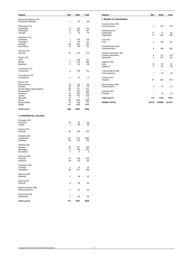| <u>Subject</u>                                           | IGO                     | <u>NGO</u> | <u>Total</u> |
|----------------------------------------------------------|-------------------------|------------|--------------|
| Emotional fulfilment (72)<br><b>Emotional Fulfilment</b> | 1                       | 87         | 88           |
| Philosophy (73)                                          |                         |            |              |
| Knowledge                                                | 13                      | 129        | 142          |
| Philosophy                                               | 0                       | 387        | 387          |
| Thought                                                  | 0                       | 76         | 76           |
| Aesthetics (74)                                          |                         |            |              |
| Aesthetics                                               | 1                       | 108        | 109          |
| Civilization                                             | 7<br>59                 | 80<br>264  | 87           |
| Heritage<br>Monuments                                    | 18                      | 129        | 323<br>147   |
|                                                          |                         |            |              |
| Security (75)<br>Security                                | 91                      | 319        | 410          |
| Morals (76)                                              |                         |            |              |
| Faith                                                    | 1                       | 126        | 127          |
| Morals                                                   | 11                      | 275        | 286          |
| Mysticism                                                | 0                       | 26         | 26           |
| Community (77)<br>Community                              | 6                       | 149        | 155          |
|                                                          |                         |            |              |
| Co-evolution (78)<br>Coexistence                         | 0                       | 13         | 13           |
| Peace (79)                                               |                         |            |              |
| Discrimination                                           | 16                      | 68         | 84           |
| Equality                                                 | 28                      | 151        | 179          |
| Human Rights Organizations                               | 96                      | 721        | 817          |
| Humanitarian                                             | 71                      | 827        | 898<br>163   |
| Humanity<br>Justice                                      | 18<br>48                | 145<br>431 | 479          |
| Neutrality                                               | 10                      | 7          | 17           |
| Peace                                                    | 64                      | 1304       | 1368         |
| Responsibility                                           | 78                      | 196        | 274          |
| Rights                                                   | 176                     | 1309       | 1485         |
|                                                          |                         |            |              |
| Total Level 7                                            | 889                     | 8033       | 8922         |
| 8. EXPERIENTIAL (VALUES)                                 |                         |            |              |
|                                                          |                         |            |              |
| Principles (80)<br>Principles                            | 18                      | 28         | 46           |
| Values                                                   | 3                       | 96         | 99           |
|                                                          |                         |            |              |
| Purpose (81)                                             |                         | 164        |              |
| Purpose                                                  | 28                      |            | 192          |
| Solidarity (82)                                          |                         |            |              |
| Cooperation                                              | 441                     | 1123       | 1564         |
| Solidarity                                               | 68                      | 722        | 790          |
| Idealism (83)                                            |                         |            |              |
| Idealism                                                 | 25                      | 301        | 326          |
| Ideologies                                               | 17                      | 190        | 207          |
| Secularism                                               | 0                       | 4          | 4            |
|                                                          |                         |            |              |
| Harmony (84)<br>Diversity                                | 37                      | 198        | 235          |
| Harmony                                                  | 28                      | 62         | 90           |
|                                                          |                         |            |              |
| Integration (85)                                         |                         |            |              |
| Courage<br>Integration                                   | 1<br>88                 | 14<br>201  | 15<br>289    |
|                                                          |                         |            |              |
| Meaning (86)                                             |                         |            |              |
| Meaning                                                  | 4                       | 38         | 42           |
|                                                          |                         |            |              |
| Sharing (87)<br>Sharing                                  | 8                       | 48         | 56           |
|                                                          |                         |            |              |
| Resourcefulness (88)                                     |                         |            |              |
| Resourcefulness                                          | 4                       | 22         | 26           |
| Equanimity (89)                                          |                         |            |              |
| Equanimity                                               | $\overline{\mathbf{c}}$ | 46         | 48           |

| Subject                                                         | <b>IGO</b>           | <b>NGO</b> | <b>Total</b> |
|-----------------------------------------------------------------|----------------------|------------|--------------|
| <b>9. MODES OF AWARENESS</b>                                    |                      |            |              |
| Consciousness (90)<br>Consciousness                             | $\overline{2}$       | 134        | 136          |
| Authenticity (91)<br>Authenticity<br>Leadership                 | 17<br>12             | 77<br>224  | 94<br>236    |
| Love (92)<br>Love                                               | 3                    | 129        | 132          |
| Comprehension (93)<br>Comprehension                             | 6                    | 199        | 205          |
| Creative expression (94)<br>Creative expression<br>Spirituality | 6<br>U               | 112<br>210 | 118<br>210   |
| Vigilance (95)<br>Unity<br>Vigilance                            | 10<br>$\overline{2}$ | 87<br>44   | 97<br>46     |
| Transcendence (96)<br>Transcendence                             | 1                    | 33         | 34           |
| Freedom (97)<br>Freedom                                         | 51                   | 422        | 473          |
| Perserverance (98)<br>Perserverance                             | 4                    | 27         | 31           |
| Oneness (99)<br>Oneness                                         | 1                    | 22         | 23           |
| <b>Total Level 9</b>                                            | 115                  | 1720       | 1835         |
| <b>GRAND TOTAL</b>                                              | 26178                | 155096     | 181274       |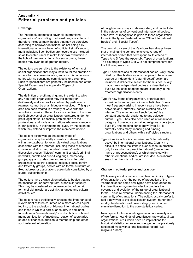### **Coverage**

The Yearbook attempts to cover all "international organizations", according to a broad range of criteria. It therefore includes many bodies that may be perceived, according to narrower definitions, as not being fully international or as not being of sufficient significance to merit inclusion. Such bodies are nevertheless included, so as to enable users to make their own evaluation in the light of their own criteria. For some users, these bodies may even be of greater interest.

The editors are sensitive to the existence of forms of social organization that may substitute for the creation of a more formal conventional organization. A conference series with no continuing committee is one example. Such "organizations" are generally included in one of the Special Types (see the Appendix "Types of Organization).

The definition of profit-making, and the extent to which any non-profit organization may incidentally or deliberately make a profit as defined by particular tax regimes, cannot be unambiguously resolved. This grey area has been treated in a variety of ways with the sensitivity it merits. The editors are attentive to the nonprofit objectives of an organization registered under forprofit legal status. Especially problematic are the professional and trade organizations whose existence is in part justified, in their members' eyes, by the extent to which they defend or improve the members' income.

The editors acknowledge that some types of organization may be totally absent or under-reported within the database, for example virtual organizations associated with the internet (including those of otherwise conventional structure, but also "usenets", web discussion groups, "listserv" communities etc.), criminal networks, cartels and price-fixing rings, mercenarygroups, spy and undercover organizations, terrorist organizations, secret societies, religious sects, family and fraternity groups, bodies with no formal structure or fixed address or associations essentially constituted by a journal subscribership.

The editors have always given priority to bodies that are not focused on, or deriving from, a particular country. This may be construed as under-reporting of certain forms of aid, missionary activity, language and cultural activities, etc.

The editors have traditionally stressed the importance of involvement of three countries on a more-or-less equal footing, to the exclusion of bilateral international bodies and those in which a particular country is dominant. Indications of "internationality" are distribution of board members, location of meetings, rotation of secretariat, source of finance in addition to membership and other such relevant information.

Although in many ways under-reported, and not included in the categories of conventional international bodies, some level of recognition is given to these organization forms in the types clustered under "Other International Bodies" and "Special Types".

The central concern of the Yearbook has always been that of maintaining comprehensive coverage of international bodies that correspond to its criteria of Types A to D (see the Appendix: Types of organization). The coverage of types E to G is not comprehensive for the following reasons:

- Type E: commissions of international bodies. Only those cited by other bodies, or which appear to have some degree of independent "outer-directed" action are included. A deliberate search for them is not usually made. Less independent bodies are classified as Type K; the least independent are cited only in the "mother" organization's entry.
- Type F: new forms of organization, organizational experiments and organizational substitutes. Forms most frequently arising in recent years have been networks and, currently, bodies existing only on internet. The emergence of such "bodies" is a constant and useful challenge to any selection criteria. Type F has also been used as a transitional category: it previously contained religious orders (now Type R), and meeting series (now Type S). It currently holds many financing and funding organizations and others with a self-styled structure.
- Type G: national bodies perceived as "internationally active" by international organizations. Clearly it is difficult to define the limits in such a case. In practice, only those which appear international (due to their name or preoccupations), or which are cited with other international bodies, are included. A deliberate search for them is not made.

### **Change in editorial policy and practice**

While every effort is made to maintain continuity of types of organization, over the period of production of the Yearbook series some new types have been added to the classification system in order to complete the coverage and evolution of the range of organizational forms. This is relevant to understanding the international community of organizations. The editors usually prefer to add a new type to the classification system, rather than modify the definitions of pre-existing types, in order to minimize disruption to the core statistical series.

New types of international organization are usually one of two forms: new kinds of organization (networks, virtual organizations, etc.) which have no implications for historical statistics; or an acknowledgement of previously neglected types with a long historical record (e.g. religious orders).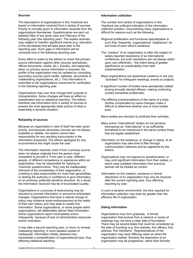### **Sources**

The descriptions of organizations in this Yearbook are based on information received from a variety of sources. Priority is normally given to information received from the organizations themselves. Questionnaires are sent out between May of any given year and February of the following year (the reporting year). The replies received may neglect to mention significant events (e.g. relocation of the secretariat) that will take place later in the reporting year. Such gaps in information will be corrected only in the following reporting year.

Every effort is made by the editors to check this primary source information against other sources (periodicals, official documents, media, etc.). Equally, and especially when no primary source information is received, the profile of the organization may be updated by consulting secondary sources (print media, websites, documents of collaborating organizations, etc.). This information is submitted to the organizations concerned for verification in the following reporting year.

Organizations may over time change their purpose or characteristics. Some changes will have an effect on classification and on statistical reporting. The editors therefore use information from a variety of sources to present the most appropriate static picture of what is essentially a dynamic situation.

# **Reliability of sources**

Because an organization's view of itself has been given priority, and because secondary sources are not always available or reliable, the editors cannot take responsibility for any resulting inaccuracies in the information presented. The editors apologize for any inconvenience this might cause the user.

The information received, even if from a primary source, does not always originate from the person most competent to provide it. From year to year, different people, of different competence or experience within an organization, may be responsible for replying to Yearbook questionnaires. They may be inadequately informed of the complexities of their organization, or unwilling to take responsibility for more than generalities, or lacking the authority or confidence to give information on an evolving, politically sensitive structure. As a result, the information received may be of inconsistent quality.

Organizations in a process of restructuring may be reluctant to provide information or announce anticipated changes. Organizations that have a radical change of policy may evidence some embarrassment at the reality of their own history and may seek to modify this information. Some organizations, or some people within organizations, will deliberately deliver false information. Some organizations report incompletely and/or infrequently because of lack of administrative resources and/or motivation.

It may take a second reporting year, or more, to remedy misleading reporting. A more detailed update of inadequate information initially obtained may necessitate a reclassification of organizational type, thus affecting statistical reporting.

### **Information collection**

The number and variety of organizations in this Yearbook are sufficient indication of the information collection problem. Documenting many organizations is difficult for reasons such as the following.

- Regional proliferation and functional specialization is such that, frequently, organizational "neighbours" do not know of each other's existence.
- The "creation" of an organization is often the subject of widely-reported resolutions of an international conference, but such resolutions are not always acted upon very effectively – the intent being of greater significance (or practicability) than later implementation.
- Many organizations are ephemeral creations or are only "activated" for infrequent meetings, events or projects.
- A significant number of bodies have secretariats rotated among annually elected officers, making continuing contact somewhat problematic.
- The differing (mis)translations of the name of a body (further complicated by name changes) make it difficult to determine whether one or more bodies exist.

Many bodies are reluctant to publicise their activities.

- Many active "international" bodies do not perceive themselves as "international" or as sufficiently formalized to be mentioned in the same context those that are legally established.
- Information on the existence, or change in status, of an organization may take time to filter through communication networks and be registered by the editors.
- Organizations may not respond to questionnaires, or may omit significant information from their replies, in which case outdated information from previous periods will be treated as current.
- Information on the creation, existence or formal dissolution of an organization may only be received after the current reporting year, thus affecting reporting by year.

In such a dynamic environment, the time required for information collection may even be greater than the effective life of organization.

# **Dating information**

Organizations may form gradually. A formal organization that evolves from a network or series of meetings may not have a clear date of foundation. There may be several dates that could be considered as the date of founding (*e.g.* first statutes, first officers, first address, first members). Representatives of the organization may have differing views on when the organization started. Similarly the dissolution of an organization may be progressive, rather than formally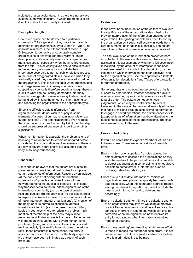indicated at a particular date. It is therefore not always evident, even with hindsight, in which reporting year its dissolution should be correctly indicated.

# **Description length**

How much space can be devoted to a particular organization? As a general guide, more information is desirable for organizations in Type B than in Type C; an absolute minimum is the rule for most of those in Type G. However, large, active or structurally complex organizations of any type generally warrant longer descriptions, while relatively inactive or simple bodies merit less space, especially when the aims are evident from the title. This obviously gives rise to difficulties due to the tendency of organizations to inflate their importance according to normal public relations practice. In the case of exaggerated claims, however, when they are briefly stated they can effectively be used to define the organization. This is not the case when organizations claim large membership in many countries. Some supporting evidence is therefore sought although there is a limit to what can be usefully demanded. Normally, however, exaggerated claims are easy to detect and can be handled by limiting the amount of information given and allocating the organization to the appropriate type.

Since it is difficult to obtain information from organizations that do not wish to supply it, some elements of a description may remain incomplete (e.g. budget and staff). The organization may even request that information, such as the country list of membership, should be suppressed because of its political or other significance.

When no information is available, the problem is one of how long to allow entries to remain un-updated before considering the organization inactive. Generally, there is a delay of several years before it is assumed that the body is no longer functioning.

### **Censorship**

Users should be aware that the editors are subject to pressure from some international bodies to suppress certain categories of information. Reasons given include: (a) the body does not belong with "international organizations", possibly because it is an informal network (personal not public) or because it is in some way transcendental to the mundane organization of the international community (as is the case of certain religious bodies); (b) the body is of "no possible interest" to anyone else (as is the case of some staff associations of major intergovernmental organizations); (c) mention of the body, or of its normal relationships, attracts unwelcome attention (as in the case of some military bodies in countries where terrorism is a problem); (d) mention of membership of the body may subject members to victimization (as is the case of trade unions with members in countries with severe human rights problems); (e) organizations wish to avoid unsolicited mail (especially "junk mail"). In most cases, the editors resist these pressures; in some cases, the entry is reworded to respect the concern of the body in question. No entries have been eliminated as a result of such pressure.

### **Evaluation**

It has never been the intention of the editors to evaluate the significance of the organizations described or to provide interpretation of the information supplied by an organization. The guiding principle has been to portray the organization as it sees itself usually in words from its own documents, as far as this is possible. The editors cannot verify the claims made in documents received.

The final evaluation of the information presented here must be left to the users of this volume. Users may be assisted in this assessment by whether a full description is included, by the amount of information it has been considered useful to include in the description, by the last date on which information has been received, and by the organization type. See the Appendices "Contents of organization descriptions" and "Types of organization" for further information.

Some organizations included are perceived as highly suspect by other bodies, whether because of dubious academic standing, questionable values, or as a threat to public order. The editors do not act on such judgements, which may be contradicted by others. However, in the case of the very small minority of bodies that seek to mislead through false claims, to defraud or to engage in covert operations, the editors endeavour to juxtapose items of information that draw attention to the questionable aspects of these organizations. The final assessment is left to the user.

# **Error control policy**

It would be unrealistic to expect a Yearbook of this size to be error free. There are various kinds of possible error.

- Errors in information supplied: As noted above, the entries attempt to describe the organizations as they wish themselves to be perceived. Whilst it is possible to detect exaggeration in some claims, it is not always possible to detect errors in information such as budgets, date of foundation, etc.
- Errors due to out-of-date information: Portions of organization descriptions can quickly become out-ofdate (especially when the secretariat address rotates among members). Every effort is made to include the most recent information and to date entries accordingly.
- Errors in editorial treatment: Since the editorial treatment of an organization may involve weighing alternative possibilities in documents from different sources, this can result in errors of judgement, which can only be corrected when the organization next receives its entry for updating or other information is received from other sources.
- Errors in keyboarding/proof-reading: Whilst every effort is made to reduce the number of such errors, it is not cost-effective to do this beyond a certain point when there is a print deadline to be met.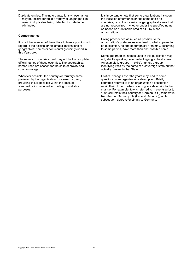Duplicate entries: Tracing organizations whose names may be (mis)reported in a variety of languages can result in duplicates being detected too late to be eliminated.

### **Country names**

It is not the intention of the editors to take a position with regard to the political or diplomatic implications of geographical names or continental groupings used in this Yearbook.

The names of countries used may not be the complete official names of those countries. The geographical names used are chosen for the sake of brevity and common usage.

Wherever possible, the country (or territory) name preferred by the organization concerned is used, providing this is possible within the limits of standardization required for mailing or statistical purposes.

It is important to note that some organizations insist on the inclusion of territories on the same basis as countries, or on the inclusion of geographical areas that are not recognized – whether under the specified name or indeed as a definable area at all – by other organizations.

Giving precedence as much as possible to the organization's preferences may lead to what appears to be duplication, as one geographical area may, according to some parties, have more than one possible name.

Some geographical names used in this publication may not, strictly speaking, even refer to geographical areas. An example is groups "in exile", namely a group identifying itself by the name of a sovereign State but not actually present in that State.

Political changes over the years may lead to some questions in an organization's description. Briefly: countries referred to in an organization's description retain their old form when referring to a date prior to the change. For example, towns referred to in events prior to 1991 still retain their country as German DR (Democratic Republic) or Germany FR (Federal Republic), while subsequent dates refer simply to Germany.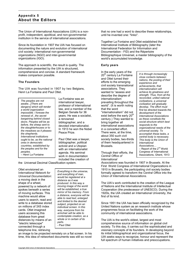The Union of International Associations (UIA) is a nonprofit, independent, apolitical, and non-governmental institution in the service of international associations.

Since its foundation in 1907 the UIA has focused on documenting the nature and evolution of international civil society: international non-governmental organizations (NGO) and inter-governmental organizations (IGO).

The approach is scientific, the result is quality. The information presented by the UIA is structured, comprehensive and concise. A standard framework makes comparison possible.

### **The Founders**

The UIA was founded in 1907 by two Belgians, Henri La Fontaine and Paul Otlet.

*The peoples are not awake...[There are dangers] which will render a world organization impossible. I foresee the renewal of...the secret bargaining behind closed doors. Peoples will be as before, the sheep sent to the slaughterhouses or to the meadows as it pleases the shepherds. International institutions ought to be, as the national ones in democratic countries, established by the peoples and for the peoples.* – Henri La Fontaine

La Fontaine was an international lawyer, professor of international law, and a member of the Belgian Senate for 36 years. He was a socialist, a renowned bibliographer, and a devoted internationalist. In 1913 he won the Nobel Peace Prize.

Paul Otlet was a lawyer, bibliographer, political activist and a Utopian with an internationalist agenda. His seminal work in documentation included the creation of

the Universal Decimal Classification system.

Otlet envisioned an I*nternational Network for Universal Documentation*: a moving desk in the shape of a wheel, powered by a network of spokes beneath a series of moving surfaces. This machine would allow users to search, read and write to a database stored on millions of 3X5 index cards. Otlet imagined users accessing this database from great distances by means of an "electric telescope" connected through a telephone line, retrieving

*Everything in the universe, and everything of man, would be registered at a distance as it was produced. In this way a moving image of the world will be established, a true mirror of his memory. From a distance, everyone will be able to read text, enlarged and limited to the desired subject, projected on an individual screen. In this way, everyone from his armchair will be able to contemplate creation, as a whole or in certain of its parts.* - Paul Otlet

an image to be projected remotely on a flat screen. In his time, this idea of networked documents was still so novel

that no one had a word to describe these relationships, until he invented one: "links".

Together La Fontaine and Otlet established the International Institute of Bibliography (later the International Federation for Information and Documentation - FID) and the Répertoire Bibliographique Universel, a master bibliography of the world's accumulated knowledge.

### **Early years**

In the early years of the 20<sup>th</sup> century La Fontaine and Otlet turned their efforts to the emerging civil society transnational associations. They wanted to "assess and describe the degree of internationalism prevailing throughout the world". (It is worth noting that the word "internationalism" did not exist before the early 20<sup>th</sup> century.) They wanted to bring together all international associations in a concerted effort. There were, at the time, about 350 such civil society bodies, two-thirds of them headquartered in Brussels.

Through their efforts, the *Central Office of International* 

*It is through increasingly close contacts between nations, the pooling of their experience and achievements, that internationalism will achieve its greatness and strength. Thus, from all the reconciled, united national civilizations, a universal civilization will gradually develop. The effort must first be directed towards the development of the International Associations as these constitute the social structure which best responds to the organizational needs of the universal society. To accomplish these tasks, a central body is necessary. This body is the Union of International Associations…* – Report of the  $2<sup>nd</sup>$  World Congress of International

Associations, Ghent, 1913

*Associations* was founded in 1907 in Brussels. At the First World Congress of International Organizations in 1910 in Brussels, the participating civil society bodies formally agreed to transform the *Central Office* into the *Union of International Associations*.

The UIA's work contributed to the creation of the League of Nations and the International Institute of Intellectual Cooperation (the predecessor of UNESCO). During the 1920s, the UIA created an International University, the first of its kind.

Since 1951 the UIA has been officially recognized by the United Nations system as an research institute whose programmes focus on facilitating the work of the community of international associations.

The UIA is the world's oldest, largest and most comprehensive source of information on global civil society. To this day, it carries out the sophisticated and visionary concepts of its founders. In developing beyond its initial bibliographical and organizational focus, the UIA seeks ways to recognize, honour and represent the full spectrum of human initiatives and preoccupations.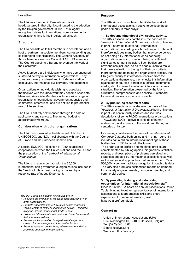### **Location**

The UIA was founded in Brussels and is still headquartered in that city. It contributed to the adoption by the Belgian government, in 1919, of a legally recognized status for international non-governmental organizations, and is itself registered as such.

### **Structure**

The UIA consists of its full members, a secretariat, and a host of partners (associate members, corresponding and collaborating organizations). The General Assembly of Active Members elects a Council of 15 to 21 members. The Council appoints a Bureau to oversee the work of the Secretariat.

Active Members are individuals who have demonstrated sustained activity in international organizations. They come from every continent and include association executives, international civil servants, and academics.

Organizations or individuals wishing to associate themselves with the UIA's work may become Associate Members. Associate Members include a wide range of organizations, foundations, government agencies and commercial enterprises, and are entitled to preferential use of UIA services.

The UIA is entirely self-financed through the sale of publications and services. The annual budget is approximately €550,000.

### **Collaboration with other organizations**

The UIA has Consultative Relations with UNESCO, UN/ECOSOC, and ILO. It collaborates with the Council of Europe and the European Commission.

A special ECOSOC resolution of 1950 establishes cooperation between the United Nations and the UIA for the preparation of the *Yearbook of International Organizations*.

The UIA is in regular contact with the 30,000 international non-governmental organizations included in the Yearbook. Its annual mailing is marked by a response rate of about 30 per cent.

*The UIA's aims as stated in its statutes are to:*

- *Facilitate the evolution of the world-wide network of nonprofit organizations.*
- *Promote understanding of how such bodies represent valid interests in every field of human activity – scientific, religious, artistic, educational, trade, labour.*
- *Collect and disseminate information on these bodies and their interrelationships.*
- *Present such information in experimental ways, as a catalyst for the emergence of innovative bodies.*
- *Promote research on the legal, administrative and other problems common to these bodies.*

### **Purpose**

The UIA aims to promote and facilitate the work of international associations. It seeks to achieve these goals primarily in three ways:

### **1. By documenting global civil society activity.**

The UIA's associations database – the basis of the *Yearbook of International Organizations* both online and in print – attempts to cover all "international organizations", according to a broad range of criteria. It therefore includes many bodies that may be perceived as not being fully international, or as not being organizations as such, or as not being of sufficient significance to merit inclusion. Such bodies are nevertheless included, so as to enable users to make their own evaluation in the light of their own criteria. In preparing and updating the organization profiles, the UIA gives priority to information received from the organizations themselves, then checks this information against other sources (periodicals, official documents, media, etc.) to present a reliable picture of a dynamic situation. The information presented by the UIA is structured, comprehensive and concise. A standard framework makes comparison possible.

# **2. By publishing research reports**

The UIA's associations database – the basis of the *Yearbook of International Organizations* both online and in print – is continuously updated and includes descriptions of some 70,000 international organizations – NGOs and IGOs – active in all fields of human endeavour, in all corners of the world, and throughout centuries of history.

Its meetings database – the basis of the *International Congress Calendar* both online and in print – currently includes half a million international meetings of these bodies, from 1850 to far into the future. The organization profiles and meetings profiles are complemented by bibliographies, biographies, statistical reports, and descriptions of problems perceived and strategies adopted by international associations as well as the values and approaches that animate them. Over 500,000 hyperlinks facilitate navigation through this data. The UIA also produces customized reports on demand for a variety of governmental, non-governmental, and commercial bodies.

# **3. By providing training and networking opportunities for international association staff.**

Since 2006 the UIA hosts an annual Associations Round Table, bringing together representatives of international associations to learn practical skills and share experience. For more information, visit https://uia.org/roundtable.

### **Contact us**

Union of International Associations (UIA) Rue Washington 40, B-1050 Brussels, Belgium Tel: (32 2) 640 18 08 E-mail: uia@uia.org Website: https://uia.org/